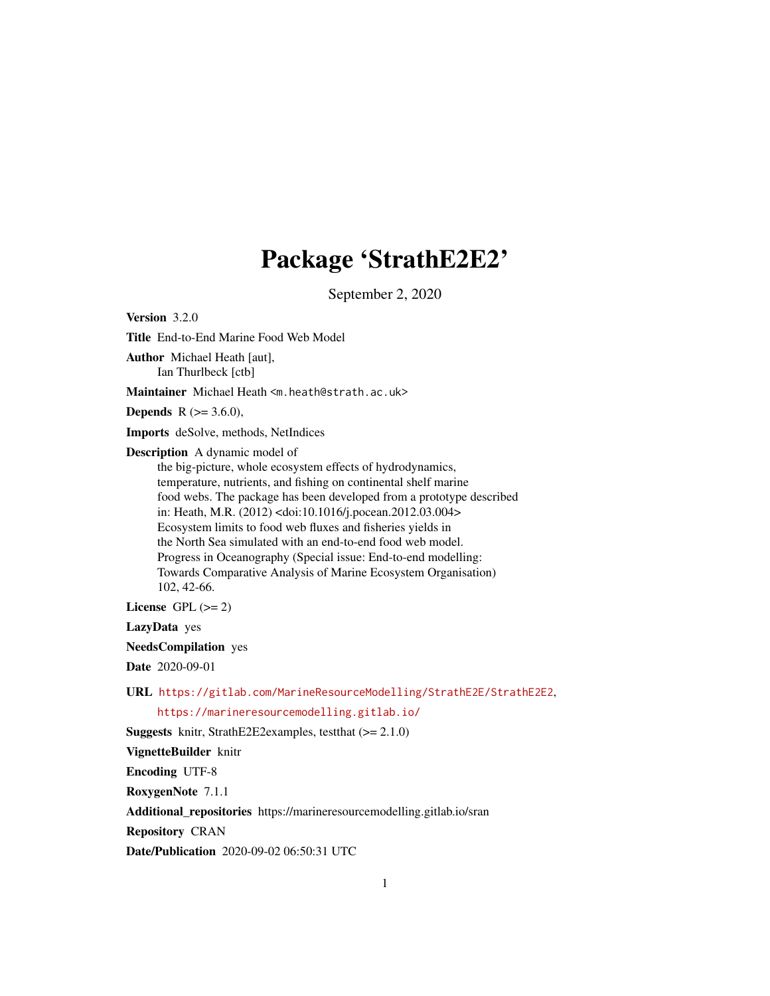# Package 'StrathE2E2'

September 2, 2020

Version 3.2.0

Title End-to-End Marine Food Web Model

Author Michael Heath [aut], Ian Thurlbeck [ctb]

Maintainer Michael Heath <m.heath@strath.ac.uk>

**Depends** R  $(>= 3.6.0)$ ,

Imports deSolve, methods, NetIndices

Description A dynamic model of

the big-picture, whole ecosystem effects of hydrodynamics, temperature, nutrients, and fishing on continental shelf marine food webs. The package has been developed from a prototype described in: Heath, M.R. (2012) <doi:10.1016/j.pocean.2012.03.004> Ecosystem limits to food web fluxes and fisheries yields in the North Sea simulated with an end-to-end food web model. Progress in Oceanography (Special issue: End-to-end modelling: Towards Comparative Analysis of Marine Ecosystem Organisation) 102, 42-66.

License GPL  $(>= 2)$ 

LazyData yes

NeedsCompilation yes

Date 2020-09-01

URL <https://gitlab.com/MarineResourceModelling/StrathE2E/StrathE2E2>,

<https://marineresourcemodelling.gitlab.io/>

Suggests knitr, StrathE2E2examples, testthat (>= 2.1.0)

VignetteBuilder knitr

Encoding UTF-8

RoxygenNote 7.1.1

Additional\_repositories https://marineresourcemodelling.gitlab.io/sran

Repository CRAN

Date/Publication 2020-09-02 06:50:31 UTC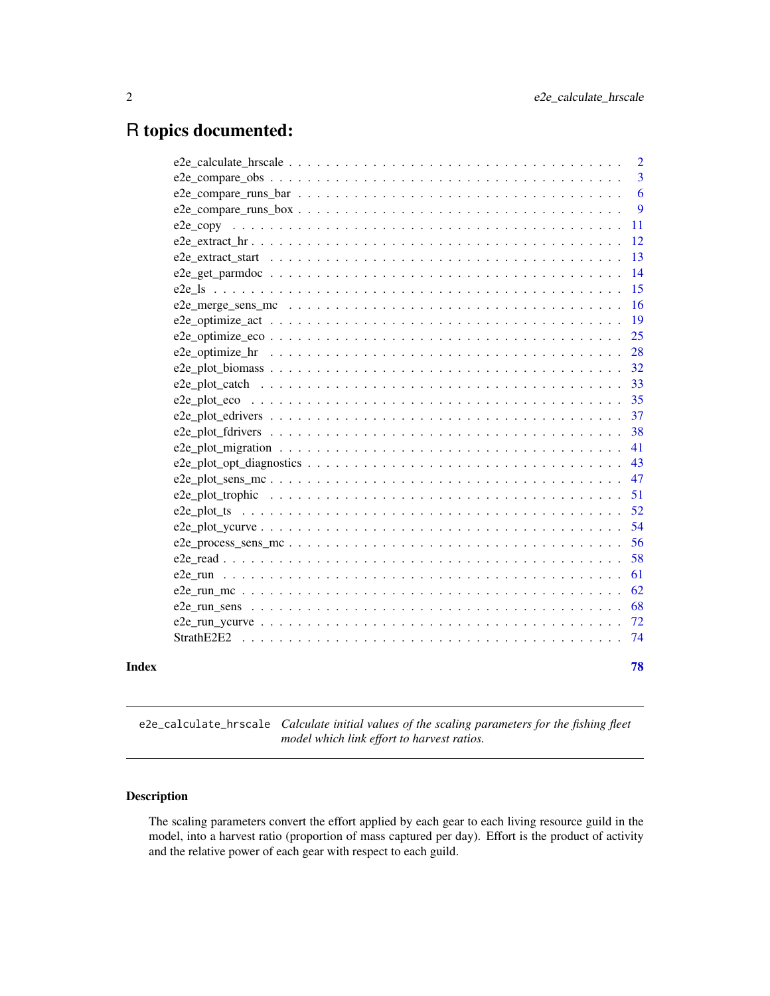# <span id="page-1-0"></span>R topics documented:

|       |                                                                                                                                | $\overline{2}$ |
|-------|--------------------------------------------------------------------------------------------------------------------------------|----------------|
|       |                                                                                                                                | 3              |
|       |                                                                                                                                | 6              |
|       | $e2e_{\text{1}}$ compare runs $\text{box} \ldots \ldots \ldots \ldots \ldots \ldots \ldots \ldots \ldots \ldots \ldots \ldots$ | 9              |
|       |                                                                                                                                | -11            |
|       |                                                                                                                                | 12             |
|       |                                                                                                                                | 13             |
|       | $e2e\_get\_parmdoc \dots \dots \dots \dots \dots \dots \dots \dots \dots \dots \dots \dots \dots \dots \dots$                  | 14             |
|       |                                                                                                                                | 15             |
|       | e2e merge sens mc $\ldots \ldots \ldots \ldots \ldots \ldots \ldots \ldots \ldots \ldots \ldots \ldots$                        | 16             |
|       |                                                                                                                                | 19             |
|       |                                                                                                                                | 25             |
|       | e2e_optimize_hr $\dots \dots \dots \dots \dots \dots \dots \dots \dots \dots \dots \dots \dots \dots \dots \dots \dots$        | 28             |
|       |                                                                                                                                | 32             |
|       |                                                                                                                                | 33             |
|       |                                                                                                                                | 35             |
|       |                                                                                                                                | 37             |
|       |                                                                                                                                | 38             |
|       |                                                                                                                                | 41             |
|       |                                                                                                                                | 43             |
|       |                                                                                                                                | 47             |
|       |                                                                                                                                | 51             |
|       |                                                                                                                                | 52             |
|       |                                                                                                                                | 54             |
|       |                                                                                                                                | 56             |
|       |                                                                                                                                | 58             |
|       |                                                                                                                                | 61             |
|       |                                                                                                                                | 62             |
|       |                                                                                                                                | 68             |
|       |                                                                                                                                | 72             |
|       | StrathE2E2                                                                                                                     | -74            |
|       |                                                                                                                                |                |
| Index |                                                                                                                                | 78             |

e2e\_calculate\_hrscale *Calculate initial values of the scaling parameters for the fishing fleet model which link effort to harvest ratios.*

# Description

The scaling parameters convert the effort applied by each gear to each living resource guild in the model, into a harvest ratio (proportion of mass captured per day). Effort is the product of activity and the relative power of each gear with respect to each guild.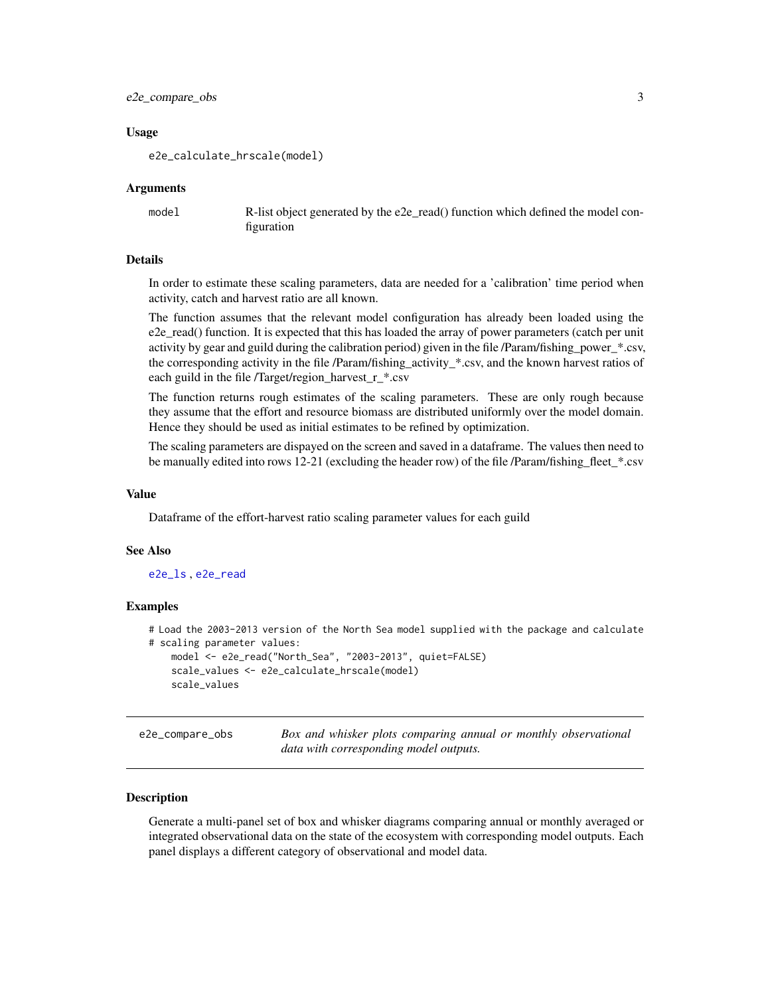# <span id="page-2-0"></span>e2e\_compare\_obs 3

#### Usage

e2e\_calculate\_hrscale(model)

#### Arguments

model **R**-list object generated by the e2e\_read() function which defined the model configuration

#### Details

In order to estimate these scaling parameters, data are needed for a 'calibration' time period when activity, catch and harvest ratio are all known.

The function assumes that the relevant model configuration has already been loaded using the e2e\_read() function. It is expected that this has loaded the array of power parameters (catch per unit activity by gear and guild during the calibration period) given in the file /Param/fishing\_power\_\*.csv, the corresponding activity in the file /Param/fishing\_activity\_\*.csv, and the known harvest ratios of each guild in the file /Target/region\_harvest\_r\_\*.csv

The function returns rough estimates of the scaling parameters. These are only rough because they assume that the effort and resource biomass are distributed uniformly over the model domain. Hence they should be used as initial estimates to be refined by optimization.

The scaling parameters are dispayed on the screen and saved in a dataframe. The values then need to be manually edited into rows 12-21 (excluding the header row) of the file /Param/fishing\_fleet\_\*.csv

#### Value

Dataframe of the effort-harvest ratio scaling parameter values for each guild

#### See Also

[e2e\\_ls](#page-14-1) , [e2e\\_read](#page-57-1)

#### Examples

```
# Load the 2003-2013 version of the North Sea model supplied with the package and calculate
# scaling parameter values:
   model <- e2e_read("North_Sea", "2003-2013", quiet=FALSE)
   scale_values <- e2e_calculate_hrscale(model)
   scale_values
```
<span id="page-2-1"></span>e2e\_compare\_obs *Box and whisker plots comparing annual or monthly observational data with corresponding model outputs.*

# Description

Generate a multi-panel set of box and whisker diagrams comparing annual or monthly averaged or integrated observational data on the state of the ecosystem with corresponding model outputs. Each panel displays a different category of observational and model data.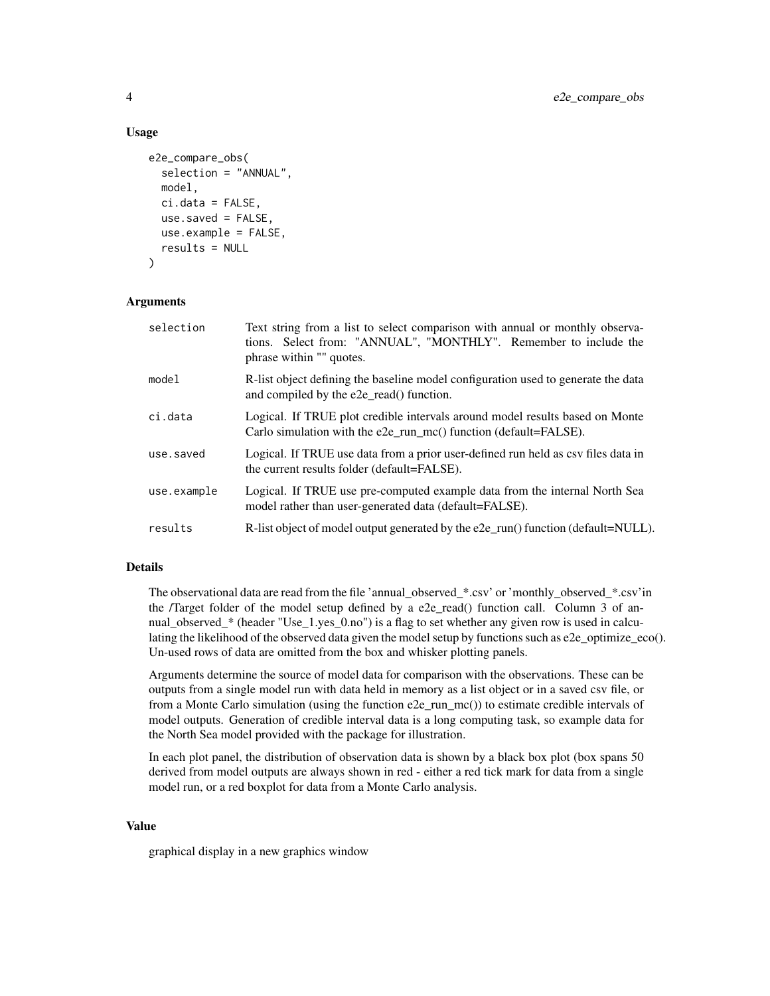#### Usage

```
e2e_compare_obs(
  selection = "ANNUAL",
  model,
  ci.data = FALSE,use.saved = FALSE,
  use.example = FALSE,
  results = NULL
\lambda
```
# Arguments

| selection   | Text string from a list to select comparison with annual or monthly observa-<br>tions. Select from: "ANNUAL", "MONTHLY". Remember to include the<br>phrase within "" quotes. |
|-------------|------------------------------------------------------------------------------------------------------------------------------------------------------------------------------|
| model       | R-list object defining the baseline model configuration used to generate the data<br>and compiled by the e2e_read() function.                                                |
| ci.data     | Logical. If TRUE plot credible intervals around model results based on Monte<br>Carlo simulation with the e2e_run_mc() function (default=FALSE).                             |
| use.saved   | Logical. If TRUE use data from a prior user-defined run held as csy files data in<br>the current results folder (default=FALSE).                                             |
| use.example | Logical. If TRUE use pre-computed example data from the internal North Sea<br>model rather than user-generated data (default=FALSE).                                         |
| results     | R-list object of model output generated by the e2e_run() function (default=NULL).                                                                                            |

# Details

The observational data are read from the file 'annual\_observed\_\*.csv' or 'monthly\_observed\_\*.csv'in the /Target folder of the model setup defined by a e2e\_read() function call. Column 3 of annual\_observed\_\* (header "Use\_1.yes\_0.no") is a flag to set whether any given row is used in calculating the likelihood of the observed data given the model setup by functions such as e2e\_optimize\_eco(). Un-used rows of data are omitted from the box and whisker plotting panels.

Arguments determine the source of model data for comparison with the observations. These can be outputs from a single model run with data held in memory as a list object or in a saved csv file, or from a Monte Carlo simulation (using the function e2e\_run\_mc()) to estimate credible intervals of model outputs. Generation of credible interval data is a long computing task, so example data for the North Sea model provided with the package for illustration.

In each plot panel, the distribution of observation data is shown by a black box plot (box spans 50 derived from model outputs are always shown in red - either a red tick mark for data from a single model run, or a red boxplot for data from a Monte Carlo analysis.

#### Value

graphical display in a new graphics window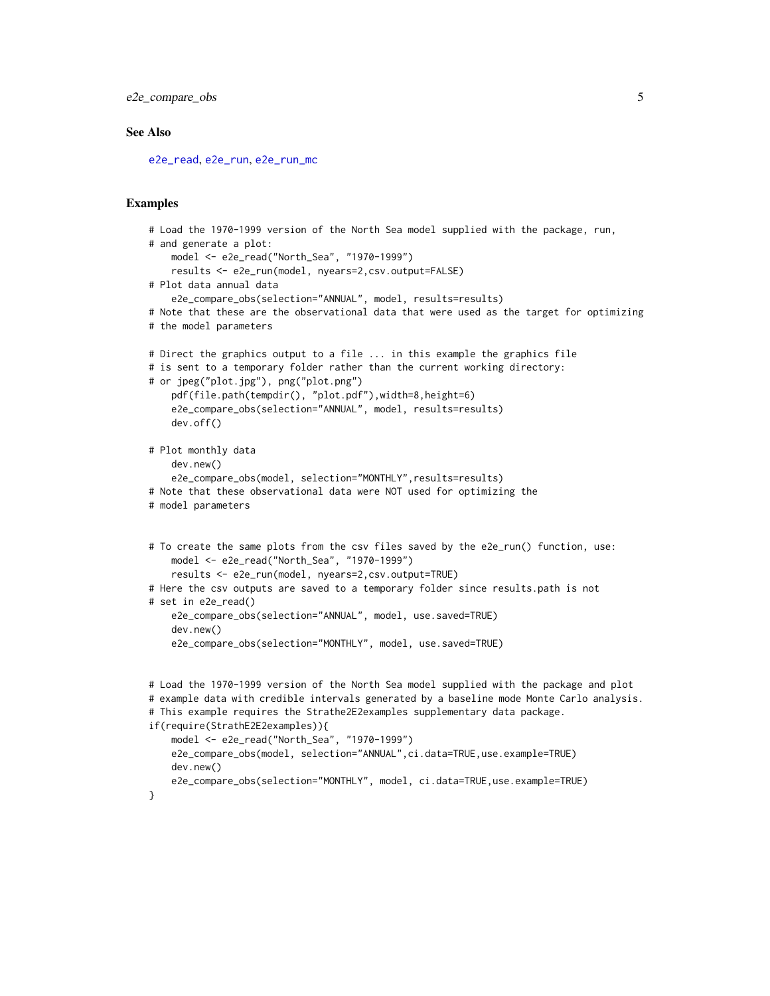```
e2e_compare_obs 5
```
### See Also

[e2e\\_read](#page-57-1), [e2e\\_run](#page-60-1), [e2e\\_run\\_mc](#page-61-1)

# Examples

```
# Load the 1970-1999 version of the North Sea model supplied with the package, run,
# and generate a plot:
    model <- e2e_read("North_Sea", "1970-1999")
    results <- e2e_run(model, nyears=2,csv.output=FALSE)
# Plot data annual data
    e2e_compare_obs(selection="ANNUAL", model, results=results)
# Note that these are the observational data that were used as the target for optimizing
# the model parameters
# Direct the graphics output to a file ... in this example the graphics file
# is sent to a temporary folder rather than the current working directory:
# or jpeg("plot.jpg"), png("plot.png")
    pdf(file.path(tempdir(), "plot.pdf"),width=8,height=6)
    e2e_compare_obs(selection="ANNUAL", model, results=results)
    dev.off()
# Plot monthly data
    dev.new()
    e2e_compare_obs(model, selection="MONTHLY",results=results)
# Note that these observational data were NOT used for optimizing the
# model parameters
# To create the same plots from the csv files saved by the e2e_run() function, use:
   model <- e2e_read("North_Sea", "1970-1999")
    results <- e2e_run(model, nyears=2,csv.output=TRUE)
# Here the csv outputs are saved to a temporary folder since results.path is not
# set in e2e_read()
    e2e_compare_obs(selection="ANNUAL", model, use.saved=TRUE)
    dev.new()
    e2e_compare_obs(selection="MONTHLY", model, use.saved=TRUE)
# Load the 1970-1999 version of the North Sea model supplied with the package and plot
# example data with credible intervals generated by a baseline mode Monte Carlo analysis.
# This example requires the Strathe2E2examples supplementary data package.
if(require(StrathE2E2examples)){
    model <- e2e_read("North_Sea", "1970-1999")
   e2e_compare_obs(model, selection="ANNUAL",ci.data=TRUE,use.example=TRUE)
   dev.new()
   e2e_compare_obs(selection="MONTHLY", model, ci.data=TRUE, use.example=TRUE)
}
```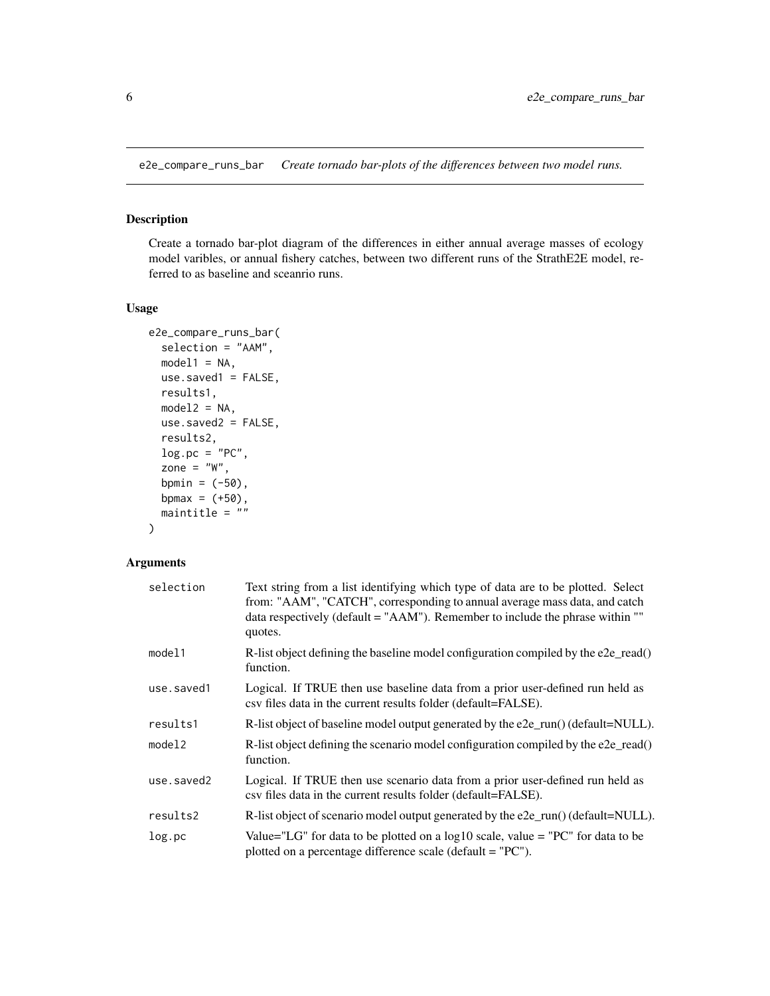<span id="page-5-1"></span><span id="page-5-0"></span>e2e\_compare\_runs\_bar *Create tornado bar-plots of the differences between two model runs.*

# Description

Create a tornado bar-plot diagram of the differences in either annual average masses of ecology model varibles, or annual fishery catches, between two different runs of the StrathE2E model, referred to as baseline and sceanrio runs.

# Usage

```
e2e_compare_runs_bar(
  selection = "AAM",
 model1 = NA,
 use.saved1 = FALSE,
  results1,
  model2 = NA,
 use.saved2 = FALSE,
  results2,
  log.pc = "PC",zone = "W",bpmin = (-50),
  bpmax = (+50),
  maintitle = ""
)
```
# Arguments

| selection  | Text string from a list identifying which type of data are to be plotted. Select<br>from: "AAM", "CATCH", corresponding to annual average mass data, and catch<br>data respectively (default = "AAM"). Remember to include the phrase within ""<br>quotes. |
|------------|------------------------------------------------------------------------------------------------------------------------------------------------------------------------------------------------------------------------------------------------------------|
| model1     | R-list object defining the baseline model configuration compiled by the $e2e$ read()<br>function.                                                                                                                                                          |
| use.saved1 | Logical. If TRUE then use baseline data from a prior user-defined run held as<br>csy files data in the current results folder (default=FALSE).                                                                                                             |
| results1   | R-list object of baseline model output generated by the e2e_run() (default=NULL).                                                                                                                                                                          |
| model2     | R-list object defining the scenario model configuration compiled by the e2e_read()<br>function.                                                                                                                                                            |
| use.saved2 | Logical. If TRUE then use scenario data from a prior user-defined run held as<br>csv files data in the current results folder (default=FALSE).                                                                                                             |
| results2   | R-list object of scenario model output generated by the e2e_run() (default=NULL).                                                                                                                                                                          |
| log.pc     | Value="LG" for data to be plotted on a $log10$ scale, value = "PC" for data to be<br>plotted on a percentage difference scale (default = "PC").                                                                                                            |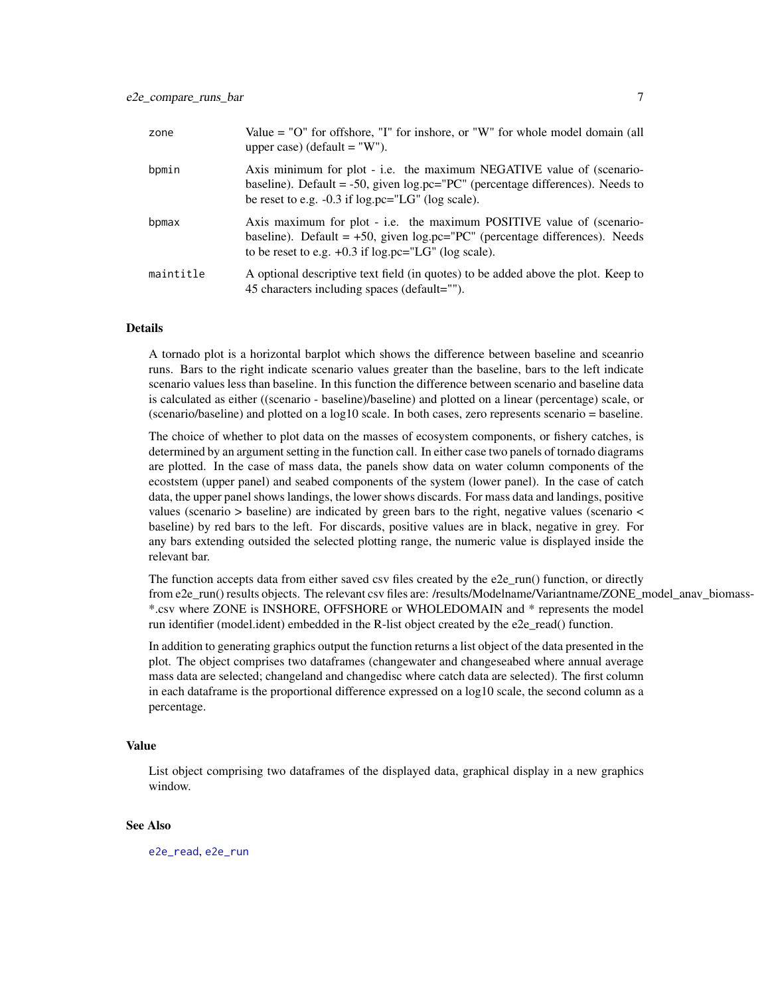| zone      | Value = "O" for offshore, "I" for inshore, or "W" for whole model domain (all<br>upper case) (default $=$ "W").                                                                                                   |
|-----------|-------------------------------------------------------------------------------------------------------------------------------------------------------------------------------------------------------------------|
| bpmin     | Axis minimum for plot - i.e. the maximum NEGATIVE value of (scenario-<br>baseline). Default = -50, given $logpec="PC"$ (percentage differences). Needs to<br>be reset to e.g. $-0.3$ if log.pc="LG" (log scale).  |
| bpmax     | Axis maximum for plot - i.e. the maximum POSITIVE value of (scenario-<br>baseline). Default = $+50$ , given log.pc="PC" (percentage differences). Needs<br>to be reset to e.g. $+0.3$ if log.pc="LG" (log scale). |
| maintitle | A optional descriptive text field (in quotes) to be added above the plot. Keep to<br>45 characters including spaces (default="").                                                                                 |

#### Details

A tornado plot is a horizontal barplot which shows the difference between baseline and sceanrio runs. Bars to the right indicate scenario values greater than the baseline, bars to the left indicate scenario values less than baseline. In this function the difference between scenario and baseline data is calculated as either ((scenario - baseline)/baseline) and plotted on a linear (percentage) scale, or (scenario/baseline) and plotted on a log10 scale. In both cases, zero represents scenario = baseline.

The choice of whether to plot data on the masses of ecosystem components, or fishery catches, is determined by an argument setting in the function call. In either case two panels of tornado diagrams are plotted. In the case of mass data, the panels show data on water column components of the ecoststem (upper panel) and seabed components of the system (lower panel). In the case of catch data, the upper panel shows landings, the lower shows discards. For mass data and landings, positive values (scenario > baseline) are indicated by green bars to the right, negative values (scenario < baseline) by red bars to the left. For discards, positive values are in black, negative in grey. For any bars extending outsided the selected plotting range, the numeric value is displayed inside the relevant bar.

The function accepts data from either saved csv files created by the e2e\_run() function, or directly from e2e\_run() results objects. The relevant csv files are: /results/Modelname/Variantname/ZONE\_model\_anav\_biomass-\*.csv where ZONE is INSHORE, OFFSHORE or WHOLEDOMAIN and \* represents the model run identifier (model.ident) embedded in the R-list object created by the e2e read() function.

In addition to generating graphics output the function returns a list object of the data presented in the plot. The object comprises two dataframes (changewater and changeseabed where annual average mass data are selected; changeland and changedisc where catch data are selected). The first column in each dataframe is the proportional difference expressed on a log10 scale, the second column as a percentage.

# Value

List object comprising two dataframes of the displayed data, graphical display in a new graphics window.

#### See Also

[e2e\\_read](#page-57-1), [e2e\\_run](#page-60-1)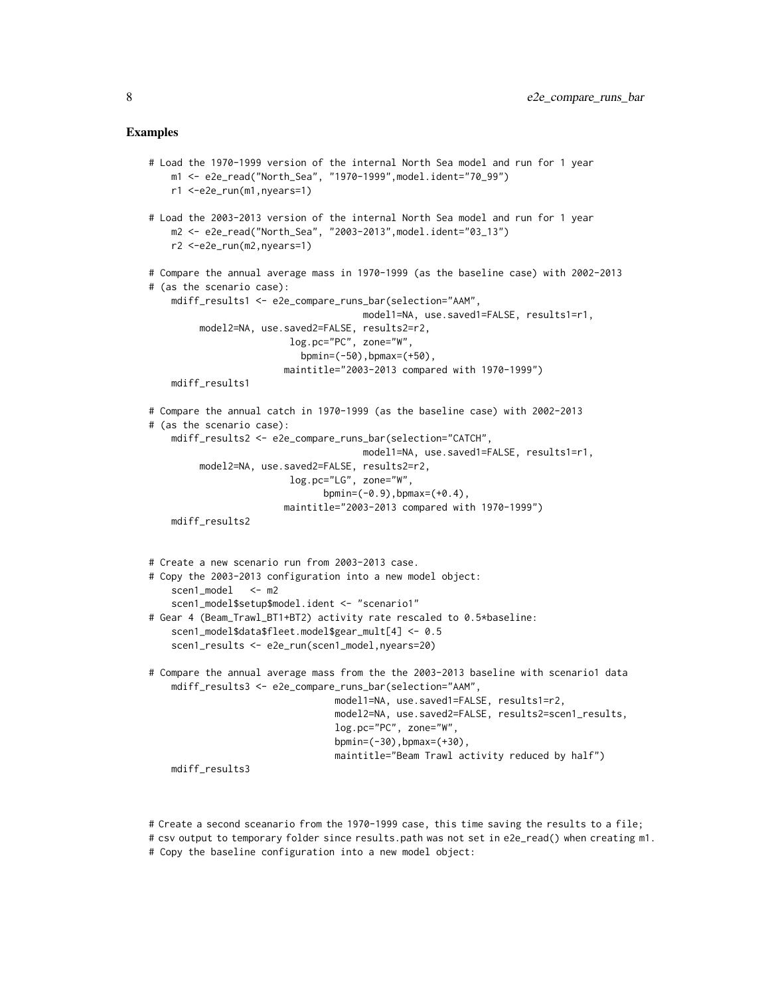# Examples

```
# Load the 1970-1999 version of the internal North Sea model and run for 1 year
   m1 <- e2e_read("North_Sea", "1970-1999",model.ident="70_99")
   r1 <-e2e_run(m1,nyears=1)
# Load the 2003-2013 version of the internal North Sea model and run for 1 year
    m2 <- e2e_read("North_Sea", "2003-2013",model.ident="03_13")
    r2 <-e2e_run(m2,nyears=1)
# Compare the annual average mass in 1970-1999 (as the baseline case) with 2002-2013
# (as the scenario case):
    mdiff_results1 <- e2e_compare_runs_bar(selection="AAM",
                                      model1=NA, use.saved1=FALSE, results1=r1,
        model2=NA, use.saved2=FALSE, results2=r2,
                         log.pc="PC", zone="W",
                           bpmin=(-50),bpmax=(+50),
                        maintitle="2003-2013 compared with 1970-1999")
    mdiff_results1
# Compare the annual catch in 1970-1999 (as the baseline case) with 2002-2013
# (as the scenario case):
    mdiff_results2 <- e2e_compare_runs_bar(selection="CATCH",
                                      model1=NA, use.saved1=FALSE, results1=r1,
        model2=NA, use.saved2=FALSE, results2=r2,
                        log.pc="LG", zone="W",
                               bpmin=(-0.9), bpmax=(+0.4),
                        maintitle="2003-2013 compared with 1970-1999")
    mdiff_results2
# Create a new scenario run from 2003-2013 case.
# Copy the 2003-2013 configuration into a new model object:
    scen1_model <- m2
    scen1_model$setup$model.ident <- "scenario1"
# Gear 4 (Beam_Trawl_BT1+BT2) activity rate rescaled to 0.5*baseline:
    scen1_model$data$fleet.model$gear_mult[4] <- 0.5
    scen1_results <- e2e_run(scen1_model,nyears=20)
# Compare the annual average mass from the the 2003-2013 baseline with scenario1 data
    mdiff_results3 <- e2e_compare_runs_bar(selection="AAM",
                                 model1=NA, use.saved1=FALSE, results1=r2,
                                 model2=NA, use.saved2=FALSE, results2=scen1_results,
                                 log.pc="PC", zone="W",
                                 bpmin=(-30),bpmax=(+30),
                                 maintitle="Beam Trawl activity reduced by half")
    mdiff_results3
```
# Create a second sceanario from the 1970-1999 case, this time saving the results to a file; # csv output to temporary folder since results.path was not set in e2e\_read() when creating m1. # Copy the baseline configuration into a new model object: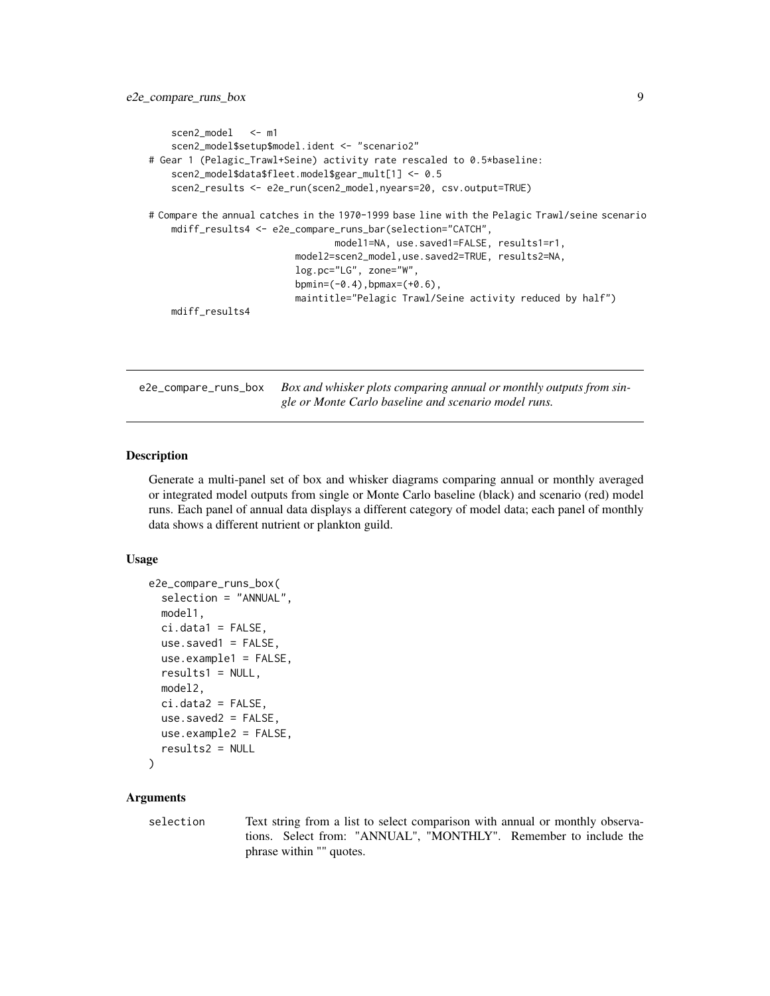```
scen2_model <- m1
   scen2_model$setup$model.ident <- "scenario2"
# Gear 1 (Pelagic_Trawl+Seine) activity rate rescaled to 0.5*baseline:
   scen2_model$data$fleet.model$gear_mult[1] <- 0.5
   scen2_results <- e2e_run(scen2_model,nyears=20, csv.output=TRUE)
# Compare the annual catches in the 1970-1999 base line with the Pelagic Trawl/seine scenario
   mdiff_results4 <- e2e_compare_runs_bar(selection="CATCH",
                                 model1=NA, use.saved1=FALSE, results1=r1,
                          model2=scen2_model,use.saved2=TRUE, results2=NA,
                          log.pc="LG", zone="W",
                          bpmin=(-0.4),bpmax=(+0.6),
                          maintitle="Pelagic Trawl/Seine activity reduced by half")
   mdiff_results4
```
e2e\_compare\_runs\_box *Box and whisker plots comparing annual or monthly outputs from single or Monte Carlo baseline and scenario model runs.*

# Description

Generate a multi-panel set of box and whisker diagrams comparing annual or monthly averaged or integrated model outputs from single or Monte Carlo baseline (black) and scenario (red) model runs. Each panel of annual data displays a different category of model data; each panel of monthly data shows a different nutrient or plankton guild.

# Usage

```
e2e_compare_runs_box(
  selection = "ANNUAL",
 model1,
 ci.data1 = FALSE,use.saved1 = FALSE,use.example1 = FALSE,
  results1 = NULL,model2,
  ci.data2 = FALSE,use.saved2 = FALSE,
 use.example2 = FALSE,
  results2 = NULL
\mathcal{L}
```
# Arguments

selection Text string from a list to select comparison with annual or monthly observations. Select from: "ANNUAL", "MONTHLY". Remember to include the phrase within "" quotes.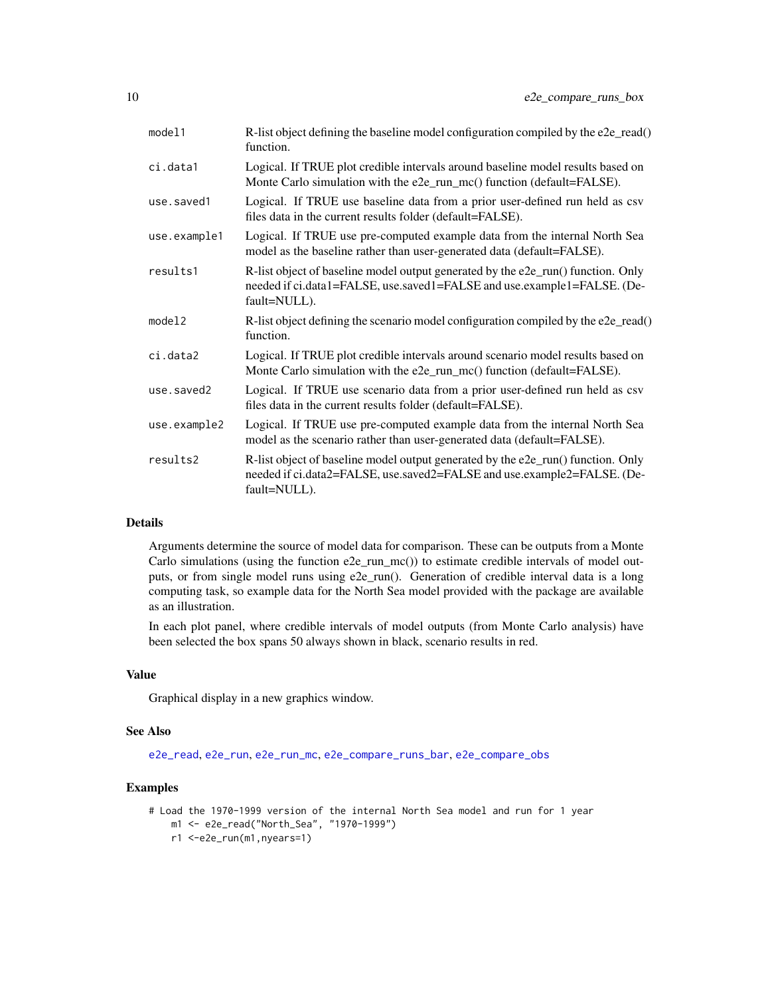| model1       | R-list object defining the baseline model configuration compiled by the e2e_read()<br>function.                                                                             |
|--------------|-----------------------------------------------------------------------------------------------------------------------------------------------------------------------------|
| ci.data1     | Logical. If TRUE plot credible intervals around baseline model results based on<br>Monte Carlo simulation with the e2e_run_mc() function (default=FALSE).                   |
| use.saved1   | Logical. If TRUE use baseline data from a prior user-defined run held as csv<br>files data in the current results folder (default=FALSE).                                   |
| use.example1 | Logical. If TRUE use pre-computed example data from the internal North Sea<br>model as the baseline rather than user-generated data (default=FALSE).                        |
| results1     | R-list object of baseline model output generated by the e2e_run() function. Only<br>needed if ci.data1=FALSE, use.saved1=FALSE and use.example1=FALSE. (De-<br>fault=NULL). |
| model2       | R-list object defining the scenario model configuration compiled by the e2e_read()<br>function.                                                                             |
| ci.data2     | Logical. If TRUE plot credible intervals around scenario model results based on<br>Monte Carlo simulation with the e2e_run_mc() function (default=FALSE).                   |
| use.saved2   | Logical. If TRUE use scenario data from a prior user-defined run held as csv<br>files data in the current results folder (default=FALSE).                                   |
| use.example2 | Logical. If TRUE use pre-computed example data from the internal North Sea<br>model as the scenario rather than user-generated data (default=FALSE).                        |
| results2     | R-list object of baseline model output generated by the e2e_run() function. Only<br>needed if ci.data2=FALSE, use.saved2=FALSE and use.example2=FALSE. (De-<br>fault=NULL). |

#### Details

Arguments determine the source of model data for comparison. These can be outputs from a Monte Carlo simulations (using the function  $e^2e_Tun_mc()$ ) to estimate credible intervals of model outputs, or from single model runs using e2e\_run(). Generation of credible interval data is a long computing task, so example data for the North Sea model provided with the package are available as an illustration.

In each plot panel, where credible intervals of model outputs (from Monte Carlo analysis) have been selected the box spans 50 always shown in black, scenario results in red.

# Value

Graphical display in a new graphics window.

#### See Also

[e2e\\_read](#page-57-1), [e2e\\_run](#page-60-1), [e2e\\_run\\_mc](#page-61-1), [e2e\\_compare\\_runs\\_bar](#page-5-1), [e2e\\_compare\\_obs](#page-2-1)

# Examples

```
# Load the 1970-1999 version of the internal North Sea model and run for 1 year
   m1 <- e2e_read("North_Sea", "1970-1999")
```

```
r1 <-e2e_run(m1,nyears=1)
```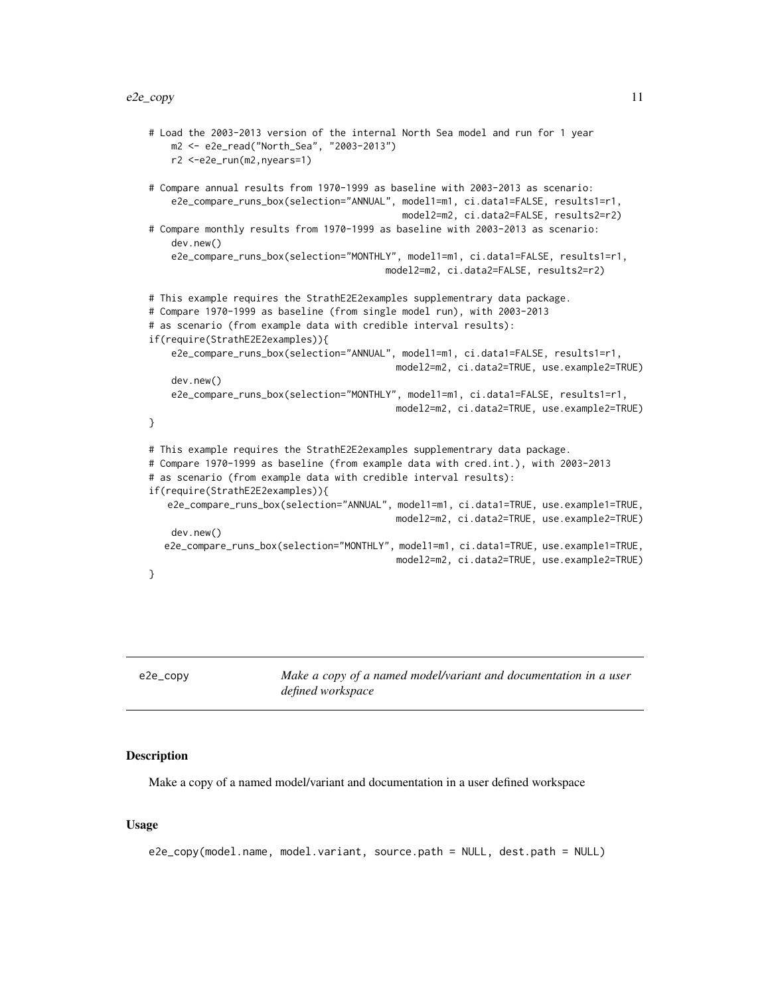#### <span id="page-10-0"></span> $e^{2}e_{\text{c}opp}$  11

```
# Load the 2003-2013 version of the internal North Sea model and run for 1 year
    m2 <- e2e_read("North_Sea", "2003-2013")
   r2 <-e2e_run(m2,nyears=1)
# Compare annual results from 1970-1999 as baseline with 2003-2013 as scenario:
    e2e_compare_runs_box(selection="ANNUAL", model1=m1, ci.data1=FALSE, results1=r1,
                                             model2=m2, ci.data2=FALSE, results2=r2)
# Compare monthly results from 1970-1999 as baseline with 2003-2013 as scenario:
    dev.new()
    e2e_compare_runs_box(selection="MONTHLY", model1=m1, ci.data1=FALSE, results1=r1,
                                          model2=m2, ci.data2=FALSE, results2=r2)
# This example requires the StrathE2E2examples supplementrary data package.
# Compare 1970-1999 as baseline (from single model run), with 2003-2013
# as scenario (from example data with credible interval results):
if(require(StrathE2E2examples)){
    e2e_compare_runs_box(selection="ANNUAL", model1=m1, ci.data1=FALSE, results1=r1,
                                            model2=m2, ci.data2=TRUE, use.example2=TRUE)
    dev.new()
    e2e_compare_runs_box(selection="MONTHLY", model1=m1, ci.data1=FALSE, results1=r1,
                                            model2=m2, ci.data2=TRUE, use.example2=TRUE)
}
# This example requires the StrathE2E2examples supplementrary data package.
# Compare 1970-1999 as baseline (from example data with cred.int.), with 2003-2013
# as scenario (from example data with credible interval results):
if(require(StrathE2E2examples)){
   e2e_compare_runs_box(selection="ANNUAL", model1=m1, ci.data1=TRUE, use.example1=TRUE,
                                            model2=m2, ci.data2=TRUE, use.example2=TRUE)
    dev.new()
  e2e_compare_runs_box(selection="MONTHLY", model1=m1, ci.data1=TRUE, use.example1=TRUE,
                                            model2=m2, ci.data2=TRUE, use.example2=TRUE)
}
```
<span id="page-10-1"></span>e2e\_copy *Make a copy of a named model/variant and documentation in a user defined workspace*

#### Description

Make a copy of a named model/variant and documentation in a user defined workspace

#### Usage

```
e2e_copy(model.name, model.variant, source.path = NULL, dest.path = NULL)
```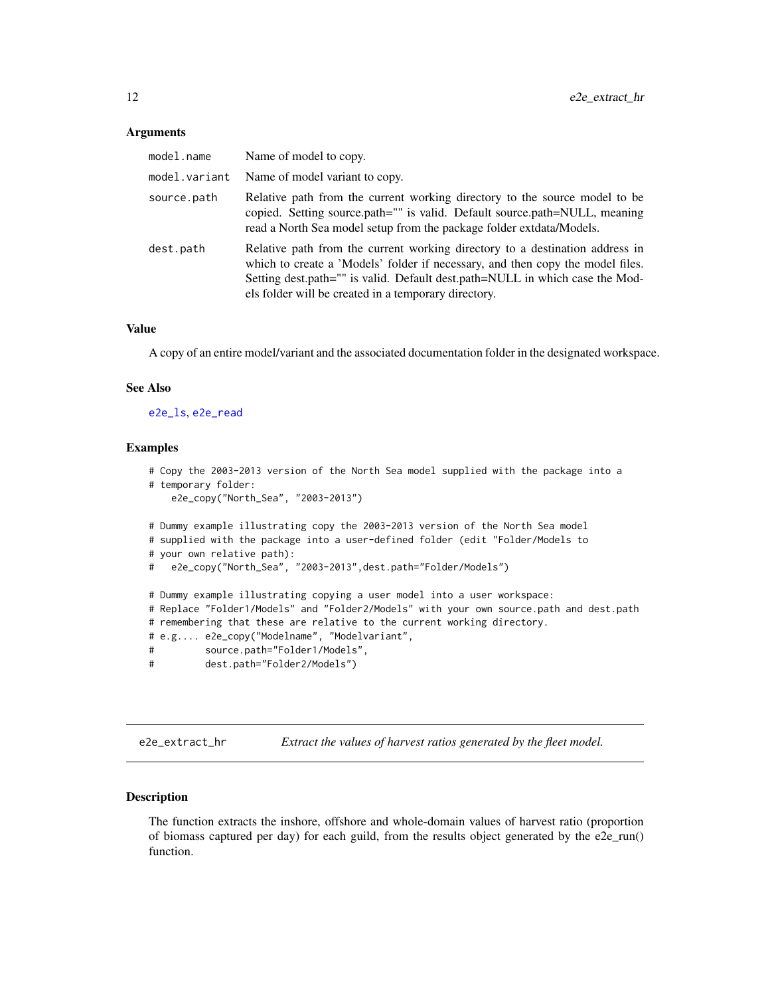#### <span id="page-11-0"></span>**Arguments**

| model.name    | Name of model to copy.                                                                                                                                                                                                                                                                                 |
|---------------|--------------------------------------------------------------------------------------------------------------------------------------------------------------------------------------------------------------------------------------------------------------------------------------------------------|
| model.variant | Name of model variant to copy.                                                                                                                                                                                                                                                                         |
| source.path   | Relative path from the current working directory to the source model to be<br>copied. Setting source.path="" is valid. Default source.path=NULL, meaning<br>read a North Sea model setup from the package folder extdata/Models.                                                                       |
| dest.path     | Relative path from the current working directory to a destination address in<br>which to create a 'Models' folder if necessary, and then copy the model files.<br>Setting dest.path="" is valid. Default dest.path=NULL in which case the Mod-<br>els folder will be created in a temporary directory. |

#### Value

A copy of an entire model/variant and the associated documentation folder in the designated workspace.

#### See Also

[e2e\\_ls](#page-14-1), [e2e\\_read](#page-57-1)

#### Examples

```
# Copy the 2003-2013 version of the North Sea model supplied with the package into a
# temporary folder:
   e2e_copy("North_Sea", "2003-2013")
# Dummy example illustrating copy the 2003-2013 version of the North Sea model
# supplied with the package into a user-defined folder (edit "Folder/Models to
# your own relative path):
# e2e_copy("North_Sea", "2003-2013",dest.path="Folder/Models")
# Dummy example illustrating copying a user model into a user workspace:
# Replace "Folder1/Models" and "Folder2/Models" with your own source.path and dest.path
# remembering that these are relative to the current working directory.
# e.g.... e2e_copy("Modelname", "Modelvariant",
# source.path="Folder1/Models",
# dest.path="Folder2/Models")
```
e2e\_extract\_hr *Extract the values of harvest ratios generated by the fleet model.*

# Description

The function extracts the inshore, offshore and whole-domain values of harvest ratio (proportion of biomass captured per day) for each guild, from the results object generated by the e2e\_run() function.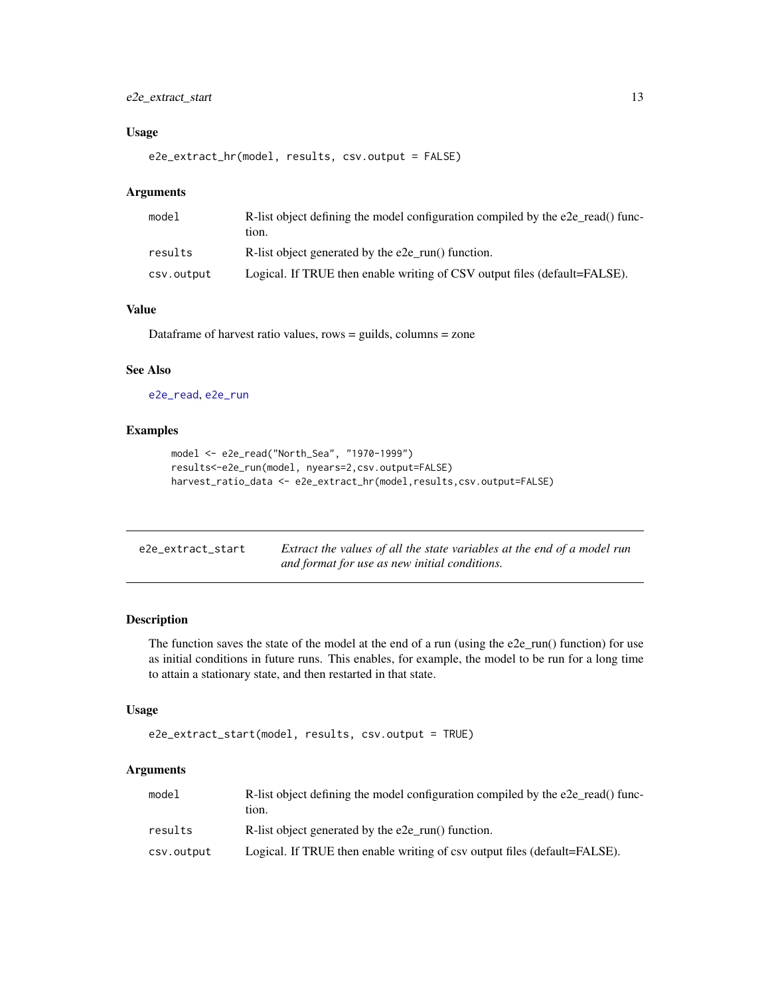# <span id="page-12-0"></span>e2e\_extract\_start 13

# Usage

```
e2e_extract_hr(model, results, csv.output = FALSE)
```
# Arguments

| model      | R-list object defining the model configuration compiled by the e2e read() func-<br>tion. |
|------------|------------------------------------------------------------------------------------------|
| results    | R-list object generated by the e2e_run() function.                                       |
| csv.output | Logical. If TRUE then enable writing of CSV output files (default=FALSE).                |

# Value

Dataframe of harvest ratio values, rows = guilds, columns = zone

# See Also

[e2e\\_read](#page-57-1), [e2e\\_run](#page-60-1)

#### Examples

```
model <- e2e_read("North_Sea", "1970-1999")
results<-e2e_run(model, nyears=2,csv.output=FALSE)
harvest_ratio_data <- e2e_extract_hr(model,results,csv.output=FALSE)
```

| e2e_extract_start | Extract the values of all the state variables at the end of a model run |
|-------------------|-------------------------------------------------------------------------|
|                   | and format for use as new initial conditions.                           |

# Description

The function saves the state of the model at the end of a run (using the  $e2e$ \_run() function) for use as initial conditions in future runs. This enables, for example, the model to be run for a long time to attain a stationary state, and then restarted in that state.

#### Usage

```
e2e_extract_start(model, results, csv.output = TRUE)
```
# Arguments

| model      | R-list object defining the model configuration compiled by the e2e read() func-<br>tion. |
|------------|------------------------------------------------------------------------------------------|
| results    | R-list object generated by the e2e run() function.                                       |
| csv.output | Logical. If TRUE then enable writing of csv output files (default=FALSE).                |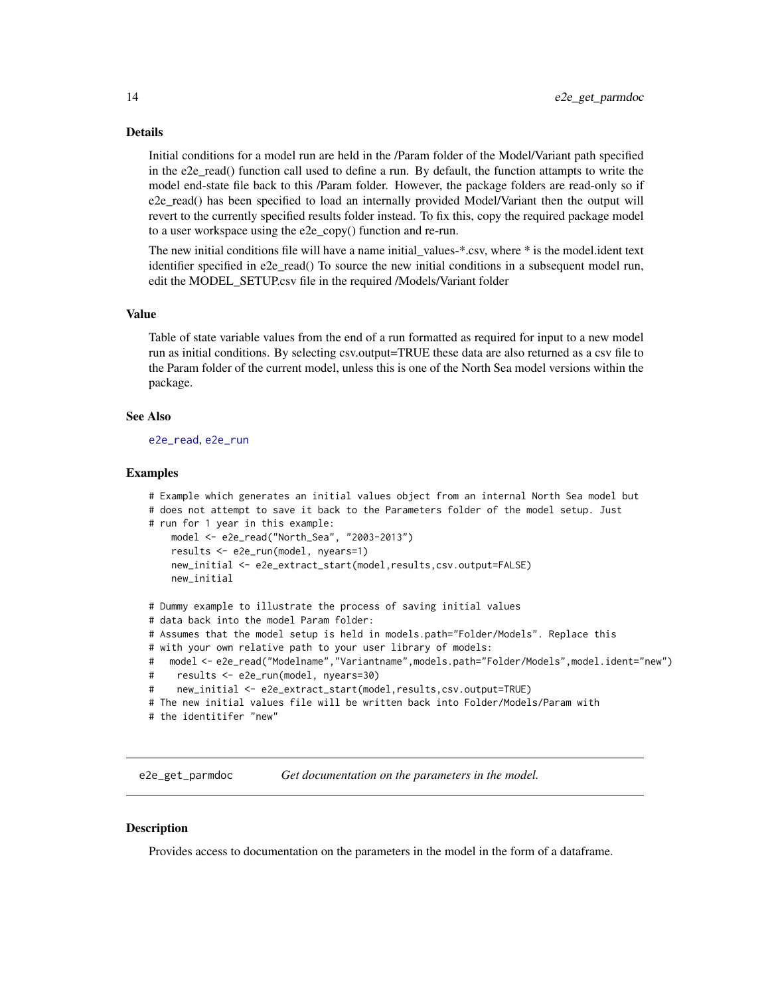#### <span id="page-13-0"></span>Details

Initial conditions for a model run are held in the /Param folder of the Model/Variant path specified in the e2e\_read() function call used to define a run. By default, the function attampts to write the model end-state file back to this /Param folder. However, the package folders are read-only so if e2e\_read() has been specified to load an internally provided Model/Variant then the output will revert to the currently specified results folder instead. To fix this, copy the required package model to a user workspace using the e2e\_copy() function and re-run.

The new initial conditions file will have a name initial values-\*.csv, where \* is the model.ident text identifier specified in e2e read() To source the new initial conditions in a subsequent model run, edit the MODEL\_SETUP.csv file in the required /Models/Variant folder

#### Value

Table of state variable values from the end of a run formatted as required for input to a new model run as initial conditions. By selecting csv.output=TRUE these data are also returned as a csv file to the Param folder of the current model, unless this is one of the North Sea model versions within the package.

#### See Also

[e2e\\_read](#page-57-1), [e2e\\_run](#page-60-1)

#### Examples

```
# Example which generates an initial values object from an internal North Sea model but
# does not attempt to save it back to the Parameters folder of the model setup. Just
# run for 1 year in this example:
    model <- e2e_read("North_Sea", "2003-2013")
    results <- e2e_run(model, nyears=1)
    new_initial <- e2e_extract_start(model,results,csv.output=FALSE)
    new_initial
# Dummy example to illustrate the process of saving initial values
# data back into the model Param folder:
# Assumes that the model setup is held in models.path="Folder/Models". Replace this
# with your own relative path to your user library of models:
# model <- e2e_read("Modelname","Variantname",models.path="Folder/Models",model.ident="new")
# results <- e2e_run(model, nyears=30)
# new_initial <- e2e_extract_start(model,results,csv.output=TRUE)
# The new initial values file will be written back into Folder/Models/Param with
# the identitifer "new"
```
e2e\_get\_parmdoc *Get documentation on the parameters in the model.*

#### **Description**

Provides access to documentation on the parameters in the model in the form of a dataframe.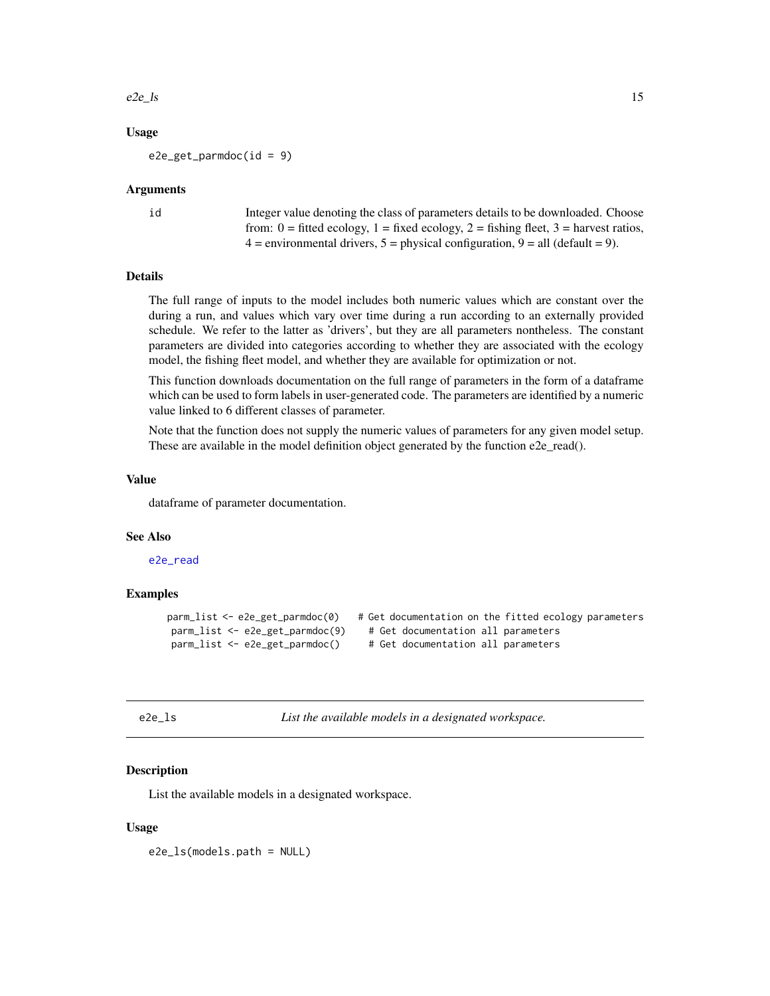### <span id="page-14-0"></span> $e^{2e}\text{Is}$  15

# Usage

 $e2e\_get\_parameters(id = 9)$ 

#### Arguments

id Integer value denoting the class of parameters details to be downloaded. Choose from:  $0 =$  fitted ecology,  $1 =$  fixed ecology,  $2 =$  fishing fleet,  $3 =$  harvest ratios,  $4 =$  environmental drivers,  $5 =$  physical configuration,  $9 =$  all (default = 9).

# Details

The full range of inputs to the model includes both numeric values which are constant over the during a run, and values which vary over time during a run according to an externally provided schedule. We refer to the latter as 'drivers', but they are all parameters nontheless. The constant parameters are divided into categories according to whether they are associated with the ecology model, the fishing fleet model, and whether they are available for optimization or not.

This function downloads documentation on the full range of parameters in the form of a dataframe which can be used to form labels in user-generated code. The parameters are identified by a numeric value linked to 6 different classes of parameter.

Note that the function does not supply the numeric values of parameters for any given model setup. These are available in the model definition object generated by the function e2e\_read().

# Value

dataframe of parameter documentation.

### See Also

[e2e\\_read](#page-57-1)

#### Examples

```
parm_list <- e2e_get_parmdoc(0) # Get documentation on the fitted ecology parameters
parm_list <- e2e_get_parmdoc(9) # Get documentation all parameters
parm_list <- e2e_get_parmdoc() # Get documentation all parameters
```
<span id="page-14-1"></span>e2e\_ls *List the available models in a designated workspace.*

### Description

List the available models in a designated workspace.

#### Usage

e2e\_ls(models.path = NULL)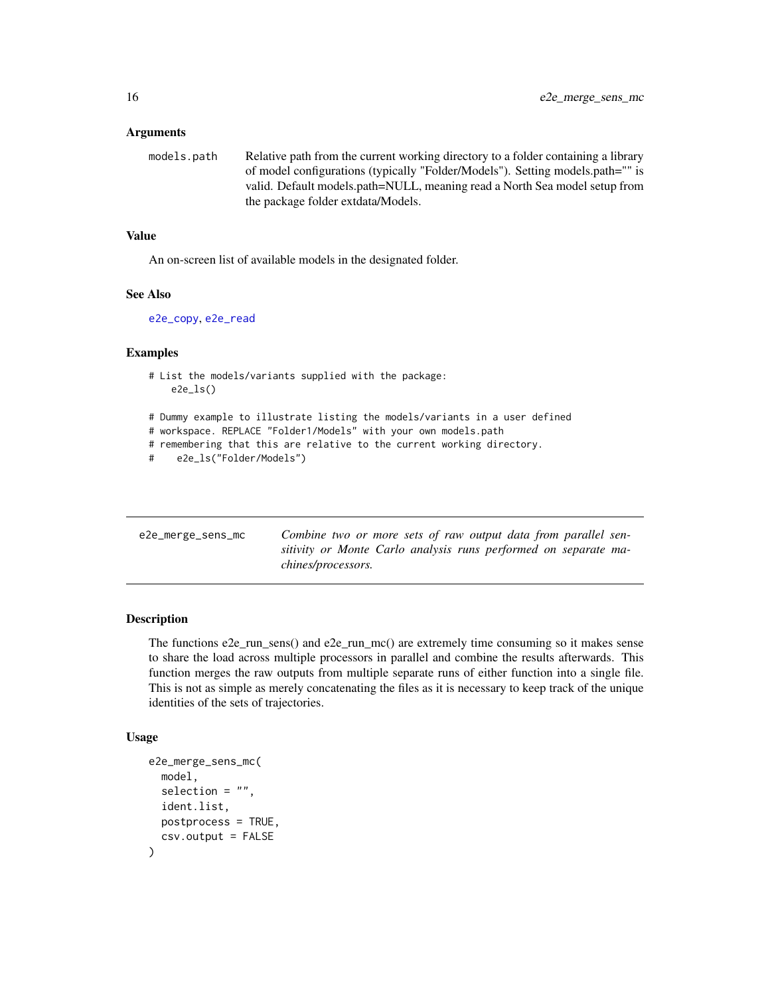#### <span id="page-15-0"></span>Arguments

models.path Relative path from the current working directory to a folder containing a library of model configurations (typically "Folder/Models"). Setting models.path="" is valid. Default models.path=NULL, meaning read a North Sea model setup from the package folder extdata/Models.

#### Value

An on-screen list of available models in the designated folder.

#### See Also

[e2e\\_copy](#page-10-1), [e2e\\_read](#page-57-1)

# Examples

```
# List the models/variants supplied with the package:
    e2e_ls()
```
# Dummy example to illustrate listing the models/variants in a user defined

- # workspace. REPLACE "Folder1/Models" with your own models.path
- # remembering that this are relative to the current working directory.

```
# e2e_ls("Folder/Models")
```

| e2e_merge_sens_mc | Combine two or more sets of raw output data from parallel sen-                               |
|-------------------|----------------------------------------------------------------------------------------------|
|                   | sitivity or Monte Carlo analysis runs performed on separate ma-<br><i>chines/processors.</i> |

# Description

The functions e2e\_run\_sens() and e2e\_run\_mc() are extremely time consuming so it makes sense to share the load across multiple processors in parallel and combine the results afterwards. This function merges the raw outputs from multiple separate runs of either function into a single file. This is not as simple as merely concatenating the files as it is necessary to keep track of the unique identities of the sets of trajectories.

# Usage

```
e2e_merge_sens_mc(
 model,
  selection = ",
  ident.list,
 postprocess = TRUE,
  csv.output = FALSE
)
```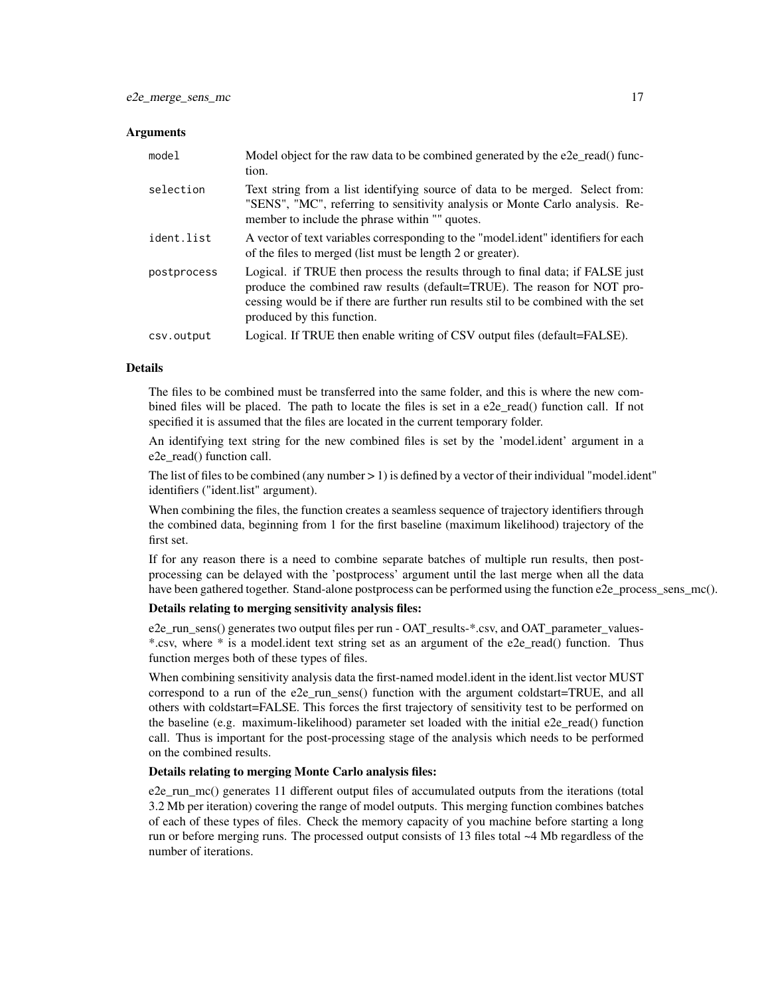#### Arguments

| model       | Model object for the raw data to be combined generated by the e2e_read() func-<br>tion.                                                                                                                                                                                        |
|-------------|--------------------------------------------------------------------------------------------------------------------------------------------------------------------------------------------------------------------------------------------------------------------------------|
| selection   | Text string from a list identifying source of data to be merged. Select from:<br>"SENS", "MC", referring to sensitivity analysis or Monte Carlo analysis. Re-<br>member to include the phrase within "" quotes.                                                                |
| ident.list  | A vector of text variables corresponding to the "model.ident" identifiers for each<br>of the files to merged (list must be length 2 or greater).                                                                                                                               |
| postprocess | Logical. if TRUE then process the results through to final data; if FALSE just<br>produce the combined raw results (default=TRUE). The reason for NOT pro-<br>cessing would be if there are further run results stil to be combined with the set<br>produced by this function. |
| csv.output  | Logical. If TRUE then enable writing of CSV output files (default=FALSE).                                                                                                                                                                                                      |

#### Details

The files to be combined must be transferred into the same folder, and this is where the new combined files will be placed. The path to locate the files is set in a e2e\_read() function call. If not specified it is assumed that the files are located in the current temporary folder.

An identifying text string for the new combined files is set by the 'model.ident' argument in a e2e\_read() function call.

The list of files to be combined (any number  $> 1$ ) is defined by a vector of their individual "model.ident" identifiers ("ident.list" argument).

When combining the files, the function creates a seamless sequence of trajectory identifiers through the combined data, beginning from 1 for the first baseline (maximum likelihood) trajectory of the first set.

If for any reason there is a need to combine separate batches of multiple run results, then postprocessing can be delayed with the 'postprocess' argument until the last merge when all the data have been gathered together. Stand-alone postprocess can be performed using the function e2e\_process\_sens\_mc().

#### Details relating to merging sensitivity analysis files:

e2e\_run\_sens() generates two output files per run - OAT\_results-\*.csv, and OAT\_parameter\_values- \*.csv, where \* is a model.ident text string set as an argument of the e2e\_read() function. Thus function merges both of these types of files.

When combining sensitivity analysis data the first-named model.ident in the ident.list vector MUST correspond to a run of the e2e\_run\_sens() function with the argument coldstart=TRUE, and all others with coldstart=FALSE. This forces the first trajectory of sensitivity test to be performed on the baseline (e.g. maximum-likelihood) parameter set loaded with the initial e2e\_read() function call. Thus is important for the post-processing stage of the analysis which needs to be performed on the combined results.

#### Details relating to merging Monte Carlo analysis files:

e2e run mc() generates 11 different output files of accumulated outputs from the iterations (total 3.2 Mb per iteration) covering the range of model outputs. This merging function combines batches of each of these types of files. Check the memory capacity of you machine before starting a long run or before merging runs. The processed output consists of 13 files total ~4 Mb regardless of the number of iterations.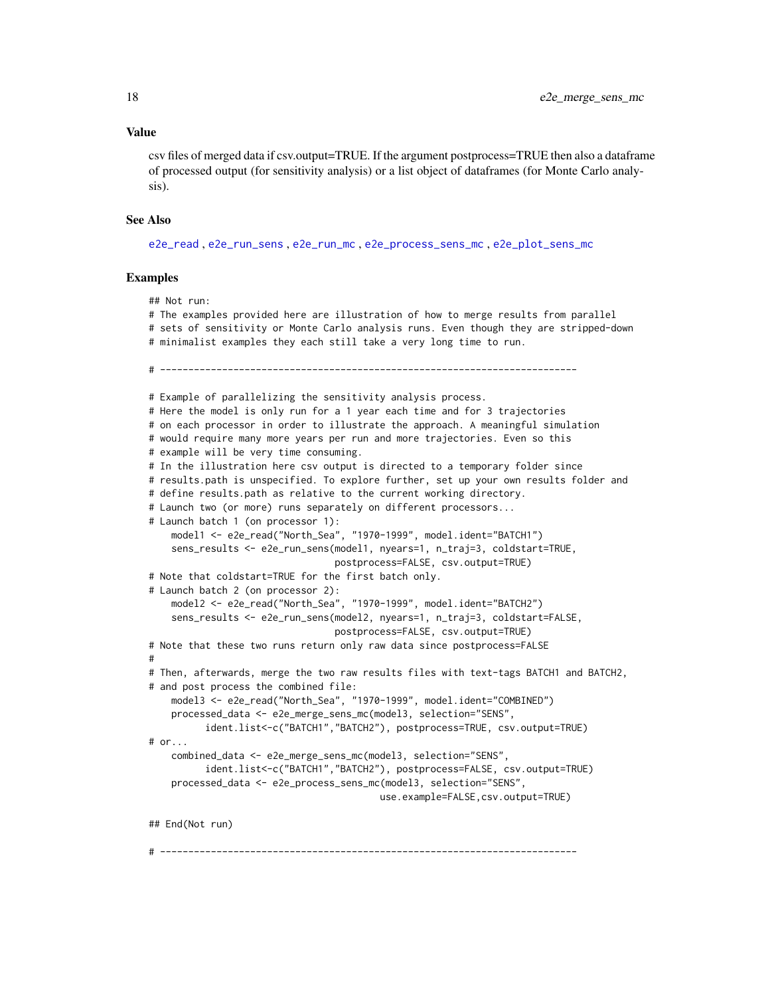#### Value

csv files of merged data if csv.output=TRUE. If the argument postprocess=TRUE then also a dataframe of processed output (for sensitivity analysis) or a list object of dataframes (for Monte Carlo analysis).

# See Also

[e2e\\_read](#page-57-1) , [e2e\\_run\\_sens](#page-67-1) , [e2e\\_run\\_mc](#page-61-1) , [e2e\\_process\\_sens\\_mc](#page-55-1) , [e2e\\_plot\\_sens\\_mc](#page-46-1)

### Examples

```
## Not run:
# The examples provided here are illustration of how to merge results from parallel
# sets of sensitivity or Monte Carlo analysis runs. Even though they are stripped-down
# minimalist examples they each still take a very long time to run.
# --------------------------------------------------------------------------
# Example of parallelizing the sensitivity analysis process.
# Here the model is only run for a 1 year each time and for 3 trajectories
# on each processor in order to illustrate the approach. A meaningful simulation
# would require many more years per run and more trajectories. Even so this
# example will be very time consuming.
# In the illustration here csv output is directed to a temporary folder since
# results.path is unspecified. To explore further, set up your own results folder and
# define results.path as relative to the current working directory.
# Launch two (or more) runs separately on different processors...
# Launch batch 1 (on processor 1):
    model1 <- e2e_read("North_Sea", "1970-1999", model.ident="BATCH1")
    sens_results <- e2e_run_sens(model1, nyears=1, n_traj=3, coldstart=TRUE,
                                 postprocess=FALSE, csv.output=TRUE)
# Note that coldstart=TRUE for the first batch only.
# Launch batch 2 (on processor 2):
    model2 <- e2e_read("North_Sea", "1970-1999", model.ident="BATCH2")
    sens_results <- e2e_run_sens(model2, nyears=1, n_traj=3, coldstart=FALSE,
                                 postprocess=FALSE, csv.output=TRUE)
# Note that these two runs return only raw data since postprocess=FALSE
#
# Then, afterwards, merge the two raw results files with text-tags BATCH1 and BATCH2,
# and post process the combined file:
    model3 <- e2e_read("North_Sea", "1970-1999", model.ident="COMBINED")
   processed_data <- e2e_merge_sens_mc(model3, selection="SENS",
          ident.list<-c("BATCH1","BATCH2"), postprocess=TRUE, csv.output=TRUE)
# or...
    combined_data <- e2e_merge_sens_mc(model3, selection="SENS",
          ident.list<-c("BATCH1","BATCH2"), postprocess=FALSE, csv.output=TRUE)
    processed_data <- e2e_process_sens_mc(model3, selection="SENS",
                                         use.example=FALSE,csv.output=TRUE)
## End(Not run)
```
# --------------------------------------------------------------------------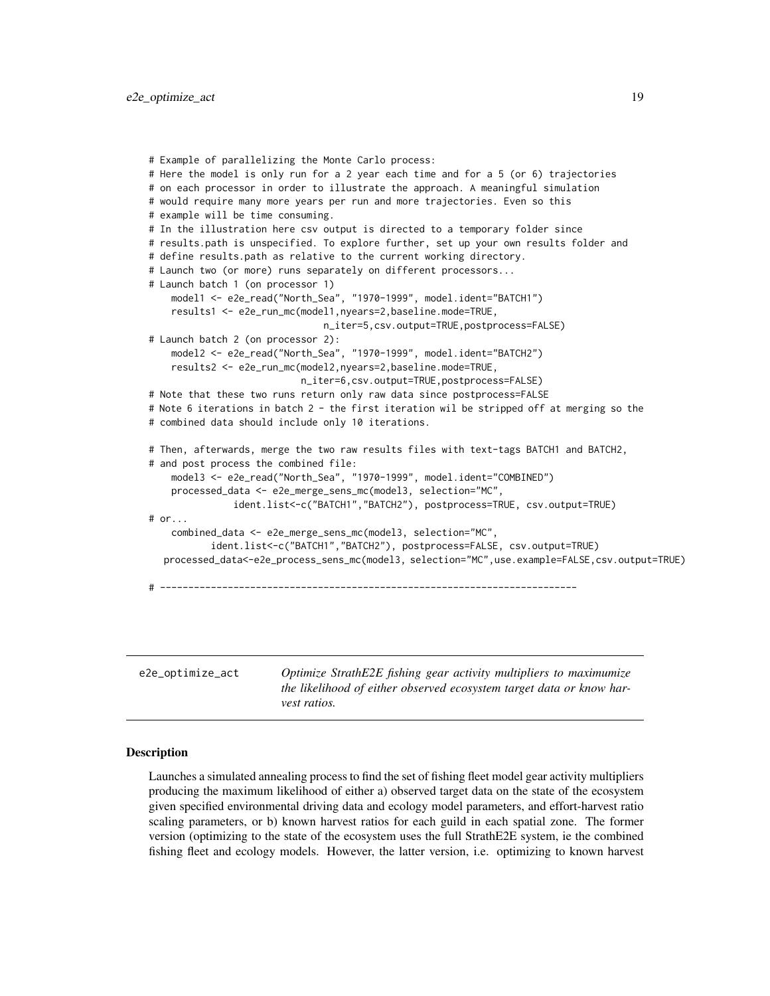```
# Example of parallelizing the Monte Carlo process:
 # Here the model is only run for a 2 year each time and for a 5 (or 6) trajectories
 # on each processor in order to illustrate the approach. A meaningful simulation
 # would require many more years per run and more trajectories. Even so this
 # example will be time consuming.
 # In the illustration here csv output is directed to a temporary folder since
 # results.path is unspecified. To explore further, set up your own results folder and
 # define results.path as relative to the current working directory.
 # Launch two (or more) runs separately on different processors...
 # Launch batch 1 (on processor 1)
     model1 <- e2e_read("North_Sea", "1970-1999", model.ident="BATCH1")
     results1 <- e2e_run_mc(model1,nyears=2,baseline.mode=TRUE,
                                n_iter=5,csv.output=TRUE,postprocess=FALSE)
 # Launch batch 2 (on processor 2):
     model2 <- e2e_read("North_Sea", "1970-1999", model.ident="BATCH2")
     results2 <- e2e_run_mc(model2,nyears=2,baseline.mode=TRUE,
                            n_iter=6,csv.output=TRUE,postprocess=FALSE)
 # Note that these two runs return only raw data since postprocess=FALSE
 # Note 6 iterations in batch 2 - the first iteration wil be stripped off at merging so the
 # combined data should include only 10 iterations.
 # Then, afterwards, merge the two raw results files with text-tags BATCH1 and BATCH2,
 # and post process the combined file:
     model3 <- e2e_read("North_Sea", "1970-1999", model.ident="COMBINED")
     processed_data <- e2e_merge_sens_mc(model3, selection="MC",
                ident.list<-c("BATCH1","BATCH2"), postprocess=TRUE, csv.output=TRUE)
 # or...
     combined_data <- e2e_merge_sens_mc(model3, selection="MC",
            ident.list<-c("BATCH1","BATCH2"), postprocess=FALSE, csv.output=TRUE)
    processed_data<-e2e_process_sens_mc(model3, selection="MC",use.example=FALSE,csv.output=TRUE)
 # --------------------------------------------------------------------------
e2e_optimize_act Optimize StrathE2E fishing gear activity multipliers to maximumize
```
#### <span id="page-18-1"></span>Description

Launches a simulated annealing process to find the set of fishing fleet model gear activity multipliers producing the maximum likelihood of either a) observed target data on the state of the ecosystem given specified environmental driving data and ecology model parameters, and effort-harvest ratio scaling parameters, or b) known harvest ratios for each guild in each spatial zone. The former version (optimizing to the state of the ecosystem uses the full StrathE2E system, ie the combined fishing fleet and ecology models. However, the latter version, i.e. optimizing to known harvest

*vest ratios.*

*the likelihood of either observed ecosystem target data or know har-*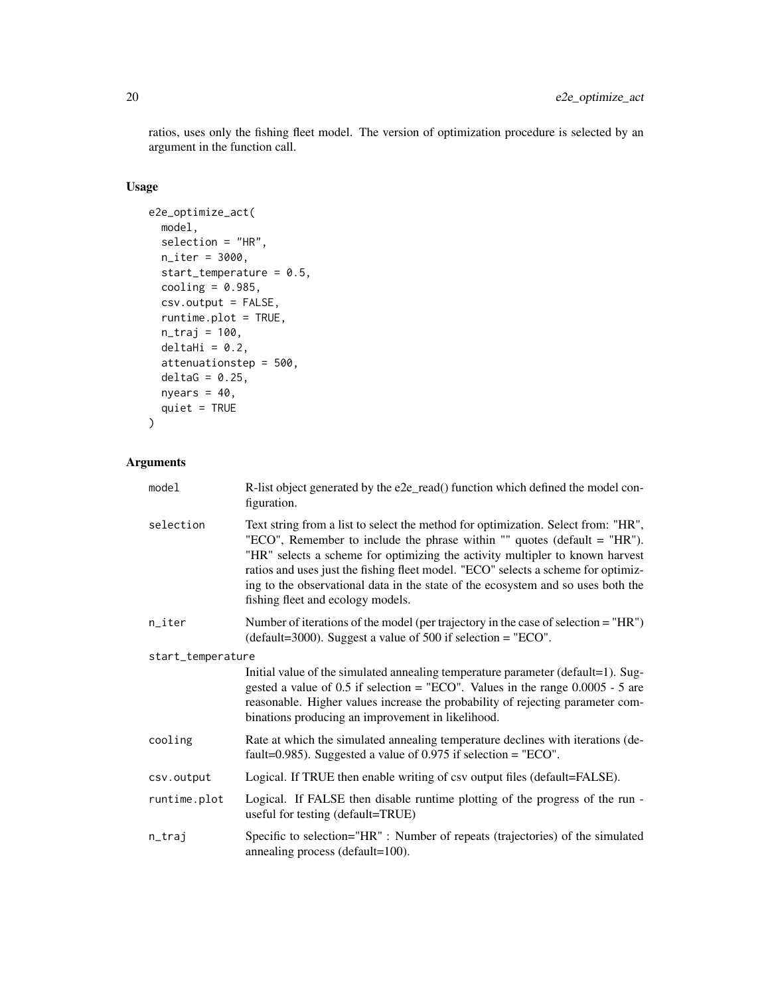ratios, uses only the fishing fleet model. The version of optimization procedure is selected by an argument in the function call.

# Usage

```
e2e_optimize_act(
 model,
 selection = "HR",
 n_iter = 3000,
 start_temperature = 0.5,
 cooling = 0.985,
 csv.output = FALSE,
  runtime.plot = TRUE,
 n_traj = 100,
 deltaHi = 0.2,
 attenuationstep = 500,
 delta = 0.25,
 nyears = 40,
 quiet = TRUE)
```
# Arguments

| model             | R-list object generated by the e2e_read() function which defined the model con-<br>figuration.                                                                                                                                                                                                                                                                                                                                                              |  |
|-------------------|-------------------------------------------------------------------------------------------------------------------------------------------------------------------------------------------------------------------------------------------------------------------------------------------------------------------------------------------------------------------------------------------------------------------------------------------------------------|--|
| selection         | Text string from a list to select the method for optimization. Select from: "HR",<br>"ECO", Remember to include the phrase within "" quotes (default = "HR").<br>"HR" selects a scheme for optimizing the activity multipler to known harvest<br>ratios and uses just the fishing fleet model. "ECO" selects a scheme for optimiz-<br>ing to the observational data in the state of the ecosystem and so uses both the<br>fishing fleet and ecology models. |  |
| $n$ _iter         | Number of iterations of the model (per trajectory in the case of selection = "HR")<br>(default=3000). Suggest a value of 500 if selection = $"ECO"$ .                                                                                                                                                                                                                                                                                                       |  |
| start_temperature |                                                                                                                                                                                                                                                                                                                                                                                                                                                             |  |
|                   | Initial value of the simulated annealing temperature parameter (default=1). Sug-<br>gested a value of 0.5 if selection = "ECO". Values in the range $0.0005 - 5$ are<br>reasonable. Higher values increase the probability of rejecting parameter com-<br>binations producing an improvement in likelihood.                                                                                                                                                 |  |
| cooling           | Rate at which the simulated annealing temperature declines with iterations (de-<br>fault=0.985). Suggested a value of $0.975$ if selection = "ECO".                                                                                                                                                                                                                                                                                                         |  |
| csv.output        | Logical. If TRUE then enable writing of csv output files (default=FALSE).                                                                                                                                                                                                                                                                                                                                                                                   |  |
| runtime.plot      | Logical. If FALSE then disable runtime plotting of the progress of the run -<br>useful for testing (default=TRUE)                                                                                                                                                                                                                                                                                                                                           |  |
| n_traj            | Specific to selection="HR" : Number of repeats (trajectories) of the simulated<br>annealing process (default=100).                                                                                                                                                                                                                                                                                                                                          |  |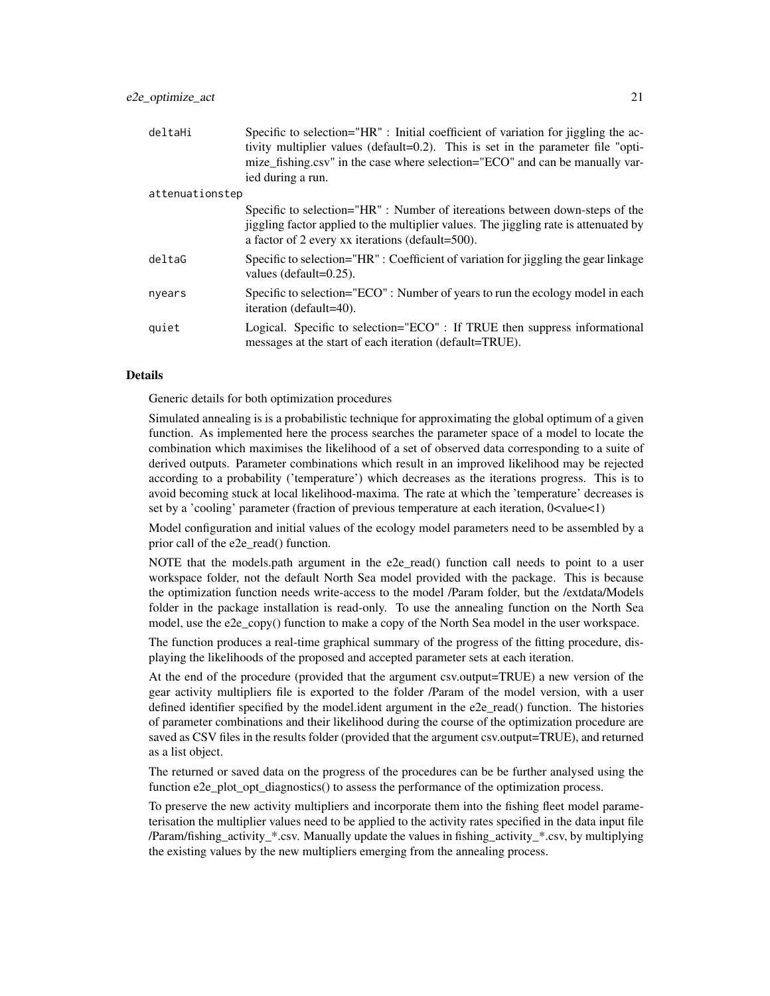| deltaHi         | Specific to selection="HR": Initial coefficient of variation for jiggling the ac-<br>tivity multiplier values (default=0.2). This is set in the parameter file "opti-<br>mize_fishing.csv" in the case where selection="ECO" and can be manually var-<br>ied during a run. |  |
|-----------------|----------------------------------------------------------------------------------------------------------------------------------------------------------------------------------------------------------------------------------------------------------------------------|--|
| attenuationstep |                                                                                                                                                                                                                                                                            |  |
|                 | Specific to selection="HR": Number of itereations between down-steps of the<br>jiggling factor applied to the multiplier values. The jiggling rate is attenuated by<br>a factor of 2 every xx iterations (default=500).                                                    |  |
| deltaG          | Specific to selection="HR": Coefficient of variation for jiggling the gear linkage<br>values (default= $0.25$ ).                                                                                                                                                           |  |
| nyears          | Specific to selection="ECO": Number of years to run the ecology model in each<br>iteration (default=40).                                                                                                                                                                   |  |
| quiet           | Logical. Specific to selection="ECO": If TRUE then suppress informational<br>messages at the start of each iteration (default=TRUE).                                                                                                                                       |  |

#### Details

Generic details for both optimization procedures

Simulated annealing is is a probabilistic technique for approximating the global optimum of a given function. As implemented here the process searches the parameter space of a model to locate the combination which maximises the likelihood of a set of observed data corresponding to a suite of derived outputs. Parameter combinations which result in an improved likelihood may be rejected according to a probability ('temperature') which decreases as the iterations progress. This is to avoid becoming stuck at local likelihood-maxima. The rate at which the 'temperature' decreases is set by a 'cooling' parameter (fraction of previous temperature at each iteration,  $0 \le value \le 1$ )

Model configuration and initial values of the ecology model parameters need to be assembled by a prior call of the e2e\_read() function.

NOTE that the models.path argument in the e2e read() function call needs to point to a user workspace folder, not the default North Sea model provided with the package. This is because the optimization function needs write-access to the model /Param folder, but the /extdata/Models folder in the package installation is read-only. To use the annealing function on the North Sea model, use the e2e\_copy() function to make a copy of the North Sea model in the user workspace.

The function produces a real-time graphical summary of the progress of the fitting procedure, displaying the likelihoods of the proposed and accepted parameter sets at each iteration.

At the end of the procedure (provided that the argument csv.output=TRUE) a new version of the gear activity multipliers file is exported to the folder /Param of the model version, with a user defined identifier specified by the model.ident argument in the e2e read() function. The histories of parameter combinations and their likelihood during the course of the optimization procedure are saved as CSV files in the results folder (provided that the argument csv.output=TRUE), and returned as a list object.

The returned or saved data on the progress of the procedures can be be further analysed using the function e2e\_plot\_opt\_diagnostics() to assess the performance of the optimization process.

To preserve the new activity multipliers and incorporate them into the fishing fleet model parameterisation the multiplier values need to be applied to the activity rates specified in the data input file /Param/fishing\_activity\_\*.csv. Manually update the values in fishing\_activity\_\*.csv, by multiplying the existing values by the new multipliers emerging from the annealing process.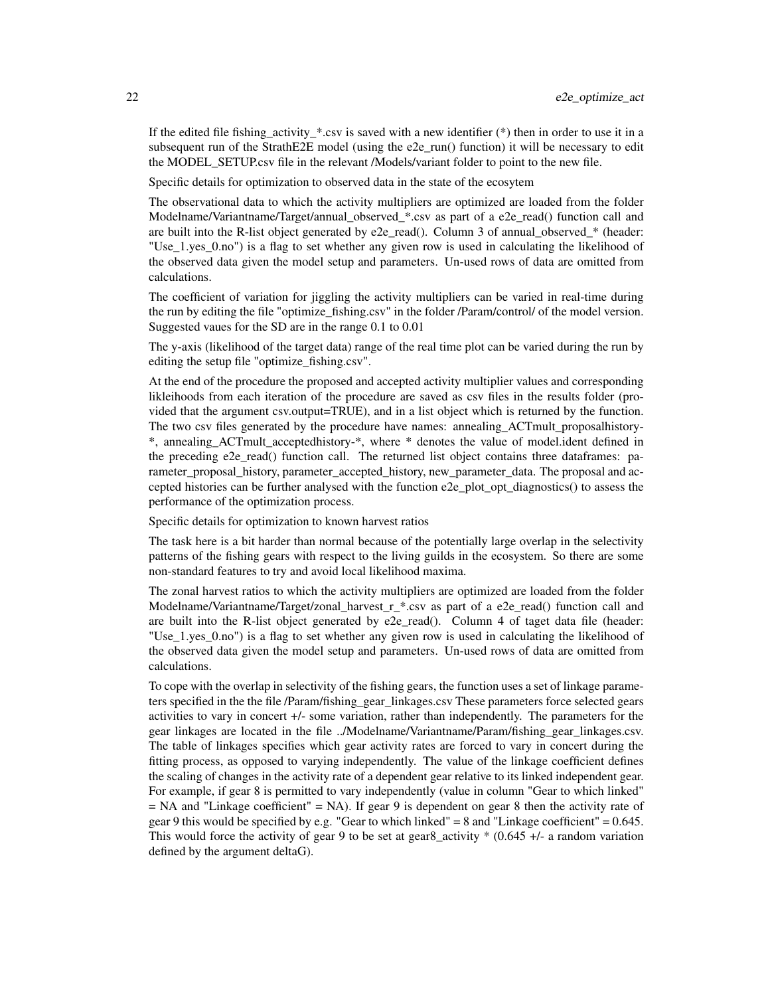If the edited file fishing\_activity\_ $*$ .csv is saved with a new identifier  $(*)$  then in order to use it in a subsequent run of the StrathE2E model (using the e2e run() function) it will be necessary to edit the MODEL\_SETUP.csv file in the relevant /Models/variant folder to point to the new file.

Specific details for optimization to observed data in the state of the ecosytem

The observational data to which the activity multipliers are optimized are loaded from the folder Modelname/Variantname/Target/annual\_observed\_\*.csv as part of a e2e\_read() function call and are built into the R-list object generated by e2e read(). Column 3 of annual observed  $*$  (header: "Use\_1.yes\_0.no") is a flag to set whether any given row is used in calculating the likelihood of the observed data given the model setup and parameters. Un-used rows of data are omitted from calculations.

The coefficient of variation for jiggling the activity multipliers can be varied in real-time during the run by editing the file "optimize\_fishing.csv" in the folder /Param/control/ of the model version. Suggested vaues for the SD are in the range 0.1 to 0.01

The y-axis (likelihood of the target data) range of the real time plot can be varied during the run by editing the setup file "optimize\_fishing.csv".

At the end of the procedure the proposed and accepted activity multiplier values and corresponding likleihoods from each iteration of the procedure are saved as csv files in the results folder (provided that the argument csv.output=TRUE), and in a list object which is returned by the function. The two csv files generated by the procedure have names: annealing\_ACTmult\_proposalhistory- \*, annealing\_ACTmult\_acceptedhistory-\*, where \* denotes the value of model.ident defined in the preceding e2e\_read() function call. The returned list object contains three dataframes: parameter\_proposal\_history, parameter\_accepted\_history, new\_parameter\_data. The proposal and accepted histories can be further analysed with the function e2e plot opt diagnostics() to assess the performance of the optimization process.

Specific details for optimization to known harvest ratios

The task here is a bit harder than normal because of the potentially large overlap in the selectivity patterns of the fishing gears with respect to the living guilds in the ecosystem. So there are some non-standard features to try and avoid local likelihood maxima.

The zonal harvest ratios to which the activity multipliers are optimized are loaded from the folder Modelname/Variantname/Target/zonal\_harvest\_r\_\*.csv as part of a e2e\_read() function call and are built into the R-list object generated by e2e\_read(). Column 4 of taget data file (header: "Use\_1.yes\_0.no") is a flag to set whether any given row is used in calculating the likelihood of the observed data given the model setup and parameters. Un-used rows of data are omitted from calculations.

To cope with the overlap in selectivity of the fishing gears, the function uses a set of linkage parameters specified in the the file /Param/fishing\_gear\_linkages.csv These parameters force selected gears activities to vary in concert +/- some variation, rather than independently. The parameters for the gear linkages are located in the file ../Modelname/Variantname/Param/fishing\_gear\_linkages.csv. The table of linkages specifies which gear activity rates are forced to vary in concert during the fitting process, as opposed to varying independently. The value of the linkage coefficient defines the scaling of changes in the activity rate of a dependent gear relative to its linked independent gear. For example, if gear 8 is permitted to vary independently (value in column "Gear to which linked"  $=$  NA and "Linkage coefficient"  $=$  NA). If gear 9 is dependent on gear 8 then the activity rate of gear 9 this would be specified by e.g. "Gear to which linked" =  $8$  and "Linkage coefficient" =  $0.645$ . This would force the activity of gear 9 to be set at gear 8 activity  $*$  (0.645 +/- a random variation defined by the argument deltaG).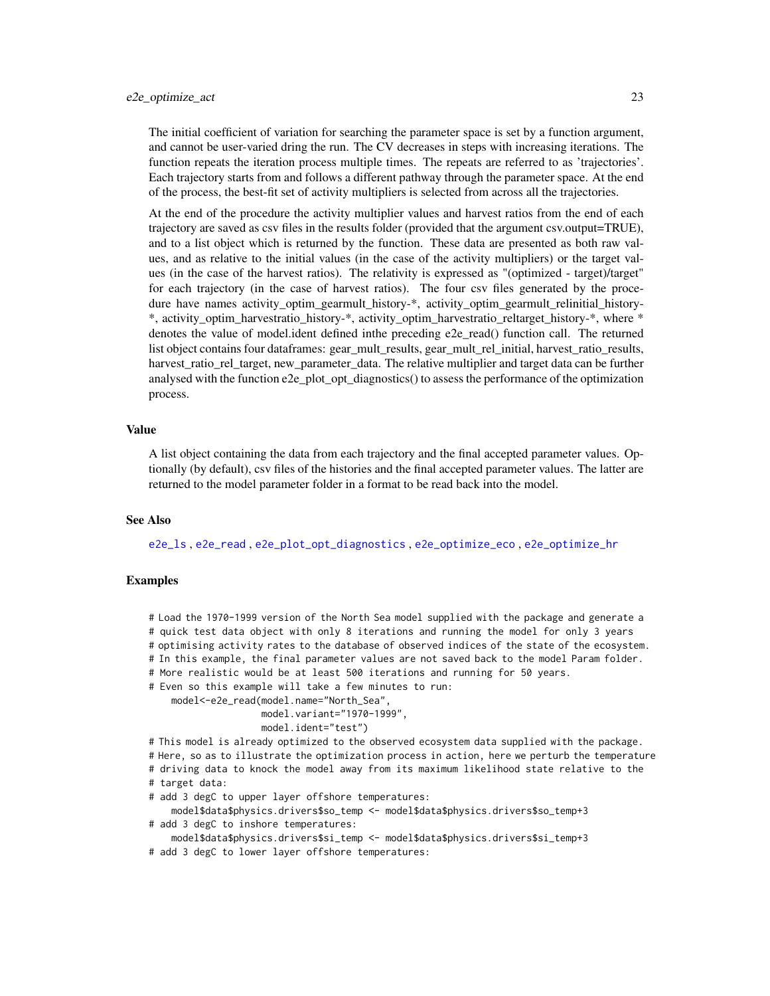The initial coefficient of variation for searching the parameter space is set by a function argument, and cannot be user-varied dring the run. The CV decreases in steps with increasing iterations. The function repeats the iteration process multiple times. The repeats are referred to as 'trajectories'. Each trajectory starts from and follows a different pathway through the parameter space. At the end of the process, the best-fit set of activity multipliers is selected from across all the trajectories.

At the end of the procedure the activity multiplier values and harvest ratios from the end of each trajectory are saved as csv files in the results folder (provided that the argument csv.output=TRUE), and to a list object which is returned by the function. These data are presented as both raw values, and as relative to the initial values (in the case of the activity multipliers) or the target values (in the case of the harvest ratios). The relativity is expressed as "(optimized - target)/target" for each trajectory (in the case of harvest ratios). The four csv files generated by the procedure have names activity\_optim\_gearmult\_history-\*, activity\_optim\_gearmult\_relinitial\_history- \*, activity\_optim\_harvestratio\_history-\*, activity\_optim\_harvestratio\_reltarget\_history-\*, where \* denotes the value of model.ident defined inthe preceding e2e read() function call. The returned list object contains four dataframes: gear mult results, gear mult rel initial, harvest ratio results, harvest\_ratio\_rel\_target, new\_parameter\_data. The relative multiplier and target data can be further analysed with the function e2e\_plot\_opt\_diagnostics() to assess the performance of the optimization process.

# Value

A list object containing the data from each trajectory and the final accepted parameter values. Optionally (by default), csv files of the histories and the final accepted parameter values. The latter are returned to the model parameter folder in a format to be read back into the model.

### See Also

[e2e\\_ls](#page-14-1) , [e2e\\_read](#page-57-1) , [e2e\\_plot\\_opt\\_diagnostics](#page-42-1) , [e2e\\_optimize\\_eco](#page-24-1) , [e2e\\_optimize\\_hr](#page-27-1)

### Examples

# Load the 1970-1999 version of the North Sea model supplied with the package and generate a # quick test data object with only 8 iterations and running the model for only 3 years

# optimising activity rates to the database of observed indices of the state of the ecosystem.

# In this example, the final parameter values are not saved back to the model Param folder.

- # More realistic would be at least 500 iterations and running for 50 years.
- # Even so this example will take a few minutes to run:
	- model<-e2e\_read(model.name="North\_Sea",

model.variant="1970-1999",

```
model.ident="test")
```
# This model is already optimized to the observed ecosystem data supplied with the package. # Here, so as to illustrate the optimization process in action, here we perturb the temperature # driving data to knock the model away from its maximum likelihood state relative to the # target data:

# add 3 degC to upper layer offshore temperatures:

model\$data\$physics.drivers\$so\_temp <- model\$data\$physics.drivers\$so\_temp+3

# add 3 degC to inshore temperatures:

model\$data\$physics.drivers\$si\_temp <- model\$data\$physics.drivers\$si\_temp+3

# add 3 degC to lower layer offshore temperatures: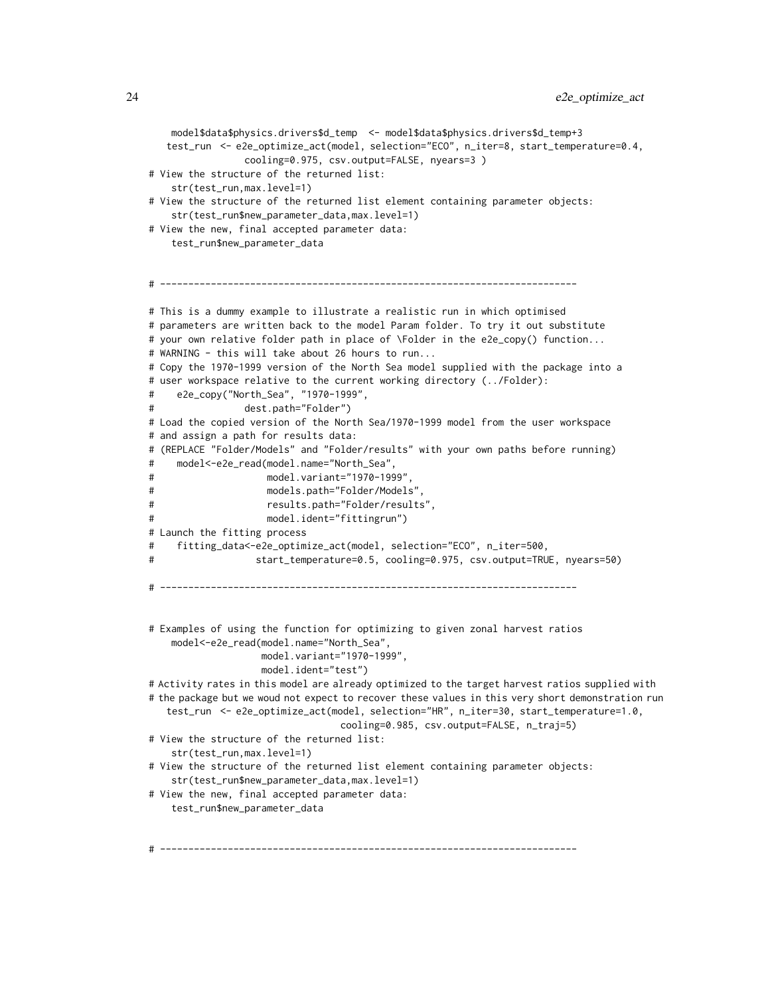```
model$data$physics.drivers$d_temp <- model$data$physics.drivers$d_temp+3
   test_run <- e2e_optimize_act(model, selection="ECO", n_iter=8, start_temperature=0.4,
                cooling=0.975, csv.output=FALSE, nyears=3 )
# View the structure of the returned list:
   str(test_run,max.level=1)
# View the structure of the returned list element containing parameter objects:
   str(test_run$new_parameter_data,max.level=1)
# View the new, final accepted parameter data:
   test_run$new_parameter_data
# --------------------------------------------------------------------------
# This is a dummy example to illustrate a realistic run in which optimised
# parameters are written back to the model Param folder. To try it out substitute
# your own relative folder path in place of \Folder in the e2e_copy() function...
# WARNING - this will take about 26 hours to run...
# Copy the 1970-1999 version of the North Sea model supplied with the package into a
# user workspace relative to the current working directory (../Folder):
# e2e_copy("North_Sea", "1970-1999",
# dest.path="Folder")
# Load the copied version of the North Sea/1970-1999 model from the user workspace
# and assign a path for results data:
# (REPLACE "Folder/Models" and "Folder/results" with your own paths before running)
    model<-e2e_read(model.name="North_Sea",
# model.variant="1970-1999",
# models.path="Folder/Models",
# results.path="Folder/results",
# model.ident="fittingrun")
# Launch the fitting process
# fitting_data<-e2e_optimize_act(model, selection="ECO", n_iter=500,
# start_temperature=0.5, cooling=0.975, csv.output=TRUE, nyears=50)
# --------------------------------------------------------------------------
# Examples of using the function for optimizing to given zonal harvest ratios
   model<-e2e_read(model.name="North_Sea",
                   model.variant="1970-1999",
                   model.ident="test")
# Activity rates in this model are already optimized to the target harvest ratios supplied with
# the package but we woud not expect to recover these values in this very short demonstration run
   test_run <- e2e_optimize_act(model, selection="HR", n_iter=30, start_temperature=1.0,
                                cooling=0.985, csv.output=FALSE, n_traj=5)
# View the structure of the returned list:
   str(test_run,max.level=1)
# View the structure of the returned list element containing parameter objects:
   str(test_run$new_parameter_data,max.level=1)
# View the new, final accepted parameter data:
   test_run$new_parameter_data
```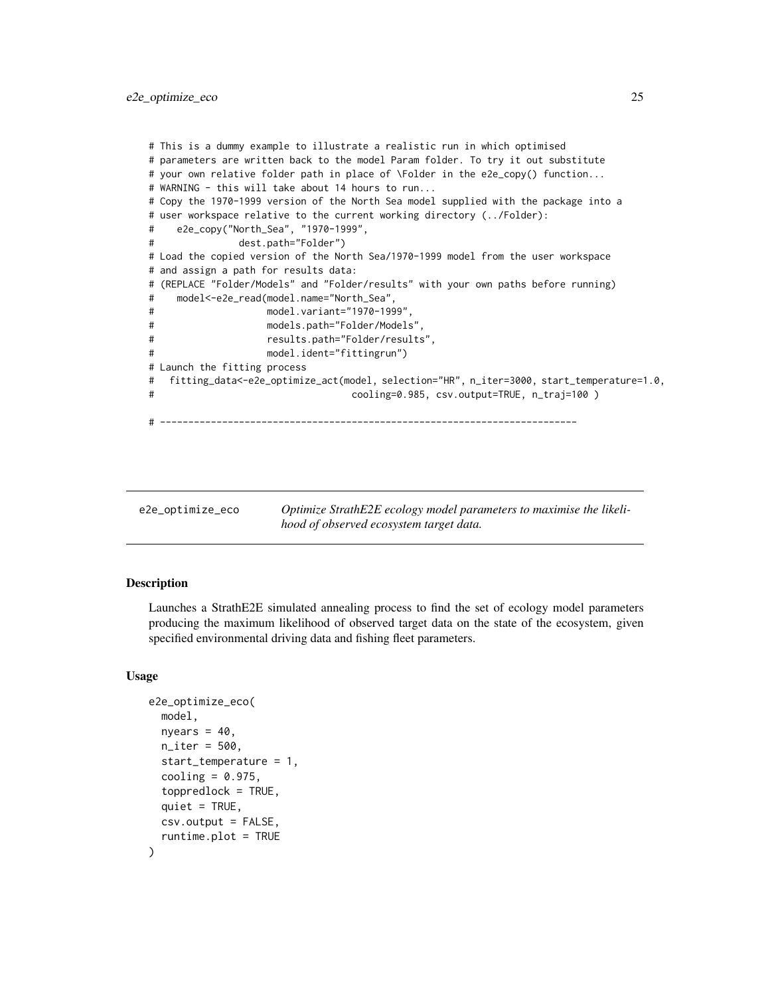```
# This is a dummy example to illustrate a realistic run in which optimised
# parameters are written back to the model Param folder. To try it out substitute
# your own relative folder path in place of \Folder in the e2e_copy() function...
# WARNING - this will take about 14 hours to run...
# Copy the 1970-1999 version of the North Sea model supplied with the package into a
# user workspace relative to the current working directory (../Folder):
    e2e_copy("North_Sea", "1970-1999",
# dest.path="Folder")
# Load the copied version of the North Sea/1970-1999 model from the user workspace
# and assign a path for results data:
# (REPLACE "Folder/Models" and "Folder/results" with your own paths before running)
# model<-e2e_read(model.name="North_Sea",
# model.variant="1970-1999",
# models.path="Folder/Models",
# results.path="Folder/results",
# model.ident="fittingrun")
# Launch the fitting process
# fitting_data<-e2e_optimize_act(model, selection="HR", n_iter=3000, start_temperature=1.0,
# cooling=0.985, csv.output=TRUE, n_traj=100 )
# --------------------------------------------------------------------------
```
<span id="page-24-1"></span>e2e\_optimize\_eco *Optimize StrathE2E ecology model parameters to maximise the likelihood of observed ecosystem target data.*

#### Description

Launches a StrathE2E simulated annealing process to find the set of ecology model parameters producing the maximum likelihood of observed target data on the state of the ecosystem, given specified environmental driving data and fishing fleet parameters.

#### Usage

```
e2e_optimize_eco(
  model,
  nyears = 40,
  n<sup>1</sup>ter = 500,
  start_temperature = 1,
  cooling = 0.975,
  toppredlock = TRUE,
  quiet = TRUE,csv.output = FALSE,
  runtime.plot = TRUE
)
```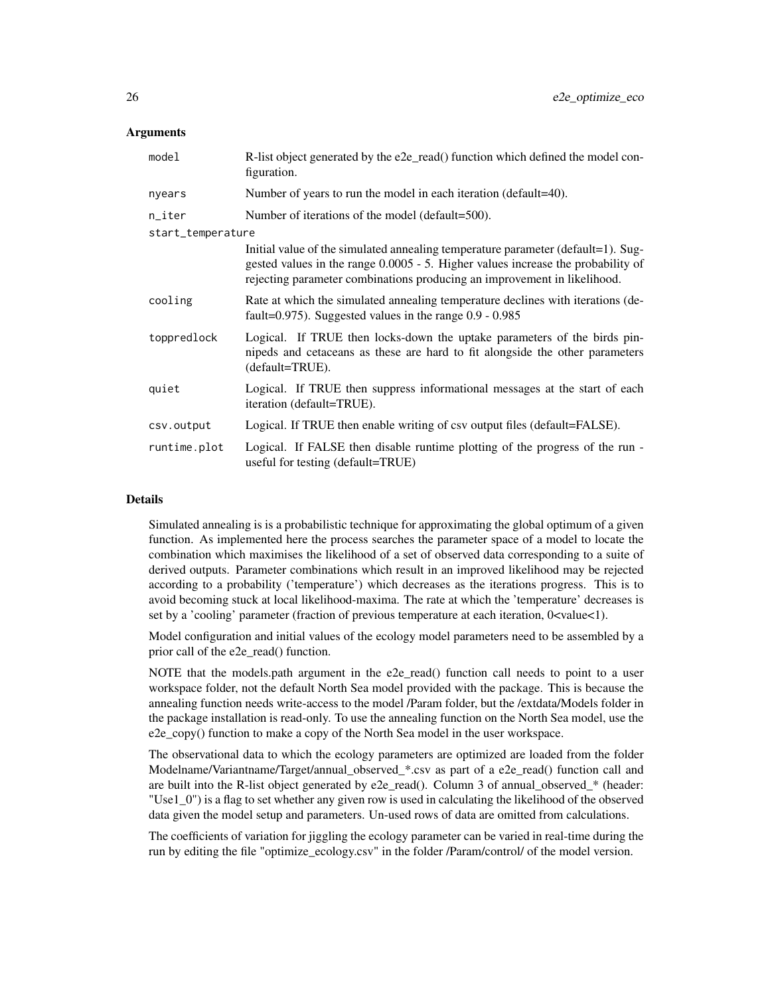### **Arguments**

| model             | R-list object generated by the e2e_read() function which defined the model con-<br>figuration.                                                                                                                                                   |
|-------------------|--------------------------------------------------------------------------------------------------------------------------------------------------------------------------------------------------------------------------------------------------|
| nyears            | Number of years to run the model in each iteration (default=40).                                                                                                                                                                                 |
| n_iter            | Number of iterations of the model (default=500).                                                                                                                                                                                                 |
| start_temperature |                                                                                                                                                                                                                                                  |
|                   | Initial value of the simulated annealing temperature parameter (default=1). Sug-<br>gested values in the range 0.0005 - 5. Higher values increase the probability of<br>rejecting parameter combinations producing an improvement in likelihood. |
| cooling           | Rate at which the simulated annealing temperature declines with iterations (de-<br>fault= $0.975$ ). Suggested values in the range $0.9 - 0.985$                                                                                                 |
| toppredlock       | Logical. If TRUE then locks-down the uptake parameters of the birds pin-<br>nipeds and cetaceans as these are hard to fit alongside the other parameters<br>(default=TRUE).                                                                      |
| quiet             | Logical. If TRUE then suppress informational messages at the start of each<br>iteration (default=TRUE).                                                                                                                                          |
| csv.output        | Logical. If TRUE then enable writing of csv output files (default=FALSE).                                                                                                                                                                        |
| runtime.plot      | Logical. If FALSE then disable runtime plotting of the progress of the run -<br>useful for testing (default=TRUE)                                                                                                                                |

# Details

Simulated annealing is is a probabilistic technique for approximating the global optimum of a given function. As implemented here the process searches the parameter space of a model to locate the combination which maximises the likelihood of a set of observed data corresponding to a suite of derived outputs. Parameter combinations which result in an improved likelihood may be rejected according to a probability ('temperature') which decreases as the iterations progress. This is to avoid becoming stuck at local likelihood-maxima. The rate at which the 'temperature' decreases is set by a 'cooling' parameter (fraction of previous temperature at each iteration, 0<value<1).

Model configuration and initial values of the ecology model parameters need to be assembled by a prior call of the e2e\_read() function.

NOTE that the models.path argument in the e2e read() function call needs to point to a user workspace folder, not the default North Sea model provided with the package. This is because the annealing function needs write-access to the model /Param folder, but the /extdata/Models folder in the package installation is read-only. To use the annealing function on the North Sea model, use the e2e\_copy() function to make a copy of the North Sea model in the user workspace.

The observational data to which the ecology parameters are optimized are loaded from the folder Modelname/Variantname/Target/annual\_observed\_\*.csv as part of a e2e\_read() function call and are built into the R-list object generated by e2e\_read(). Column 3 of annual\_observed\_\* (header: "Use1\_0") is a flag to set whether any given row is used in calculating the likelihood of the observed data given the model setup and parameters. Un-used rows of data are omitted from calculations.

The coefficients of variation for jiggling the ecology parameter can be varied in real-time during the run by editing the file "optimize\_ecology.csv" in the folder /Param/control/ of the model version.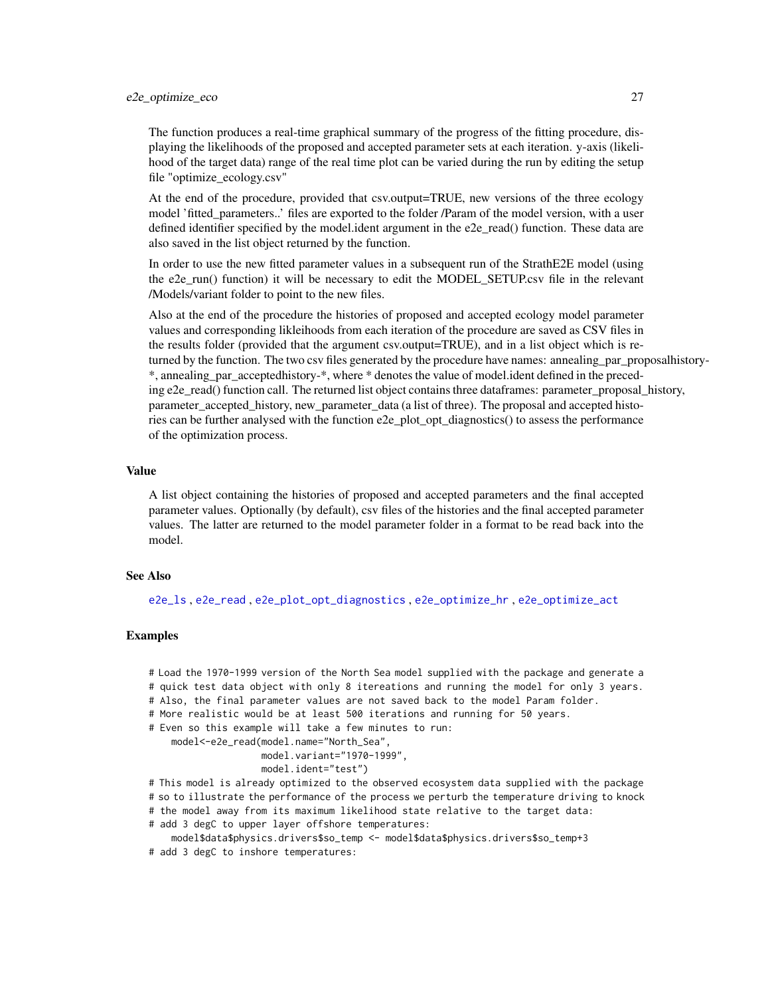The function produces a real-time graphical summary of the progress of the fitting procedure, displaying the likelihoods of the proposed and accepted parameter sets at each iteration. y-axis (likelihood of the target data) range of the real time plot can be varied during the run by editing the setup file "optimize\_ecology.csv"

At the end of the procedure, provided that csv.output=TRUE, new versions of the three ecology model 'fitted\_parameters..' files are exported to the folder /Param of the model version, with a user defined identifier specified by the model.ident argument in the e2e\_read() function. These data are also saved in the list object returned by the function.

In order to use the new fitted parameter values in a subsequent run of the StrathE2E model (using the e2e run() function) it will be necessary to edit the MODEL SETUP.csv file in the relevant /Models/variant folder to point to the new files.

Also at the end of the procedure the histories of proposed and accepted ecology model parameter values and corresponding likleihoods from each iteration of the procedure are saved as CSV files in the results folder (provided that the argument csv.output=TRUE), and in a list object which is returned by the function. The two csv files generated by the procedure have names: annealing\_par\_proposalhistory- \*, annealing\_par\_acceptedhistory-\*, where \* denotes the value of model.ident defined in the preceding e2e\_read() function call. The returned list object contains three dataframes: parameter proposal history, parameter accepted history, new parameter data (a list of three). The proposal and accepted histories can be further analysed with the function e2e\_plot\_opt\_diagnostics() to assess the performance of the optimization process.

#### Value

A list object containing the histories of proposed and accepted parameters and the final accepted parameter values. Optionally (by default), csv files of the histories and the final accepted parameter values. The latter are returned to the model parameter folder in a format to be read back into the model.

# See Also

[e2e\\_ls](#page-14-1) , [e2e\\_read](#page-57-1) , [e2e\\_plot\\_opt\\_diagnostics](#page-42-1) , [e2e\\_optimize\\_hr](#page-27-1) , [e2e\\_optimize\\_act](#page-18-1)

#### Examples

- # Load the 1970-1999 version of the North Sea model supplied with the package and generate a # quick test data object with only 8 itereations and running the model for only 3 years.
- # Also, the final parameter values are not saved back to the model Param folder.
- # More realistic would be at least 500 iterations and running for 50 years.

# Even so this example will take a few minutes to run:

model<-e2e\_read(model.name="North\_Sea",

```
model.variant="1970-1999",
```

```
model.ident="test")
```
- # This model is already optimized to the observed ecosystem data supplied with the package # so to illustrate the performance of the process we perturb the temperature driving to knock
- # the model away from its maximum likelihood state relative to the target data:
- # add 3 degC to upper layer offshore temperatures:
- model\$data\$physics.drivers\$so\_temp <- model\$data\$physics.drivers\$so\_temp+3
- # add 3 degC to inshore temperatures: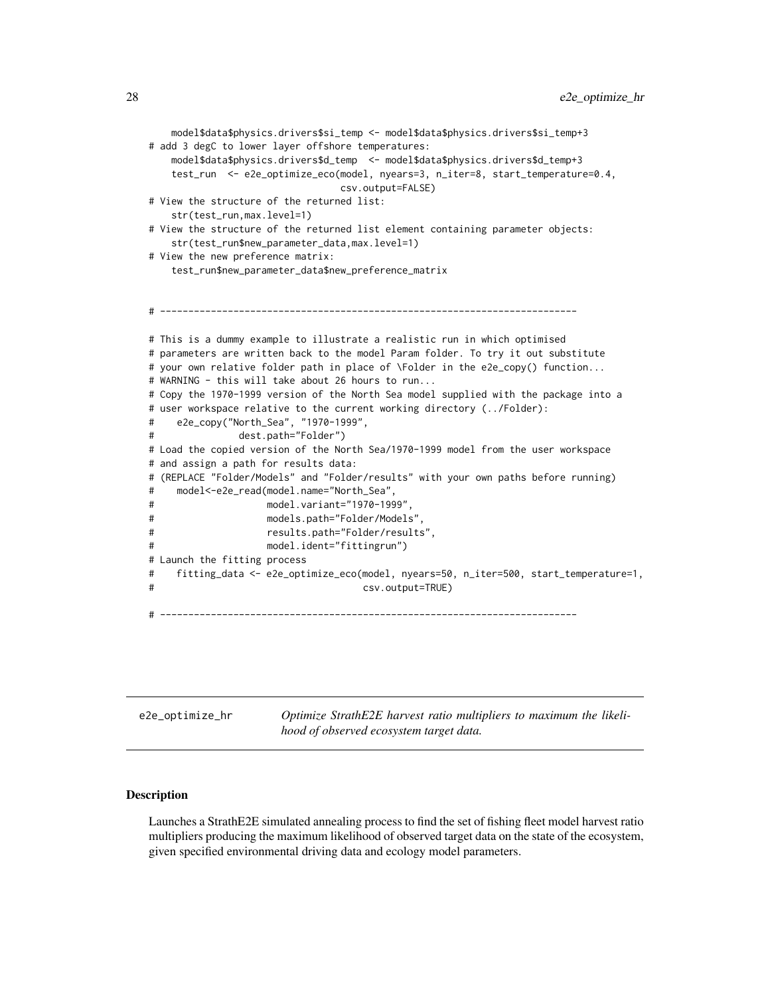```
model$data$physics.drivers$si_temp <- model$data$physics.drivers$si_temp+3
# add 3 degC to lower layer offshore temperatures:
   model$data$physics.drivers$d_temp <- model$data$physics.drivers$d_temp+3
   test_run <- e2e_optimize_eco(model, nyears=3, n_iter=8, start_temperature=0.4,
                               csv.output=FALSE)
# View the structure of the returned list:
   str(test_run,max.level=1)
# View the structure of the returned list element containing parameter objects:
   str(test_run$new_parameter_data,max.level=1)
# View the new preference matrix:
   test_run$new_parameter_data$new_preference_matrix
# --------------------------------------------------------------------------
# This is a dummy example to illustrate a realistic run in which optimised
# parameters are written back to the model Param folder. To try it out substitute
# your own relative folder path in place of \Folder in the e2e_copy() function...
# WARNING - this will take about 26 hours to run...
# Copy the 1970-1999 version of the North Sea model supplied with the package into a
# user workspace relative to the current working directory (../Folder):
# e2e_copy("North_Sea", "1970-1999",
# dest.path="Folder")
# Load the copied version of the North Sea/1970-1999 model from the user workspace
# and assign a path for results data:
# (REPLACE "Folder/Models" and "Folder/results" with your own paths before running)
# model<-e2e_read(model.name="North_Sea",
# model.variant="1970-1999",
# models.path="Folder/Models",
# results.path="Folder/results",
# model.ident="fittingrun")
# Launch the fitting process
# fitting_data <- e2e_optimize_eco(model, nyears=50, n_iter=500, start_temperature=1,
# csv.output=TRUE)
# --------------------------------------------------------------------------
```
<span id="page-27-1"></span>

| e2e_optimize_hr |  |
|-----------------|--|
|                 |  |

Optimize StrathE2E harvest ratio multipliers to maximum the likeli*hood of observed ecosystem target data.*

#### **Description**

Launches a StrathE2E simulated annealing process to find the set of fishing fleet model harvest ratio multipliers producing the maximum likelihood of observed target data on the state of the ecosystem, given specified environmental driving data and ecology model parameters.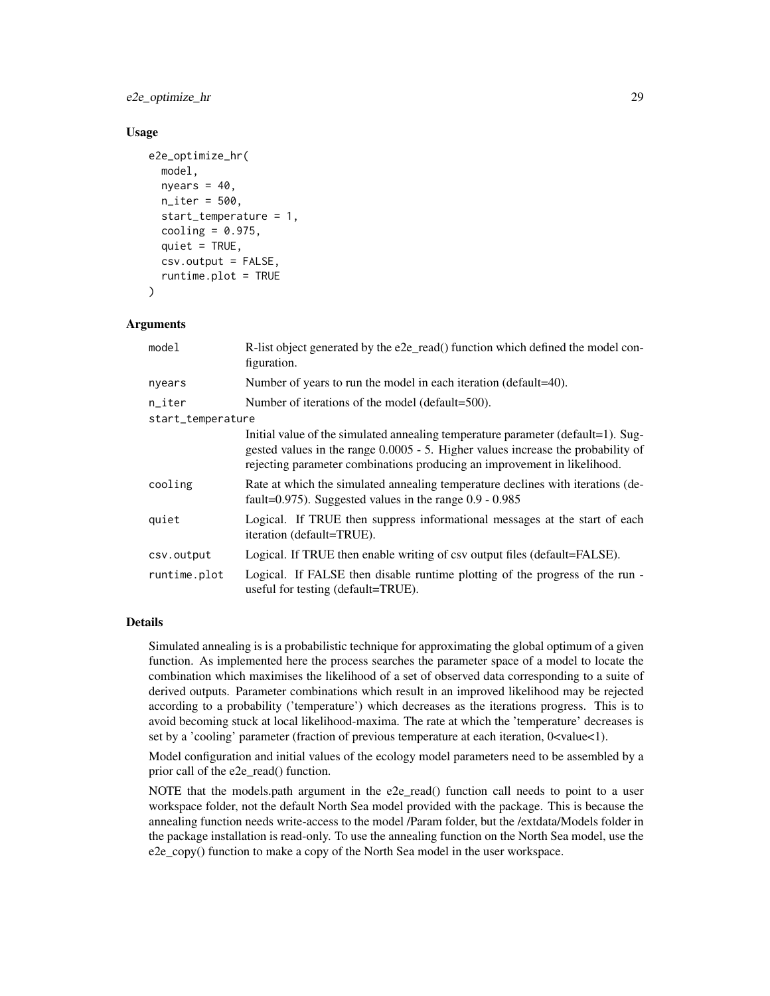e2e\_optimize\_hr 29

### Usage

```
e2e_optimize_hr(
 model,
  nyears = 40,
  n_iter = 500,
  start_temperature = 1,
  cooling = 0.975,
  quiet = TRUE,csv.output = FALSE,
  runtime.plot = TRUE
)
```
# Arguments

| model             | R-list object generated by the e2e_read() function which defined the model con-<br>figuration.                                                                                                                                                   |
|-------------------|--------------------------------------------------------------------------------------------------------------------------------------------------------------------------------------------------------------------------------------------------|
| nyears            | Number of years to run the model in each iteration (default=40).                                                                                                                                                                                 |
| $n$ _iter         | Number of iterations of the model (default=500).                                                                                                                                                                                                 |
| start_temperature |                                                                                                                                                                                                                                                  |
|                   | Initial value of the simulated annealing temperature parameter (default=1). Sug-<br>gested values in the range 0.0005 - 5. Higher values increase the probability of<br>rejecting parameter combinations producing an improvement in likelihood. |
| cooling           | Rate at which the simulated annealing temperature declines with iterations (de-<br>fault= $0.975$ ). Suggested values in the range $0.9 - 0.985$                                                                                                 |
| quiet             | Logical. If TRUE then suppress informational messages at the start of each<br>iteration (default=TRUE).                                                                                                                                          |
| csv.output        | Logical. If TRUE then enable writing of csv output files (default=FALSE).                                                                                                                                                                        |
| runtime.plot      | Logical. If FALSE then disable runtime plotting of the progress of the run -<br>useful for testing (default=TRUE).                                                                                                                               |

# Details

Simulated annealing is is a probabilistic technique for approximating the global optimum of a given function. As implemented here the process searches the parameter space of a model to locate the combination which maximises the likelihood of a set of observed data corresponding to a suite of derived outputs. Parameter combinations which result in an improved likelihood may be rejected according to a probability ('temperature') which decreases as the iterations progress. This is to avoid becoming stuck at local likelihood-maxima. The rate at which the 'temperature' decreases is set by a 'cooling' parameter (fraction of previous temperature at each iteration, 0<value<1).

Model configuration and initial values of the ecology model parameters need to be assembled by a prior call of the e2e\_read() function.

NOTE that the models.path argument in the e2e\_read() function call needs to point to a user workspace folder, not the default North Sea model provided with the package. This is because the annealing function needs write-access to the model /Param folder, but the /extdata/Models folder in the package installation is read-only. To use the annealing function on the North Sea model, use the e2e\_copy() function to make a copy of the North Sea model in the user workspace.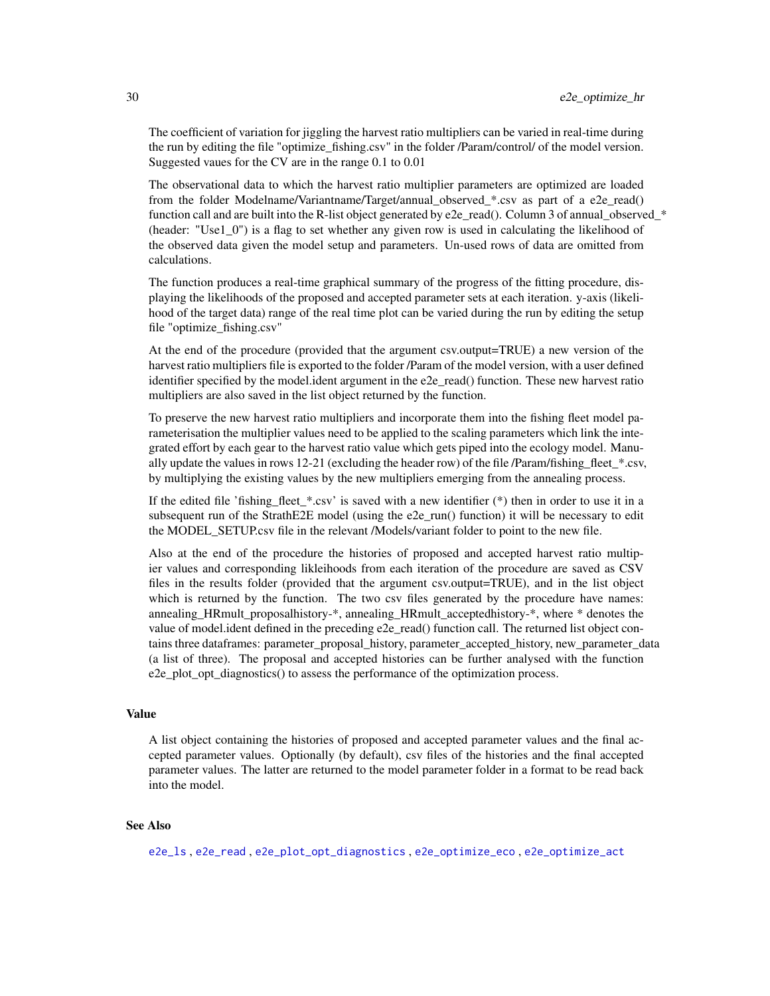The coefficient of variation for jiggling the harvest ratio multipliers can be varied in real-time during the run by editing the file "optimize fishing.csv" in the folder /Param/control/ of the model version. Suggested vaues for the CV are in the range 0.1 to 0.01

The observational data to which the harvest ratio multiplier parameters are optimized are loaded from the folder Modelname/Variantname/Target/annual\_observed\_\*.csv as part of a e2e\_read() function call and are built into the R-list object generated by e2e\_read(). Column 3 of annual\_observed\_\* (header: "Use1\_0") is a flag to set whether any given row is used in calculating the likelihood of the observed data given the model setup and parameters. Un-used rows of data are omitted from calculations.

The function produces a real-time graphical summary of the progress of the fitting procedure, displaying the likelihoods of the proposed and accepted parameter sets at each iteration. y-axis (likelihood of the target data) range of the real time plot can be varied during the run by editing the setup file "optimize\_fishing.csv"

At the end of the procedure (provided that the argument csv.output=TRUE) a new version of the harvest ratio multipliers file is exported to the folder /Param of the model version, with a user defined identifier specified by the model.ident argument in the e2e\_read() function. These new harvest ratio multipliers are also saved in the list object returned by the function.

To preserve the new harvest ratio multipliers and incorporate them into the fishing fleet model parameterisation the multiplier values need to be applied to the scaling parameters which link the integrated effort by each gear to the harvest ratio value which gets piped into the ecology model. Manually update the values in rows 12-21 (excluding the header row) of the file /Param/fishing\_fleet\_\*.csv, by multiplying the existing values by the new multipliers emerging from the annealing process.

If the edited file 'fishing fleet  $*.csv'$  is saved with a new identifier  $(*)$  then in order to use it in a subsequent run of the StrathE2E model (using the e2e\_run() function) it will be necessary to edit the MODEL\_SETUP.csv file in the relevant /Models/variant folder to point to the new file.

Also at the end of the procedure the histories of proposed and accepted harvest ratio multipier values and corresponding likleihoods from each iteration of the procedure are saved as CSV files in the results folder (provided that the argument csv.output=TRUE), and in the list object which is returned by the function. The two csv files generated by the procedure have names: annealing HRmult proposalhistory- $*$ , annealing HRmult acceptedhistory- $*$ , where  $*$  denotes the value of model.ident defined in the preceding e2e\_read() function call. The returned list object contains three dataframes: parameter proposal history, parameter accepted history, new parameter data (a list of three). The proposal and accepted histories can be further analysed with the function e2e\_plot\_opt\_diagnostics() to assess the performance of the optimization process.

#### Value

A list object containing the histories of proposed and accepted parameter values and the final accepted parameter values. Optionally (by default), csv files of the histories and the final accepted parameter values. The latter are returned to the model parameter folder in a format to be read back into the model.

# See Also

[e2e\\_ls](#page-14-1) , [e2e\\_read](#page-57-1) , [e2e\\_plot\\_opt\\_diagnostics](#page-42-1) , [e2e\\_optimize\\_eco](#page-24-1) , [e2e\\_optimize\\_act](#page-18-1)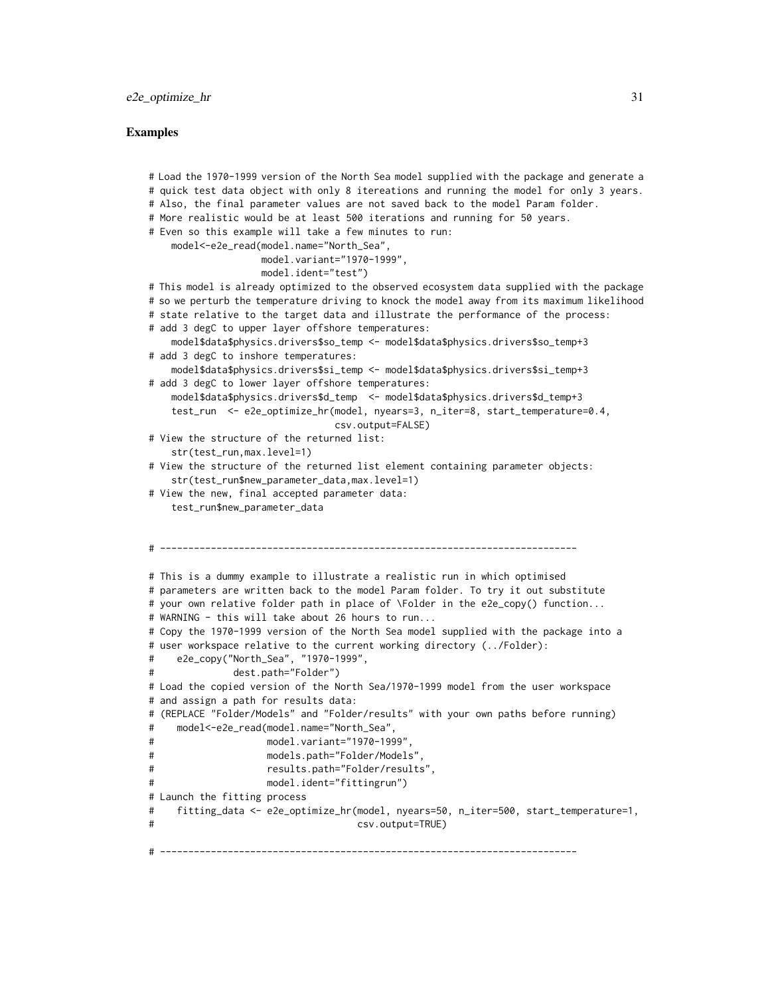#### Examples

```
# Load the 1970-1999 version of the North Sea model supplied with the package and generate a
# quick test data object with only 8 itereations and running the model for only 3 years.
# Also, the final parameter values are not saved back to the model Param folder.
# More realistic would be at least 500 iterations and running for 50 years.
# Even so this example will take a few minutes to run:
    model<-e2e_read(model.name="North_Sea",
                   model.variant="1970-1999",
                   model.ident="test")
# This model is already optimized to the observed ecosystem data supplied with the package
# so we perturb the temperature driving to knock the model away from its maximum likelihood
# state relative to the target data and illustrate the performance of the process:
# add 3 degC to upper layer offshore temperatures:
    model$data$physics.drivers$so_temp <- model$data$physics.drivers$so_temp+3
# add 3 degC to inshore temperatures:
    model$data$physics.drivers$si_temp <- model$data$physics.drivers$si_temp+3
# add 3 degC to lower layer offshore temperatures:
    model$data$physics.drivers$d_temp <- model$data$physics.drivers$d_temp+3
    test_run <- e2e_optimize_hr(model, nyears=3, n_iter=8, start_temperature=0.4,
                               csv.output=FALSE)
# View the structure of the returned list:
    str(test_run.max.level=1)
# View the structure of the returned list element containing parameter objects:
    str(test_run$new_parameter_data,max.level=1)
# View the new, final accepted parameter data:
    test_run$new_parameter_data
# --------------------------------------------------------------------------
# This is a dummy example to illustrate a realistic run in which optimised
# parameters are written back to the model Param folder. To try it out substitute
# your own relative folder path in place of \Folder in the e2e_copy() function...
# WARNING - this will take about 26 hours to run...
# Copy the 1970-1999 version of the North Sea model supplied with the package into a
# user workspace relative to the current working directory (../Folder):
# e2e_copy("North_Sea", "1970-1999",
# dest.path="Folder")
# Load the copied version of the North Sea/1970-1999 model from the user workspace
# and assign a path for results data:
# (REPLACE "Folder/Models" and "Folder/results" with your own paths before running)
# model<-e2e_read(model.name="North_Sea",
# model.variant="1970-1999",
# models.path="Folder/Models",
# results.path="Folder/results",
# model.ident="fittingrun")
# Launch the fitting process
# fitting_data <- e2e_optimize_hr(model, nyears=50, n_iter=500, start_temperature=1,
# csv.output=TRUE)
# --------------------------------------------------------------------------
```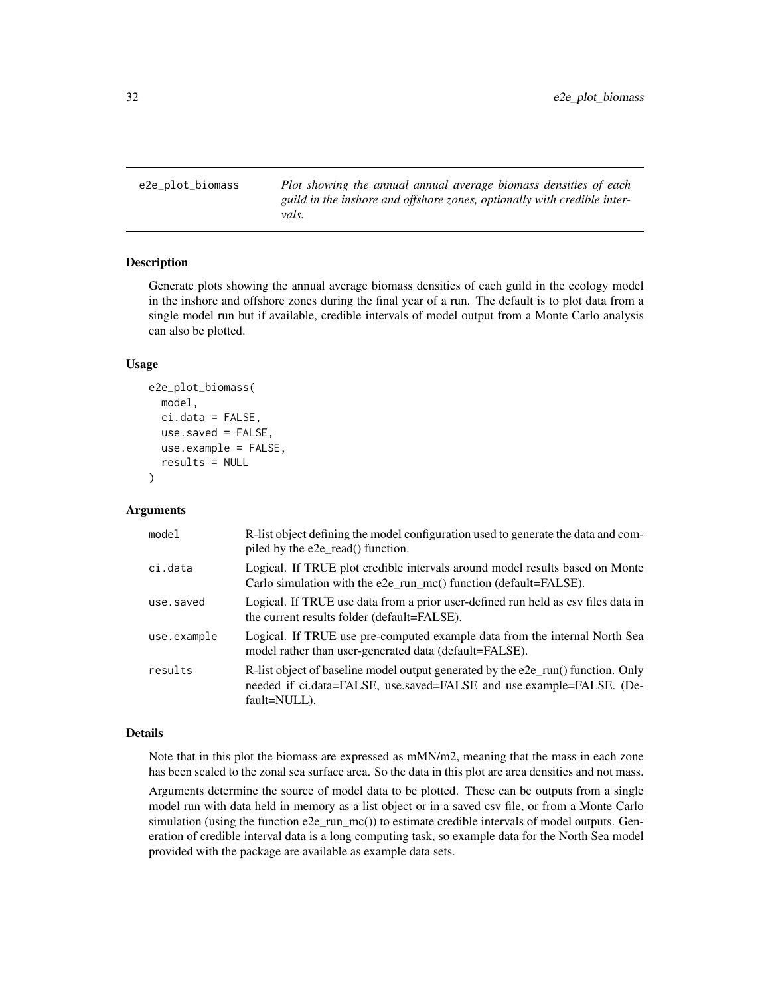<span id="page-31-1"></span><span id="page-31-0"></span>e2e\_plot\_biomass *Plot showing the annual annual average biomass densities of each guild in the inshore and offshore zones, optionally with credible intervals.*

#### Description

Generate plots showing the annual average biomass densities of each guild in the ecology model in the inshore and offshore zones during the final year of a run. The default is to plot data from a single model run but if available, credible intervals of model output from a Monte Carlo analysis can also be plotted.

#### Usage

```
e2e_plot_biomass(
  model,
  ci.data = FALSE,use.saved = FALSE,
  use.example = FALSE,
  results = NULL
)
```
# Arguments

| model       | R-list object defining the model configuration used to generate the data and com-<br>piled by the e2e_read() function.                                                      |
|-------------|-----------------------------------------------------------------------------------------------------------------------------------------------------------------------------|
| ci.data     | Logical. If TRUE plot credible intervals around model results based on Monte<br>Carlo simulation with the $e2e$ _run_mc() function (default=FALSE).                         |
| use.saved   | Logical. If TRUE use data from a prior user-defined run held as csy files data in<br>the current results folder (default=FALSE).                                            |
| use.example | Logical. If TRUE use pre-computed example data from the internal North Sea<br>model rather than user-generated data (default=FALSE).                                        |
| results     | R-list object of baseline model output generated by the $e2e$ _run() function. Only<br>needed if ci.data=FALSE, use.saved=FALSE and use.example=FALSE. (De-<br>fault=NULL). |

#### Details

Note that in this plot the biomass are expressed as mMN/m2, meaning that the mass in each zone has been scaled to the zonal sea surface area. So the data in this plot are area densities and not mass. Arguments determine the source of model data to be plotted. These can be outputs from a single model run with data held in memory as a list object or in a saved csv file, or from a Monte Carlo simulation (using the function e2e\_run\_mc()) to estimate credible intervals of model outputs. Generation of credible interval data is a long computing task, so example data for the North Sea model provided with the package are available as example data sets.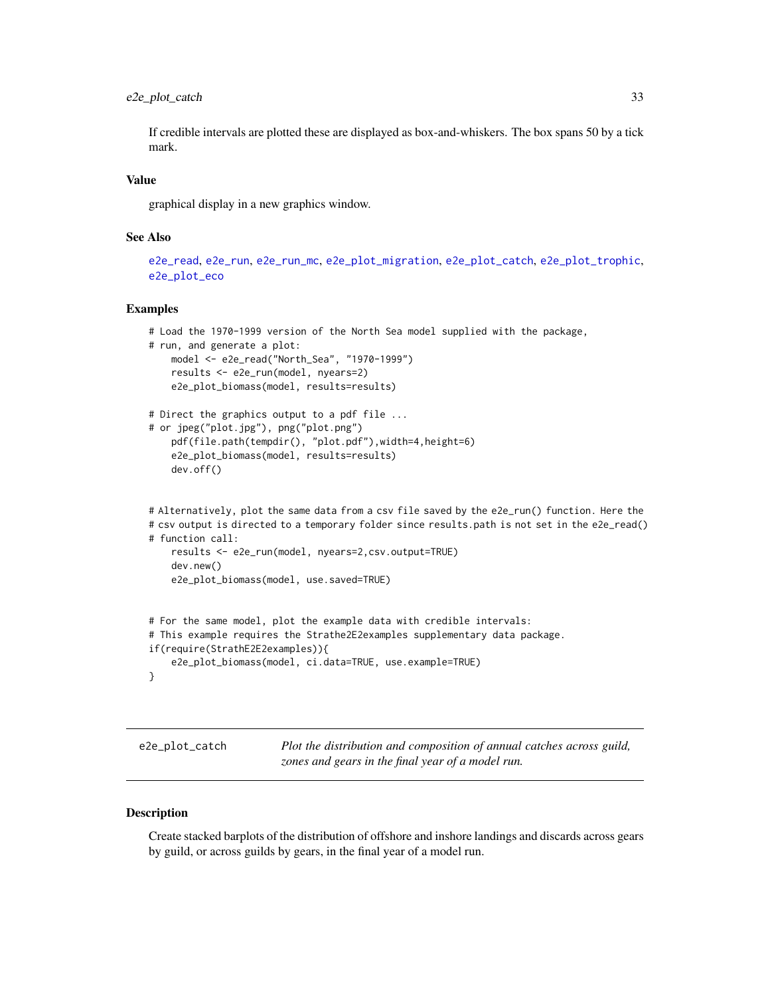<span id="page-32-0"></span>If credible intervals are plotted these are displayed as box-and-whiskers. The box spans 50 by a tick mark.

# Value

graphical display in a new graphics window.

# See Also

```
e2e_read, e2e_run, e2e_run_mc, e2e_plot_migration, e2e_plot_catch, e2e_plot_trophic,
e2e_plot_eco
```
### Examples

```
# Load the 1970-1999 version of the North Sea model supplied with the package,
# run, and generate a plot:
   model <- e2e_read("North_Sea", "1970-1999")
   results <- e2e_run(model, nyears=2)
   e2e_plot_biomass(model, results=results)
# Direct the graphics output to a pdf file ...
# or jpeg("plot.jpg"), png("plot.png")
   pdf(file.path(tempdir(), "plot.pdf"),width=4,height=6)
   e2e_plot_biomass(model, results=results)
    dev.off()
# Alternatively, plot the same data from a csv file saved by the e2e_run() function. Here the
# csv output is directed to a temporary folder since results.path is not set in the e2e_read()
# function call:
    results <- e2e_run(model, nyears=2,csv.output=TRUE)
    dev.new()
    e2e_plot_biomass(model, use.saved=TRUE)
# For the same model, plot the example data with credible intervals:
# This example requires the Strathe2E2examples supplementary data package.
if(require(StrathE2E2examples)){
    e2e_plot_biomass(model, ci.data=TRUE, use.example=TRUE)
}
```
<span id="page-32-1"></span>e2e\_plot\_catch *Plot the distribution and composition of annual catches across guild, zones and gears in the final year of a model run.*

#### Description

Create stacked barplots of the distribution of offshore and inshore landings and discards across gears by guild, or across guilds by gears, in the final year of a model run.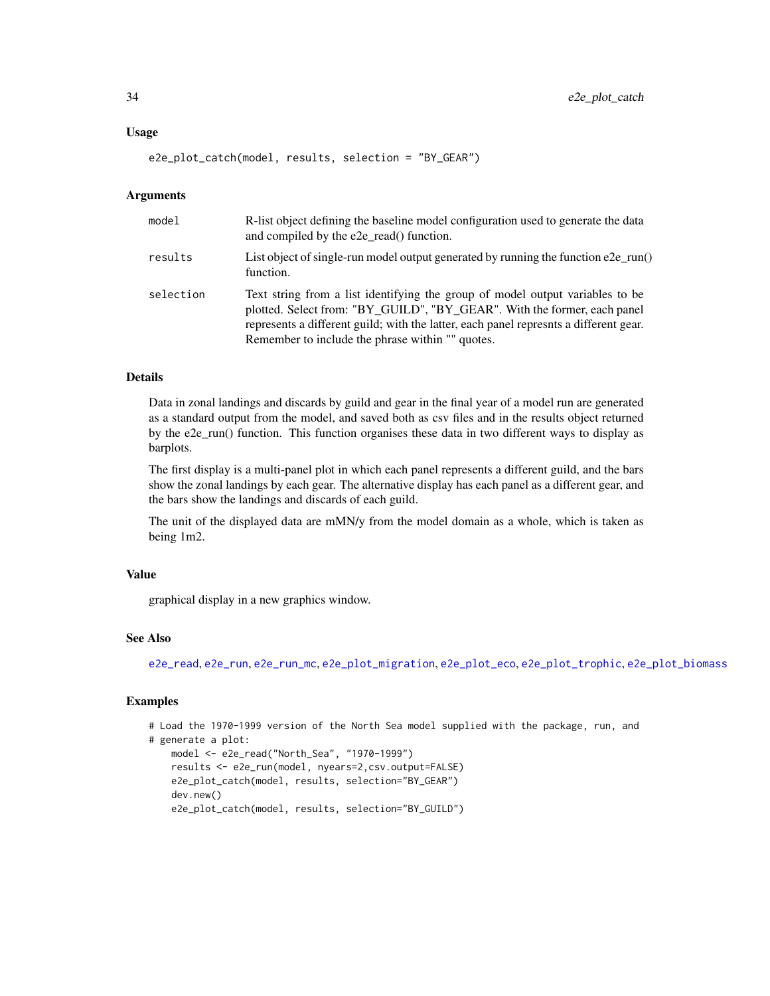#### Usage

e2e\_plot\_catch(model, results, selection = "BY\_GEAR")

#### Arguments

| model     | R-list object defining the baseline model configuration used to generate the data<br>and compiled by the e2e_read() function.                                                                                                                                                                           |
|-----------|---------------------------------------------------------------------------------------------------------------------------------------------------------------------------------------------------------------------------------------------------------------------------------------------------------|
| results   | List object of single-run model output generated by running the function $e2e$ -run()<br>function.                                                                                                                                                                                                      |
| selection | Text string from a list identifying the group of model output variables to be<br>plotted. Select from: "BY_GUILD", "BY_GEAR". With the former, each panel<br>represents a different guild; with the latter, each panel represents a different gear.<br>Remember to include the phrase within "" quotes. |

#### Details

Data in zonal landings and discards by guild and gear in the final year of a model run are generated as a standard output from the model, and saved both as csv files and in the results object returned by the e2e\_run() function. This function organises these data in two different ways to display as barplots.

The first display is a multi-panel plot in which each panel represents a different guild, and the bars show the zonal landings by each gear. The alternative display has each panel as a different gear, and the bars show the landings and discards of each guild.

The unit of the displayed data are mMN/y from the model domain as a whole, which is taken as being 1m2.

# Value

graphical display in a new graphics window.

# See Also

[e2e\\_read](#page-57-1), [e2e\\_run](#page-60-1), [e2e\\_run\\_mc](#page-61-1), [e2e\\_plot\\_migration](#page-40-1), [e2e\\_plot\\_eco](#page-34-1), [e2e\\_plot\\_trophic](#page-50-1), [e2e\\_plot\\_biomass](#page-31-1)

# Examples

```
# Load the 1970-1999 version of the North Sea model supplied with the package, run, and
# generate a plot:
   model <- e2e_read("North_Sea", "1970-1999")
   results <- e2e_run(model, nyears=2,csv.output=FALSE)
   e2e_plot_catch(model, results, selection="BY_GEAR")
   dev.new()
   e2e_plot_catch(model, results, selection="BY_GUILD")
```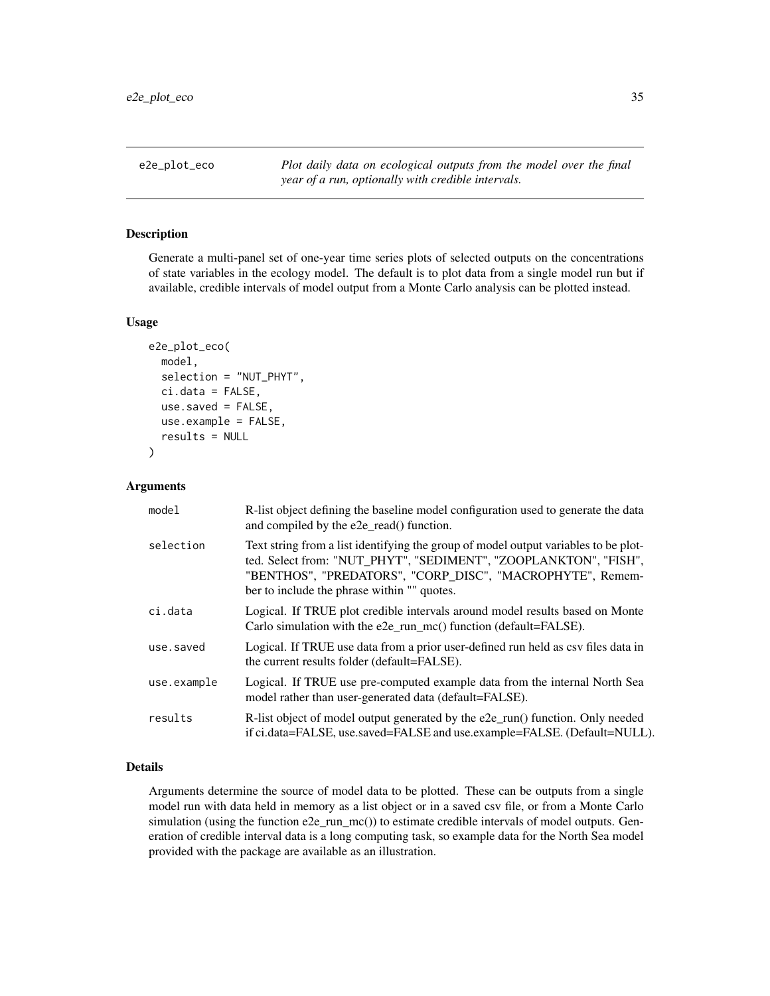<span id="page-34-1"></span><span id="page-34-0"></span>e2e\_plot\_eco *Plot daily data on ecological outputs from the model over the final year of a run, optionally with credible intervals.*

### Description

Generate a multi-panel set of one-year time series plots of selected outputs on the concentrations of state variables in the ecology model. The default is to plot data from a single model run but if available, credible intervals of model output from a Monte Carlo analysis can be plotted instead.

#### Usage

```
e2e_plot_eco(
 model,
  selection = "NUT_PHYT",
  ci.data = FALSE,use.saved = FALSE,
  use.example = FALSE,
  results = NULL
)
```
#### Arguments

| model       | R-list object defining the baseline model configuration used to generate the data<br>and compiled by the e2e_read() function.                                                                                                                                       |
|-------------|---------------------------------------------------------------------------------------------------------------------------------------------------------------------------------------------------------------------------------------------------------------------|
| selection   | Text string from a list identifying the group of model output variables to be plot-<br>ted. Select from: "NUT_PHYT", "SEDIMENT", "ZOOPLANKTON", "FISH",<br>"BENTHOS", "PREDATORS", "CORP_DISC", "MACROPHYTE", Remem-<br>ber to include the phrase within "" quotes. |
| ci.data     | Logical. If TRUE plot credible intervals around model results based on Monte<br>Carlo simulation with the e2e_run_mc() function (default=FALSE).                                                                                                                    |
| use.saved   | Logical. If TRUE use data from a prior user-defined run held as csv files data in<br>the current results folder (default=FALSE).                                                                                                                                    |
| use.example | Logical. If TRUE use pre-computed example data from the internal North Sea<br>model rather than user-generated data (default=FALSE).                                                                                                                                |
| results     | R-list object of model output generated by the e2e_run() function. Only needed<br>if ci.data=FALSE, use.saved=FALSE and use.example=FALSE. (Default=NULL).                                                                                                          |

# Details

Arguments determine the source of model data to be plotted. These can be outputs from a single model run with data held in memory as a list object or in a saved csv file, or from a Monte Carlo simulation (using the function e2e\_run\_mc()) to estimate credible intervals of model outputs. Generation of credible interval data is a long computing task, so example data for the North Sea model provided with the package are available as an illustration.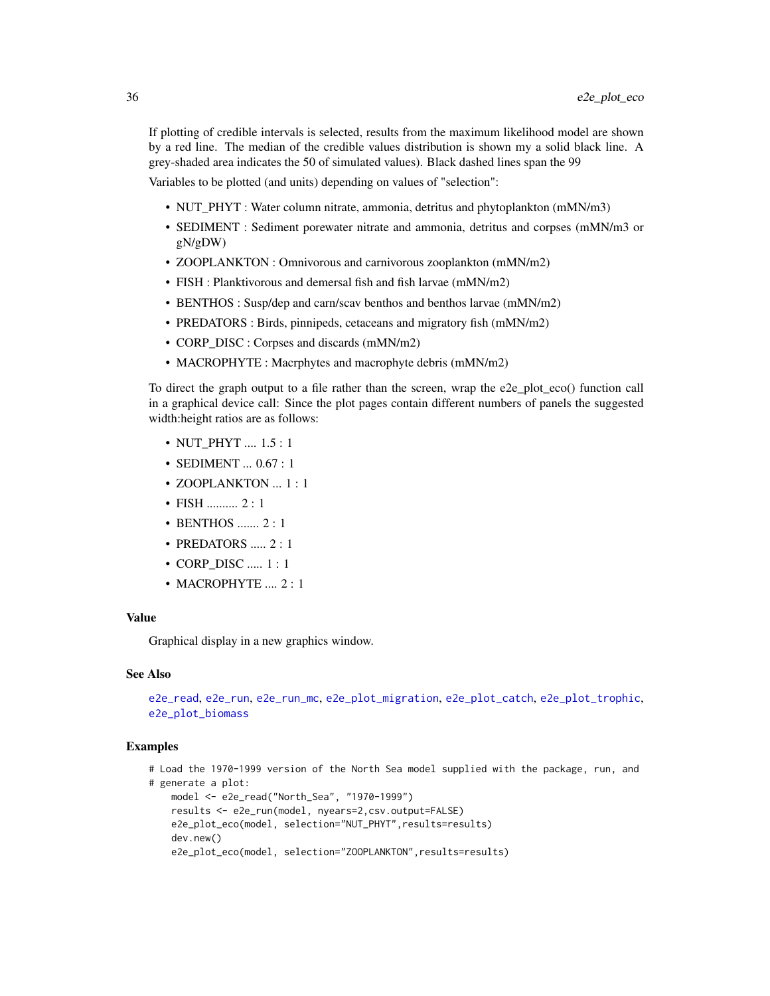If plotting of credible intervals is selected, results from the maximum likelihood model are shown by a red line. The median of the credible values distribution is shown my a solid black line. A grey-shaded area indicates the 50 of simulated values). Black dashed lines span the 99

Variables to be plotted (and units) depending on values of "selection":

- NUT\_PHYT : Water column nitrate, ammonia, detritus and phytoplankton (mMN/m3)
- SEDIMENT : Sediment porewater nitrate and ammonia, detritus and corpses (mMN/m3 or gN/gDW)
- ZOOPLANKTON : Omnivorous and carnivorous zooplankton (mMN/m2)
- FISH : Planktivorous and demersal fish and fish larvae (mMN/m2)
- BENTHOS : Susp/dep and carn/scav benthos and benthos larvae (mMN/m2)
- PREDATORS : Birds, pinnipeds, cetaceans and migratory fish (mMN/m2)
- CORP\_DISC : Corpses and discards (mMN/m2)
- MACROPHYTE : Macrphytes and macrophyte debris (mMN/m2)

To direct the graph output to a file rather than the screen, wrap the e2e\_plot\_eco() function call in a graphical device call: Since the plot pages contain different numbers of panels the suggested width:height ratios are as follows:

- NUT\_PHYT .... 1.5 : 1
- SEDIMENT ... 0.67 : 1
- ZOOPLANKTON ... 1 : 1
- FISH .......... 2 : 1
- BENTHOS ....... 2 : 1
- PREDATORS ..... 2 : 1
- CORP DISC ..... 1 : 1
- MACROPHYTE .... 2:1

#### Value

Graphical display in a new graphics window.

#### See Also

[e2e\\_read](#page-57-1), [e2e\\_run](#page-60-1), [e2e\\_run\\_mc](#page-61-1), [e2e\\_plot\\_migration](#page-40-1), [e2e\\_plot\\_catch](#page-32-1), [e2e\\_plot\\_trophic](#page-50-1), [e2e\\_plot\\_biomass](#page-31-1)

#### Examples

```
# Load the 1970-1999 version of the North Sea model supplied with the package, run, and
# generate a plot:
   model <- e2e_read("North_Sea", "1970-1999")
   results <- e2e_run(model, nyears=2,csv.output=FALSE)
   e2e_plot_eco(model, selection="NUT_PHYT",results=results)
   dev.new()
   e2e_plot_eco(model, selection="ZOOPLANKTON", results=results)
```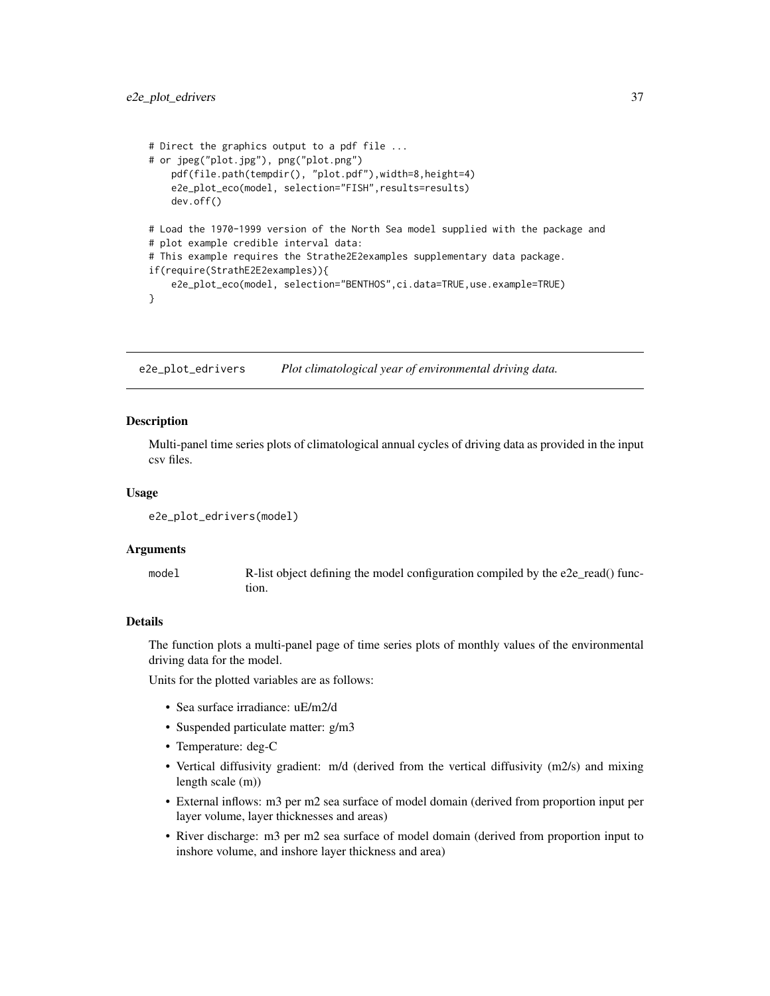```
# Direct the graphics output to a pdf file ...
# or jpeg("plot.jpg"), png("plot.png")
   pdf(file.path(tempdir(), "plot.pdf"),width=8,height=4)
    e2e_plot_eco(model, selection="FISH",results=results)
   dev.off()
# Load the 1970-1999 version of the North Sea model supplied with the package and
# plot example credible interval data:
# This example requires the Strathe2E2examples supplementary data package.
if(require(StrathE2E2examples)){
    e2e_plot_eco(model, selection="BENTHOS",ci.data=TRUE,use.example=TRUE)
}
```
<span id="page-36-0"></span>e2e\_plot\_edrivers *Plot climatological year of environmental driving data.*

### **Description**

Multi-panel time series plots of climatological annual cycles of driving data as provided in the input csv files.

## Usage

```
e2e_plot_edrivers(model)
```
#### Arguments

model R-list object defining the model configuration compiled by the e2e\_read() function.

# Details

The function plots a multi-panel page of time series plots of monthly values of the environmental driving data for the model.

Units for the plotted variables are as follows:

- Sea surface irradiance: uE/m2/d
- Suspended particulate matter: g/m3
- Temperature: deg-C
- Vertical diffusivity gradient: m/d (derived from the vertical diffusivity (m2/s) and mixing length scale (m))
- External inflows: m3 per m2 sea surface of model domain (derived from proportion input per layer volume, layer thicknesses and areas)
- River discharge: m3 per m2 sea surface of model domain (derived from proportion input to inshore volume, and inshore layer thickness and area)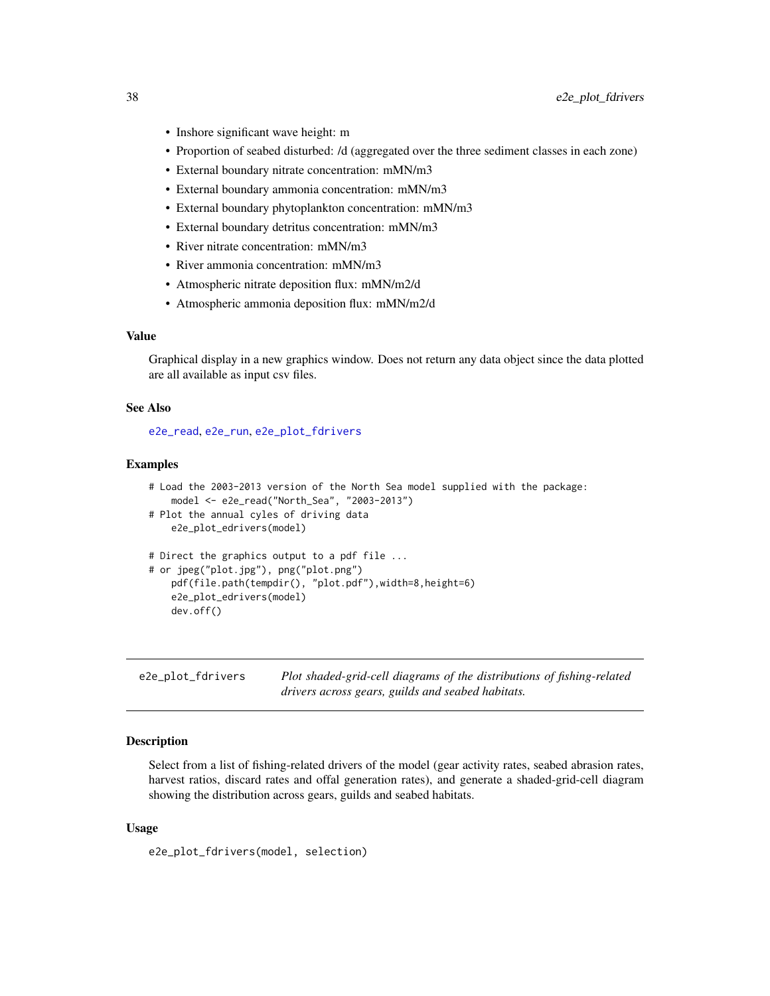- Inshore significant wave height: m
- Proportion of seabed disturbed: /d (aggregated over the three sediment classes in each zone)
- External boundary nitrate concentration: mMN/m3
- External boundary ammonia concentration: mMN/m3
- External boundary phytoplankton concentration: mMN/m3
- External boundary detritus concentration: mMN/m3
- River nitrate concentration: mMN/m3
- River ammonia concentration: mMN/m3
- Atmospheric nitrate deposition flux: mMN/m2/d
- Atmospheric ammonia deposition flux: mMN/m2/d

## Value

Graphical display in a new graphics window. Does not return any data object since the data plotted are all available as input csv files.

#### See Also

[e2e\\_read](#page-57-0), [e2e\\_run](#page-60-0), [e2e\\_plot\\_fdrivers](#page-37-0)

#### Examples

```
# Load the 2003-2013 version of the North Sea model supplied with the package:
   model <- e2e_read("North_Sea", "2003-2013")
# Plot the annual cyles of driving data
   e2e_plot_edrivers(model)
# Direct the graphics output to a pdf file ...
# or jpeg("plot.jpg"), png("plot.png")
   pdf(file.path(tempdir(), "plot.pdf"),width=8,height=6)
   e2e_plot_edrivers(model)
   dev.off()
```
<span id="page-37-0"></span>e2e\_plot\_fdrivers *Plot shaded-grid-cell diagrams of the distributions of fishing-related drivers across gears, guilds and seabed habitats.*

#### Description

Select from a list of fishing-related drivers of the model (gear activity rates, seabed abrasion rates, harvest ratios, discard rates and offal generation rates), and generate a shaded-grid-cell diagram showing the distribution across gears, guilds and seabed habitats.

### Usage

e2e\_plot\_fdrivers(model, selection)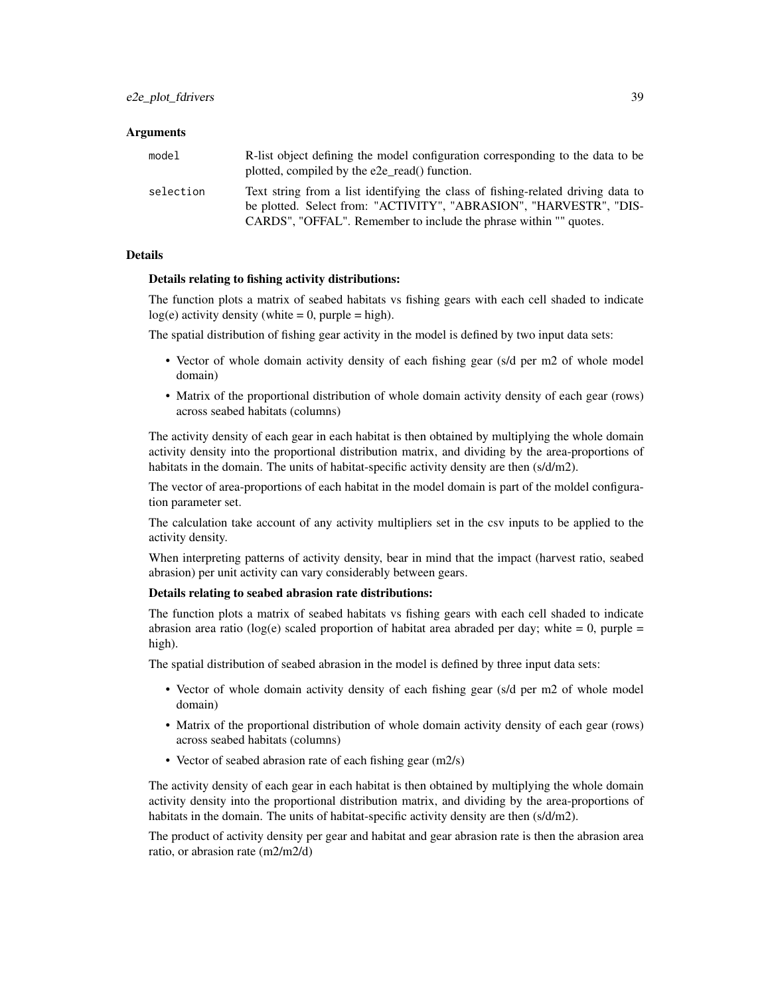# Arguments

| model     | R-list object defining the model configuration corresponding to the data to be<br>plotted, compiled by the e2e_read() function.                        |
|-----------|--------------------------------------------------------------------------------------------------------------------------------------------------------|
| selection | Text string from a list identifying the class of fishing-related driving data to<br>be plotted. Select from: "ACTIVITY", "ABRASION", "HARVESTR", "DIS- |
|           | CARDS", "OFFAL". Remember to include the phrase within "" quotes.                                                                                      |

## Details

## Details relating to fishing activity distributions:

The function plots a matrix of seabed habitats vs fishing gears with each cell shaded to indicate  $log(e)$  activity density (white = 0, purple = high).

The spatial distribution of fishing gear activity in the model is defined by two input data sets:

- Vector of whole domain activity density of each fishing gear (s/d per m2 of whole model domain)
- Matrix of the proportional distribution of whole domain activity density of each gear (rows) across seabed habitats (columns)

The activity density of each gear in each habitat is then obtained by multiplying the whole domain activity density into the proportional distribution matrix, and dividing by the area-proportions of habitats in the domain. The units of habitat-specific activity density are then (s/d/m2).

The vector of area-proportions of each habitat in the model domain is part of the moldel configuration parameter set.

The calculation take account of any activity multipliers set in the csv inputs to be applied to the activity density.

When interpreting patterns of activity density, bear in mind that the impact (harvest ratio, seabed abrasion) per unit activity can vary considerably between gears.

## Details relating to seabed abrasion rate distributions:

The function plots a matrix of seabed habitats vs fishing gears with each cell shaded to indicate abrasion area ratio ( $log(e)$  scaled proportion of habitat area abraded per day; white = 0, purple = high).

The spatial distribution of seabed abrasion in the model is defined by three input data sets:

- Vector of whole domain activity density of each fishing gear (s/d per m2 of whole model domain)
- Matrix of the proportional distribution of whole domain activity density of each gear (rows) across seabed habitats (columns)
- Vector of seabed abrasion rate of each fishing gear (m2/s)

The activity density of each gear in each habitat is then obtained by multiplying the whole domain activity density into the proportional distribution matrix, and dividing by the area-proportions of habitats in the domain. The units of habitat-specific activity density are then (s/d/m2).

The product of activity density per gear and habitat and gear abrasion rate is then the abrasion area ratio, or abrasion rate (m2/m2/d)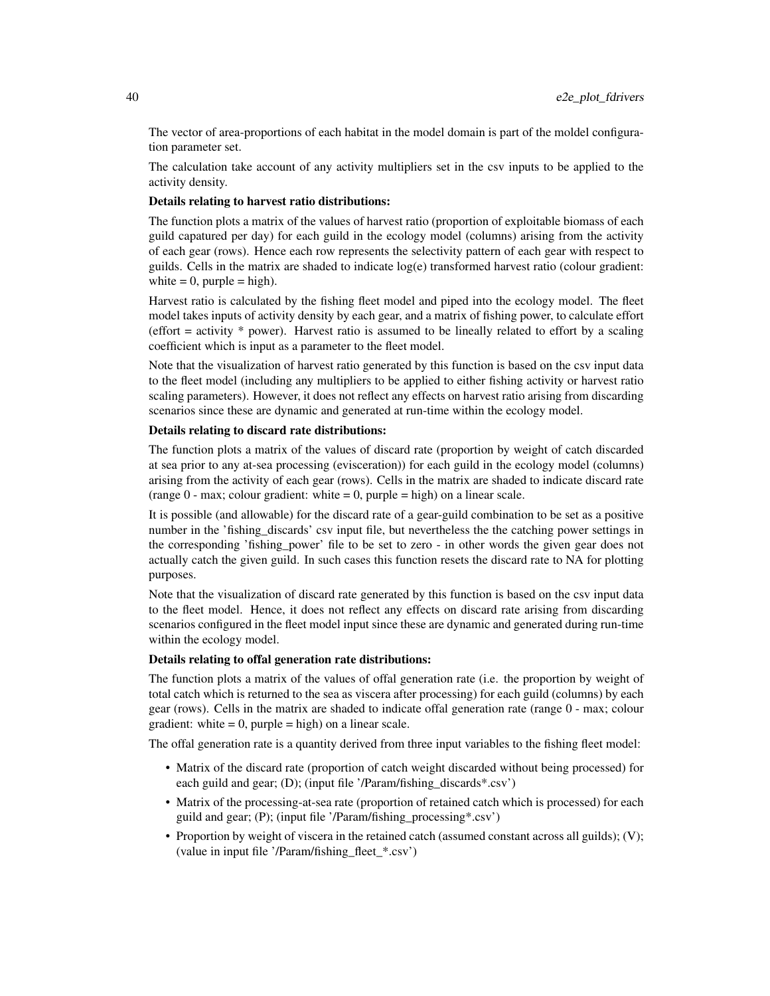The vector of area-proportions of each habitat in the model domain is part of the moldel configuration parameter set.

The calculation take account of any activity multipliers set in the csv inputs to be applied to the activity density.

## Details relating to harvest ratio distributions:

The function plots a matrix of the values of harvest ratio (proportion of exploitable biomass of each guild capatured per day) for each guild in the ecology model (columns) arising from the activity of each gear (rows). Hence each row represents the selectivity pattern of each gear with respect to guilds. Cells in the matrix are shaded to indicate log(e) transformed harvest ratio (colour gradient: white  $= 0$ , purple  $=$  high).

Harvest ratio is calculated by the fishing fleet model and piped into the ecology model. The fleet model takes inputs of activity density by each gear, and a matrix of fishing power, to calculate effort (effort = activity \* power). Harvest ratio is assumed to be lineally related to effort by a scaling coefficient which is input as a parameter to the fleet model.

Note that the visualization of harvest ratio generated by this function is based on the csv input data to the fleet model (including any multipliers to be applied to either fishing activity or harvest ratio scaling parameters). However, it does not reflect any effects on harvest ratio arising from discarding scenarios since these are dynamic and generated at run-time within the ecology model.

## Details relating to discard rate distributions:

The function plots a matrix of the values of discard rate (proportion by weight of catch discarded at sea prior to any at-sea processing (evisceration)) for each guild in the ecology model (columns) arising from the activity of each gear (rows). Cells in the matrix are shaded to indicate discard rate (range  $0$  - max; colour gradient: white  $= 0$ , purple  $=$  high) on a linear scale.

It is possible (and allowable) for the discard rate of a gear-guild combination to be set as a positive number in the 'fishing\_discards' csv input file, but nevertheless the the catching power settings in the corresponding 'fishing\_power' file to be set to zero - in other words the given gear does not actually catch the given guild. In such cases this function resets the discard rate to NA for plotting purposes.

Note that the visualization of discard rate generated by this function is based on the csv input data to the fleet model. Hence, it does not reflect any effects on discard rate arising from discarding scenarios configured in the fleet model input since these are dynamic and generated during run-time within the ecology model.

## Details relating to offal generation rate distributions:

The function plots a matrix of the values of offal generation rate (i.e. the proportion by weight of total catch which is returned to the sea as viscera after processing) for each guild (columns) by each gear (rows). Cells in the matrix are shaded to indicate offal generation rate (range 0 - max; colour gradient: white  $= 0$ , purple  $=$  high) on a linear scale.

The offal generation rate is a quantity derived from three input variables to the fishing fleet model:

- Matrix of the discard rate (proportion of catch weight discarded without being processed) for each guild and gear; (D); (input file '/Param/fishing\_discards\*.csv')
- Matrix of the processing-at-sea rate (proportion of retained catch which is processed) for each guild and gear; (P); (input file '/Param/fishing\_processing\*.csv')
- Proportion by weight of viscera in the retained catch (assumed constant across all guilds); (V); (value in input file '/Param/fishing\_fleet\_\*.csv')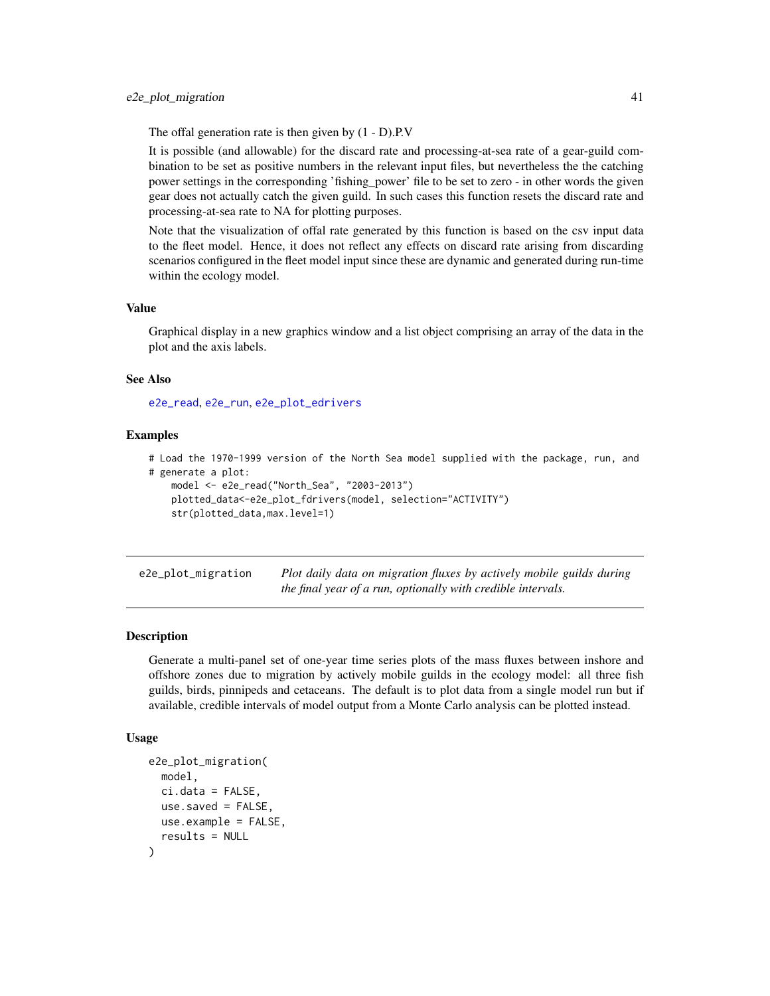The offal generation rate is then given by (1 - D).P.V

It is possible (and allowable) for the discard rate and processing-at-sea rate of a gear-guild combination to be set as positive numbers in the relevant input files, but nevertheless the the catching power settings in the corresponding 'fishing\_power' file to be set to zero - in other words the given gear does not actually catch the given guild. In such cases this function resets the discard rate and processing-at-sea rate to NA for plotting purposes.

Note that the visualization of offal rate generated by this function is based on the csv input data to the fleet model. Hence, it does not reflect any effects on discard rate arising from discarding scenarios configured in the fleet model input since these are dynamic and generated during run-time within the ecology model.

#### Value

Graphical display in a new graphics window and a list object comprising an array of the data in the plot and the axis labels.

#### See Also

[e2e\\_read](#page-57-0), [e2e\\_run](#page-60-0), [e2e\\_plot\\_edrivers](#page-36-0)

# Examples

```
# Load the 1970-1999 version of the North Sea model supplied with the package, run, and
# generate a plot:
   model <- e2e_read("North_Sea", "2003-2013")
   plotted_data<-e2e_plot_fdrivers(model, selection="ACTIVITY")
   str(plotted_data,max.level=1)
```
<span id="page-40-0"></span>e2e\_plot\_migration *Plot daily data on migration fluxes by actively mobile guilds during the final year of a run, optionally with credible intervals.*

# Description

Generate a multi-panel set of one-year time series plots of the mass fluxes between inshore and offshore zones due to migration by actively mobile guilds in the ecology model: all three fish guilds, birds, pinnipeds and cetaceans. The default is to plot data from a single model run but if available, credible intervals of model output from a Monte Carlo analysis can be plotted instead.

#### Usage

```
e2e_plot_migration(
 model,
  ci.data = FALSE.use.saved = FALSE,
 use.example = FALSE,
  results = NULL
)
```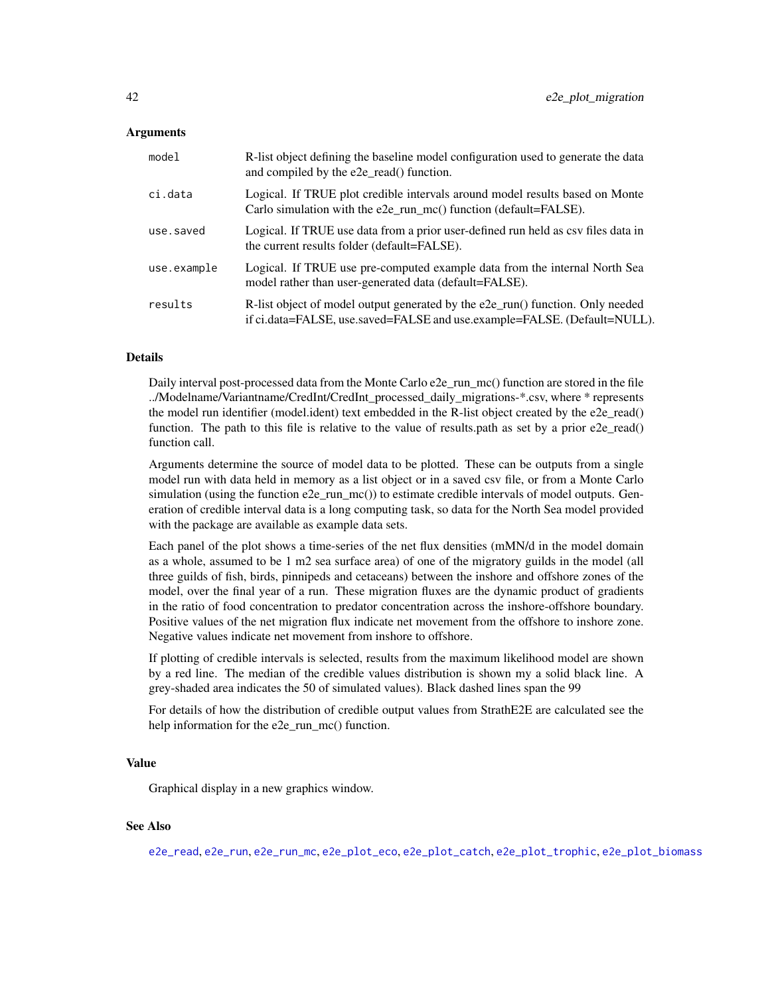### Arguments

| model       | R-list object defining the baseline model configuration used to generate the data<br>and compiled by the e2e_read() function.                              |
|-------------|------------------------------------------------------------------------------------------------------------------------------------------------------------|
| ci.data     | Logical. If TRUE plot credible intervals around model results based on Monte<br>Carlo simulation with the e2e_run_mc() function (default=FALSE).           |
| use.saved   | Logical. If TRUE use data from a prior user-defined run held as csy files data in<br>the current results folder (default=FALSE).                           |
| use.example | Logical. If TRUE use pre-computed example data from the internal North Sea<br>model rather than user-generated data (default=FALSE).                       |
| results     | R-list object of model output generated by the e2e_run() function. Only needed<br>if ci.data=FALSE, use.saved=FALSE and use.example=FALSE. (Default=NULL). |

# Details

Daily interval post-processed data from the Monte Carlo e2e\_run\_mc() function are stored in the file ../Modelname/Variantname/CredInt/CredInt\_processed\_daily\_migrations-\*.csv, where \* represents the model run identifier (model.ident) text embedded in the R-list object created by the e2e\_read() function. The path to this file is relative to the value of results.path as set by a prior e2e\_read() function call.

Arguments determine the source of model data to be plotted. These can be outputs from a single model run with data held in memory as a list object or in a saved csv file, or from a Monte Carlo simulation (using the function  $e2e_{\text{run\_mc}}($ ) to estimate credible intervals of model outputs. Generation of credible interval data is a long computing task, so data for the North Sea model provided with the package are available as example data sets.

Each panel of the plot shows a time-series of the net flux densities (mMN/d in the model domain as a whole, assumed to be 1 m2 sea surface area) of one of the migratory guilds in the model (all three guilds of fish, birds, pinnipeds and cetaceans) between the inshore and offshore zones of the model, over the final year of a run. These migration fluxes are the dynamic product of gradients in the ratio of food concentration to predator concentration across the inshore-offshore boundary. Positive values of the net migration flux indicate net movement from the offshore to inshore zone. Negative values indicate net movement from inshore to offshore.

If plotting of credible intervals is selected, results from the maximum likelihood model are shown by a red line. The median of the credible values distribution is shown my a solid black line. A grey-shaded area indicates the 50 of simulated values). Black dashed lines span the 99

For details of how the distribution of credible output values from StrathE2E are calculated see the help information for the e2e\_run\_mc() function.

### Value

Graphical display in a new graphics window.

## See Also

[e2e\\_read](#page-57-0), [e2e\\_run](#page-60-0), [e2e\\_run\\_mc](#page-61-0), [e2e\\_plot\\_eco](#page-34-0), [e2e\\_plot\\_catch](#page-32-0), [e2e\\_plot\\_trophic](#page-50-0), [e2e\\_plot\\_biomass](#page-31-0)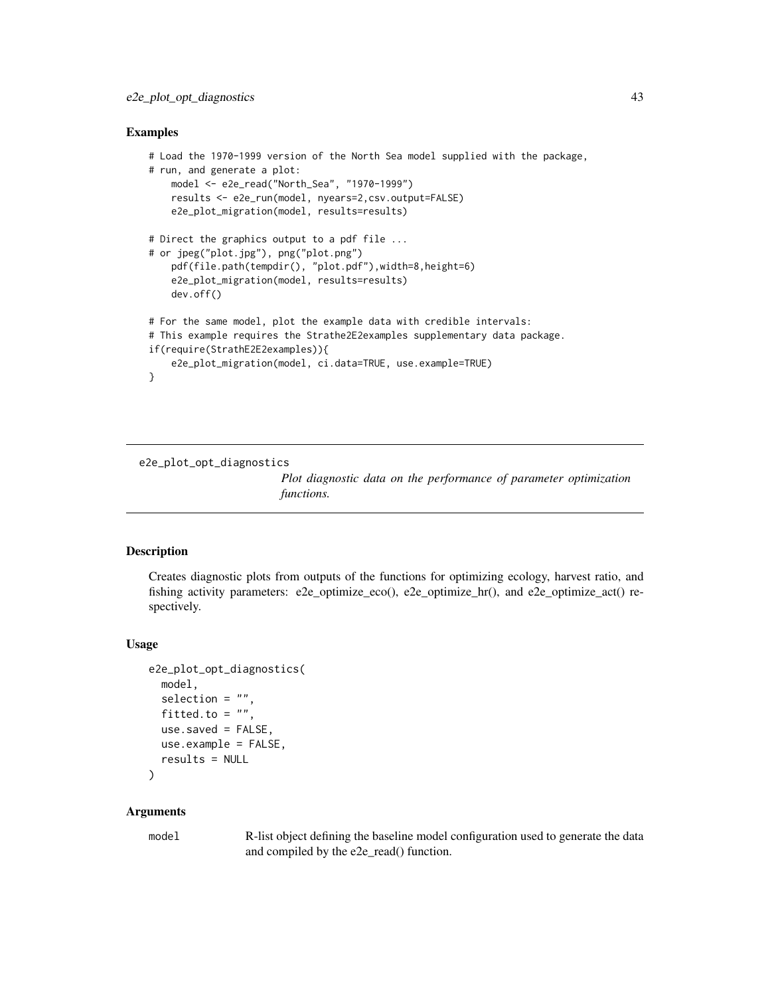## Examples

```
# Load the 1970-1999 version of the North Sea model supplied with the package,
# run, and generate a plot:
   model <- e2e_read("North_Sea", "1970-1999")
   results <- e2e_run(model, nyears=2,csv.output=FALSE)
   e2e_plot_migration(model, results=results)
# Direct the graphics output to a pdf file ...
# or jpeg("plot.jpg"), png("plot.png")
    pdf(file.path(tempdir(), "plot.pdf"),width=8,height=6)
    e2e_plot_migration(model, results=results)
   dev.off()
# For the same model, plot the example data with credible intervals:
# This example requires the Strathe2E2examples supplementary data package.
if(require(StrathE2E2examples)){
    e2e_plot_migration(model, ci.data=TRUE, use.example=TRUE)
}
```
e2e\_plot\_opt\_diagnostics

*Plot diagnostic data on the performance of parameter optimization functions.*

#### Description

Creates diagnostic plots from outputs of the functions for optimizing ecology, harvest ratio, and fishing activity parameters: e2e\_optimize\_eco(), e2e\_optimize\_hr(), and e2e\_optimize\_act() respectively.

## Usage

```
e2e_plot_opt_diagnostics(
  model,
  selection = ",
  fitted.to = ",
  use.saved = FALSE,
  use.example = FALSE,
  results = NULL
\mathcal{L}
```
### Arguments

model R-list object defining the baseline model configuration used to generate the data and compiled by the e2e\_read() function.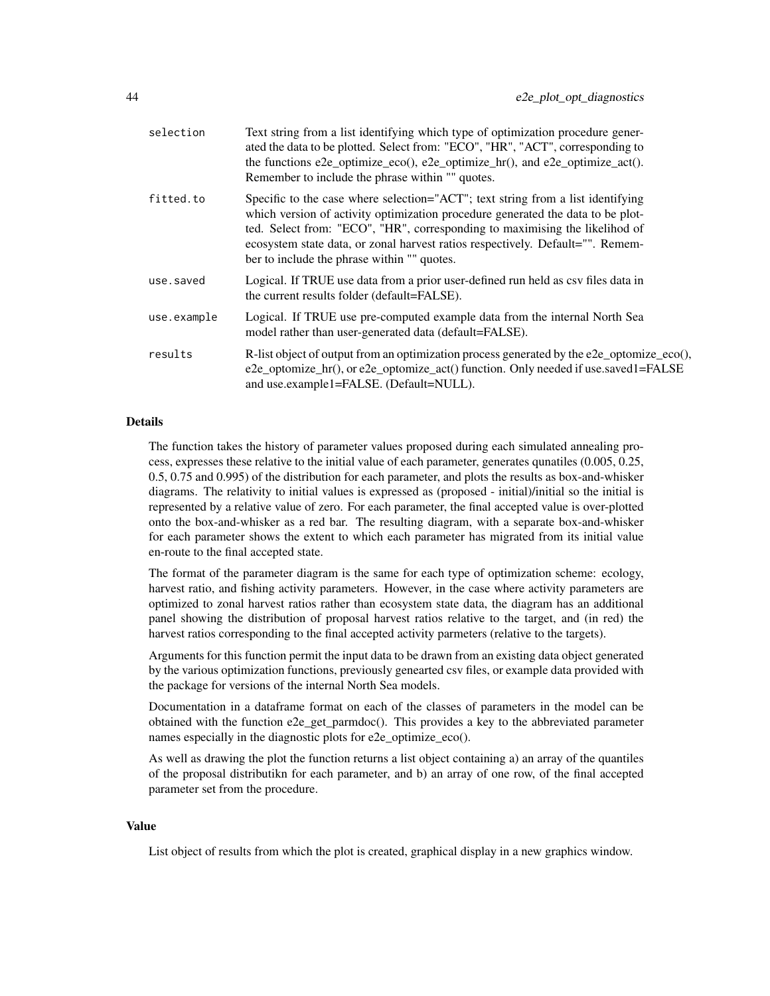| selection   | Text string from a list identifying which type of optimization procedure gener-<br>ated the data to be plotted. Select from: "ECO", "HR", "ACT", corresponding to<br>the functions e2e_optimize_eco(), e2e_optimize_hr(), and e2e_optimize_act().<br>Remember to include the phrase within "" quotes.                                                                              |
|-------------|------------------------------------------------------------------------------------------------------------------------------------------------------------------------------------------------------------------------------------------------------------------------------------------------------------------------------------------------------------------------------------|
| fitted.to   | Specific to the case where selection="ACT"; text string from a list identifying<br>which version of activity optimization procedure generated the data to be plot-<br>ted. Select from: "ECO", "HR", corresponding to maximising the likelihod of<br>ecosystem state data, or zonal harvest ratios respectively. Default="". Remem-<br>ber to include the phrase within "" quotes. |
| use.saved   | Logical. If TRUE use data from a prior user-defined run held as csy files data in<br>the current results folder (default=FALSE).                                                                                                                                                                                                                                                   |
| use.example | Logical. If TRUE use pre-computed example data from the internal North Sea<br>model rather than user-generated data (default=FALSE).                                                                                                                                                                                                                                               |
| results     | R-list object of output from an optimization process generated by the e2e_optomize_eco(),<br>e2e_optomize_hr(), or e2e_optomize_act() function. Only needed if use.saved1=FALSE<br>and use.example1=FALSE. (Default=NULL).                                                                                                                                                         |

## Details

The function takes the history of parameter values proposed during each simulated annealing process, expresses these relative to the initial value of each parameter, generates qunatiles (0.005, 0.25, 0.5, 0.75 and 0.995) of the distribution for each parameter, and plots the results as box-and-whisker diagrams. The relativity to initial values is expressed as (proposed - initial)/initial so the initial is represented by a relative value of zero. For each parameter, the final accepted value is over-plotted onto the box-and-whisker as a red bar. The resulting diagram, with a separate box-and-whisker for each parameter shows the extent to which each parameter has migrated from its initial value en-route to the final accepted state.

The format of the parameter diagram is the same for each type of optimization scheme: ecology, harvest ratio, and fishing activity parameters. However, in the case where activity parameters are optimized to zonal harvest ratios rather than ecosystem state data, the diagram has an additional panel showing the distribution of proposal harvest ratios relative to the target, and (in red) the harvest ratios corresponding to the final accepted activity parmeters (relative to the targets).

Arguments for this function permit the input data to be drawn from an existing data object generated by the various optimization functions, previously genearted csv files, or example data provided with the package for versions of the internal North Sea models.

Documentation in a dataframe format on each of the classes of parameters in the model can be obtained with the function e2e\_get\_parmdoc(). This provides a key to the abbreviated parameter names especially in the diagnostic plots for e2e optimize eco().

As well as drawing the plot the function returns a list object containing a) an array of the quantiles of the proposal distributikn for each parameter, and b) an array of one row, of the final accepted parameter set from the procedure.

#### Value

List object of results from which the plot is created, graphical display in a new graphics window.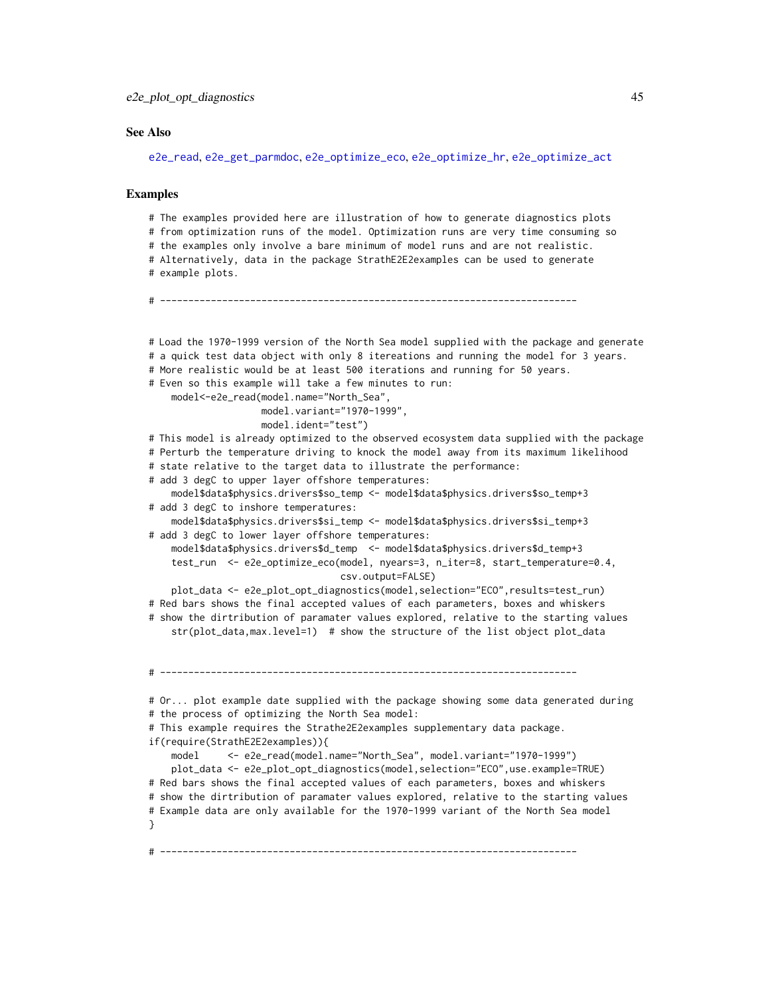### See Also

[e2e\\_read](#page-57-0), [e2e\\_get\\_parmdoc](#page-13-0), [e2e\\_optimize\\_eco](#page-24-0), [e2e\\_optimize\\_hr](#page-27-0), [e2e\\_optimize\\_act](#page-18-0)

## Examples

```
# The examples provided here are illustration of how to generate diagnostics plots
# from optimization runs of the model. Optimization runs are very time consuming so
# the examples only involve a bare minimum of model runs and are not realistic.
# Alternatively, data in the package StrathE2E2examples can be used to generate
# example plots.
# --------------------------------------------------------------------------
# Load the 1970-1999 version of the North Sea model supplied with the package and generate
# a quick test data object with only 8 itereations and running the model for 3 years.
# More realistic would be at least 500 iterations and running for 50 years.
# Even so this example will take a few minutes to run:
    model<-e2e_read(model.name="North_Sea",
                   model.variant="1970-1999",
                   model.ident="test")
# This model is already optimized to the observed ecosystem data supplied with the package
# Perturb the temperature driving to knock the model away from its maximum likelihood
# state relative to the target data to illustrate the performance:
# add 3 degC to upper layer offshore temperatures:
    model$data$physics.drivers$so_temp <- model$data$physics.drivers$so_temp+3
# add 3 degC to inshore temperatures:
    model$data$physics.drivers$si_temp <- model$data$physics.drivers$si_temp+3
# add 3 degC to lower layer offshore temperatures:
    model$data$physics.drivers$d_temp <- model$data$physics.drivers$d_temp+3
    test_run <- e2e_optimize_eco(model, nyears=3, n_iter=8, start_temperature=0.4,
                                  csv.output=FALSE)
    plot_data <- e2e_plot_opt_diagnostics(model,selection="ECO",results=test_run)
# Red bars shows the final accepted values of each parameters, boxes and whiskers
# show the dirtribution of paramater values explored, relative to the starting values
    str(plot_data,max.level=1) # show the structure of the list object plot_data
# --------------------------------------------------------------------------
# Or... plot example date supplied with the package showing some data generated during
# the process of optimizing the North Sea model:
# This example requires the Strathe2E2examples supplementary data package.
if(require(StrathE2E2examples)){
    model <- e2e_read(model.name="North_Sea", model.variant="1970-1999")
   plot_data <- e2e_plot_opt_diagnostics(model,selection="ECO",use.example=TRUE)
# Red bars shows the final accepted values of each parameters, boxes and whiskers
# show the dirtribution of paramater values explored, relative to the starting values
# Example data are only available for the 1970-1999 variant of the North Sea model
}
# --------------------------------------------------------------------------
```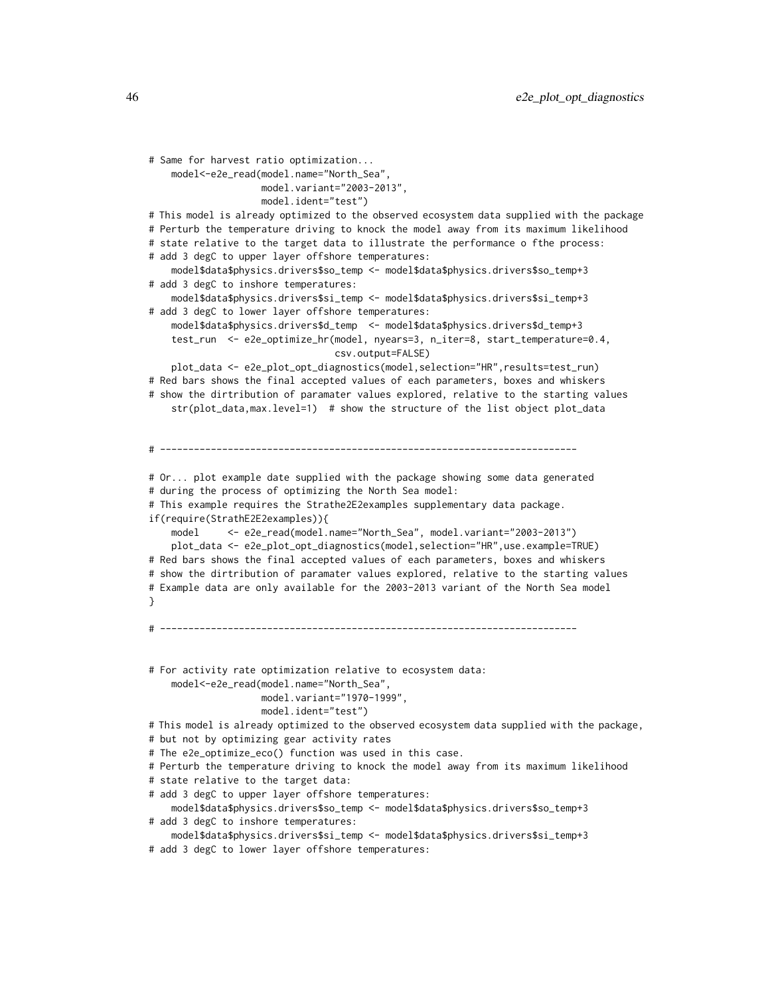```
# Same for harvest ratio optimization...
    model<-e2e_read(model.name="North_Sea",
                   model.variant="2003-2013",
                   model.ident="test")
# This model is already optimized to the observed ecosystem data supplied with the package
# Perturb the temperature driving to knock the model away from its maximum likelihood
# state relative to the target data to illustrate the performance o fthe process:
# add 3 degC to upper layer offshore temperatures:
    model$data$physics.drivers$so_temp <- model$data$physics.drivers$so_temp+3
# add 3 degC to inshore temperatures:
    model$data$physics.drivers$si_temp <- model$data$physics.drivers$si_temp+3
# add 3 degC to lower layer offshore temperatures:
    model$data$physics.drivers$d_temp <- model$data$physics.drivers$d_temp+3
    test_run <- e2e_optimize_hr(model, nyears=3, n_iter=8, start_temperature=0.4,
                                 csv.output=FALSE)
    plot_data <- e2e_plot_opt_diagnostics(model,selection="HR",results=test_run)
# Red bars shows the final accepted values of each parameters, boxes and whiskers
# show the dirtribution of paramater values explored, relative to the starting values
    str(plot_data,max.level=1) # show the structure of the list object plot_data
# --------------------------------------------------------------------------
# Or... plot example date supplied with the package showing some data generated
# during the process of optimizing the North Sea model:
# This example requires the Strathe2E2examples supplementary data package.
if(require(StrathE2E2examples)){
    model <- e2e_read(model.name="North_Sea", model.variant="2003-2013")
    plot_data <- e2e_plot_opt_diagnostics(model,selection="HR",use.example=TRUE)
# Red bars shows the final accepted values of each parameters, boxes and whiskers
# show the dirtribution of paramater values explored, relative to the starting values
# Example data are only available for the 2003-2013 variant of the North Sea model
}
# --------------------------------------------------------------------------
# For activity rate optimization relative to ecosystem data:
    model<-e2e_read(model.name="North_Sea",
                   model.variant="1970-1999",
                   model.ident="test")
# This model is already optimized to the observed ecosystem data supplied with the package,
# but not by optimizing gear activity rates
# The e2e_optimize_eco() function was used in this case.
# Perturb the temperature driving to knock the model away from its maximum likelihood
# state relative to the target data:
# add 3 degC to upper layer offshore temperatures:
    model$data$physics.drivers$so_temp <- model$data$physics.drivers$so_temp+3
# add 3 degC to inshore temperatures:
    model$data$physics.drivers$si_temp <- model$data$physics.drivers$si_temp+3
# add 3 degC to lower layer offshore temperatures:
```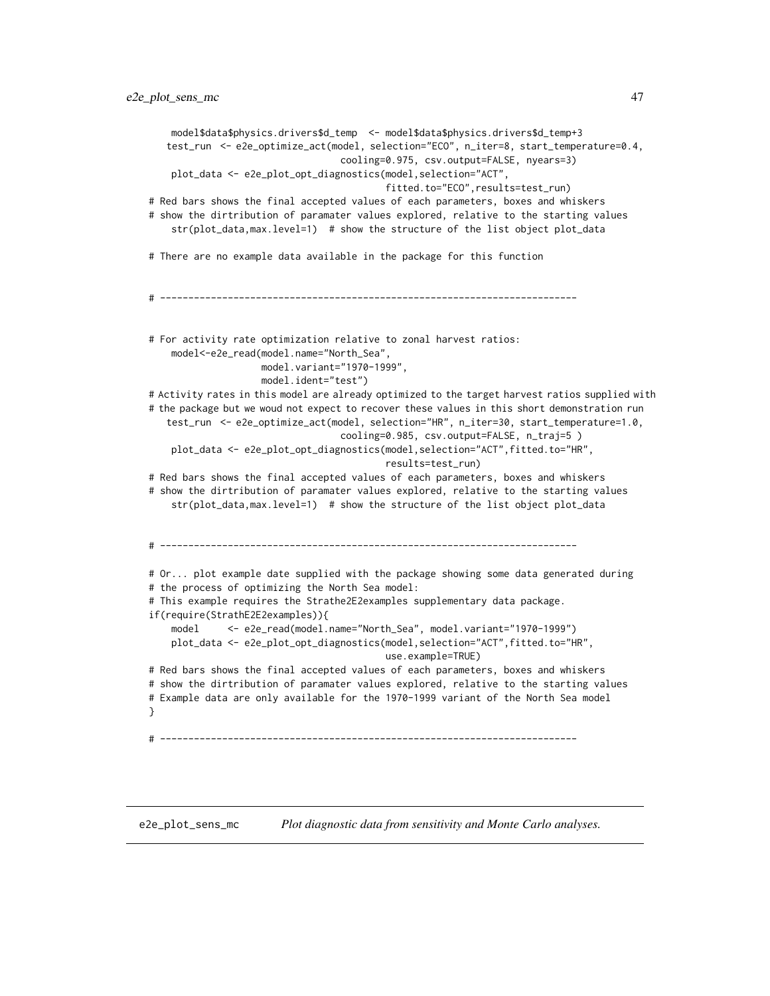```
model$data$physics.drivers$d_temp <- model$data$physics.drivers$d_temp+3
   test_run <- e2e_optimize_act(model, selection="ECO", n_iter=8, start_temperature=0.4,
                                  cooling=0.975, csv.output=FALSE, nyears=3)
   plot_data <- e2e_plot_opt_diagnostics(model,selection="ACT",
                                          fitted.to="ECO",results=test_run)
# Red bars shows the final accepted values of each parameters, boxes and whiskers
# show the dirtribution of paramater values explored, relative to the starting values
   str(plot_data,max.level=1) # show the structure of the list object plot_data
# There are no example data available in the package for this function
# --------------------------------------------------------------------------
# For activity rate optimization relative to zonal harvest ratios:
   model<-e2e_read(model.name="North_Sea",
                   model.variant="1970-1999",
                    model.ident="test")
# Activity rates in this model are already optimized to the target harvest ratios supplied with
# the package but we woud not expect to recover these values in this short demonstration run
   test_run <- e2e_optimize_act(model, selection="HR", n_iter=30, start_temperature=1.0,
                                  cooling=0.985, csv.output=FALSE, n_traj=5 )
   plot_data <- e2e_plot_opt_diagnostics(model,selection="ACT",fitted.to="HR",
                                          results=test_run)
# Red bars shows the final accepted values of each parameters, boxes and whiskers
# show the dirtribution of paramater values explored, relative to the starting values
   str(plot_data,max.level=1) # show the structure of the list object plot_data
# --------------------------------------------------------------------------
# Or... plot example date supplied with the package showing some data generated during
# the process of optimizing the North Sea model:
# This example requires the Strathe2E2examples supplementary data package.
if(require(StrathE2E2examples)){
   model <- e2e_read(model.name="North_Sea", model.variant="1970-1999")
   plot_data <- e2e_plot_opt_diagnostics(model,selection="ACT",fitted.to="HR",
                                          use.example=TRUE)
# Red bars shows the final accepted values of each parameters, boxes and whiskers
# show the dirtribution of paramater values explored, relative to the starting values
# Example data are only available for the 1970-1999 variant of the North Sea model
}
# --------------------------------------------------------------------------
```
<span id="page-46-0"></span>e2e\_plot\_sens\_mc *Plot diagnostic data from sensitivity and Monte Carlo analyses.*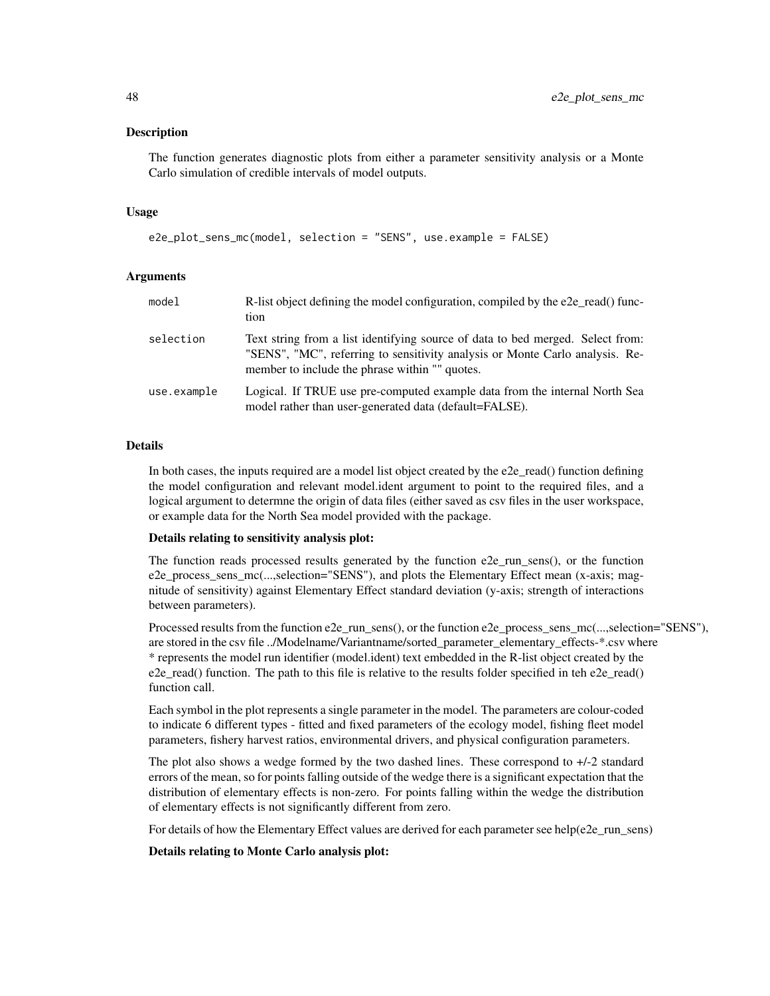#### **Description**

The function generates diagnostic plots from either a parameter sensitivity analysis or a Monte Carlo simulation of credible intervals of model outputs.

#### Usage

```
e2e_plot_sens_mc(model, selection = "SENS", use.example = FALSE)
```
# **Arguments**

| model       | R-list object defining the model configuration, compiled by the e2e_read() func-<br>tion                                                                                                                         |
|-------------|------------------------------------------------------------------------------------------------------------------------------------------------------------------------------------------------------------------|
| selection   | Text string from a list identifying source of data to bed merged. Select from:<br>"SENS", "MC", referring to sensitivity analysis or Monte Carlo analysis. Re-<br>member to include the phrase within "" quotes. |
| use.example | Logical. If TRUE use pre-computed example data from the internal North Sea<br>model rather than user-generated data (default=FALSE).                                                                             |

### Details

In both cases, the inputs required are a model list object created by the e2e\_read() function defining the model configuration and relevant model.ident argument to point to the required files, and a logical argument to determne the origin of data files (either saved as csv files in the user workspace, or example data for the North Sea model provided with the package.

# Details relating to sensitivity analysis plot:

The function reads processed results generated by the function e2e\_run\_sens(), or the function e2e\_process\_sens\_mc(...,selection="SENS"), and plots the Elementary Effect mean (x-axis; magnitude of sensitivity) against Elementary Effect standard deviation (y-axis; strength of interactions between parameters).

Processed results from the function e2e\_run\_sens(), or the function e2e\_process\_sens\_mc(...,selection="SENS"), are stored in the csv file ../Modelname/Variantname/sorted\_parameter\_elementary\_effects-\*.csv where \* represents the model run identifier (model.ident) text embedded in the R-list object created by the  $e2e<sub>1</sub>read()$  function. The path to this file is relative to the results folder specified in teh  $e2e<sub>1</sub>read()$ function call.

Each symbol in the plot represents a single parameter in the model. The parameters are colour-coded to indicate 6 different types - fitted and fixed parameters of the ecology model, fishing fleet model parameters, fishery harvest ratios, environmental drivers, and physical configuration parameters.

The plot also shows a wedge formed by the two dashed lines. These correspond to +/-2 standard errors of the mean, so for points falling outside of the wedge there is a significant expectation that the distribution of elementary effects is non-zero. For points falling within the wedge the distribution of elementary effects is not significantly different from zero.

For details of how the Elementary Effect values are derived for each parameter see help(e2e\_run\_sens)

#### Details relating to Monte Carlo analysis plot: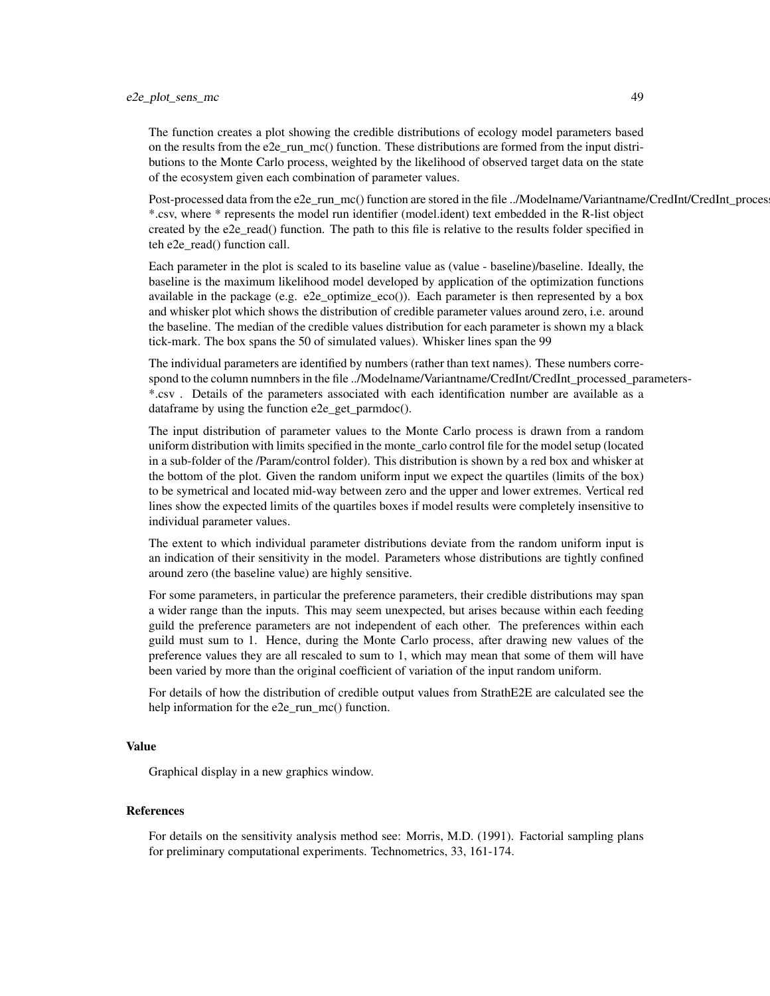# e2e\_plot\_sens\_mc 49

The function creates a plot showing the credible distributions of ecology model parameters based on the results from the e2e run  $mc()$  function. These distributions are formed from the input distributions to the Monte Carlo process, weighted by the likelihood of observed target data on the state of the ecosystem given each combination of parameter values.

Post-processed data from the e2e\_run\_mc() function are stored in the file ../Modelname/Variantname/CredInt/CredInt\_proces \*.csv, where \* represents the model run identifier (model.ident) text embedded in the R-list object created by the e2e\_read() function. The path to this file is relative to the results folder specified in teh e2e\_read() function call.

Each parameter in the plot is scaled to its baseline value as (value - baseline)/baseline. Ideally, the baseline is the maximum likelihood model developed by application of the optimization functions available in the package (e.g. e2e\_optimize\_eco()). Each parameter is then represented by a box and whisker plot which shows the distribution of credible parameter values around zero, i.e. around the baseline. The median of the credible values distribution for each parameter is shown my a black tick-mark. The box spans the 50 of simulated values). Whisker lines span the 99

The individual parameters are identified by numbers (rather than text names). These numbers correspond to the column numnbers in the file ../Modelname/Variantname/CredInt/CredInt\_processed\_parameters- \*.csv . Details of the parameters associated with each identification number are available as a dataframe by using the function e2e\_get\_parmdoc().

The input distribution of parameter values to the Monte Carlo process is drawn from a random uniform distribution with limits specified in the monte\_carlo control file for the model setup (located in a sub-folder of the /Param/control folder). This distribution is shown by a red box and whisker at the bottom of the plot. Given the random uniform input we expect the quartiles (limits of the box) to be symetrical and located mid-way between zero and the upper and lower extremes. Vertical red lines show the expected limits of the quartiles boxes if model results were completely insensitive to individual parameter values.

The extent to which individual parameter distributions deviate from the random uniform input is an indication of their sensitivity in the model. Parameters whose distributions are tightly confined around zero (the baseline value) are highly sensitive.

For some parameters, in particular the preference parameters, their credible distributions may span a wider range than the inputs. This may seem unexpected, but arises because within each feeding guild the preference parameters are not independent of each other. The preferences within each guild must sum to 1. Hence, during the Monte Carlo process, after drawing new values of the preference values they are all rescaled to sum to 1, which may mean that some of them will have been varied by more than the original coefficient of variation of the input random uniform.

For details of how the distribution of credible output values from StrathE2E are calculated see the help information for the e2e\_run\_mc() function.

### Value

Graphical display in a new graphics window.

### References

For details on the sensitivity analysis method see: Morris, M.D. (1991). Factorial sampling plans for preliminary computational experiments. Technometrics, 33, 161-174.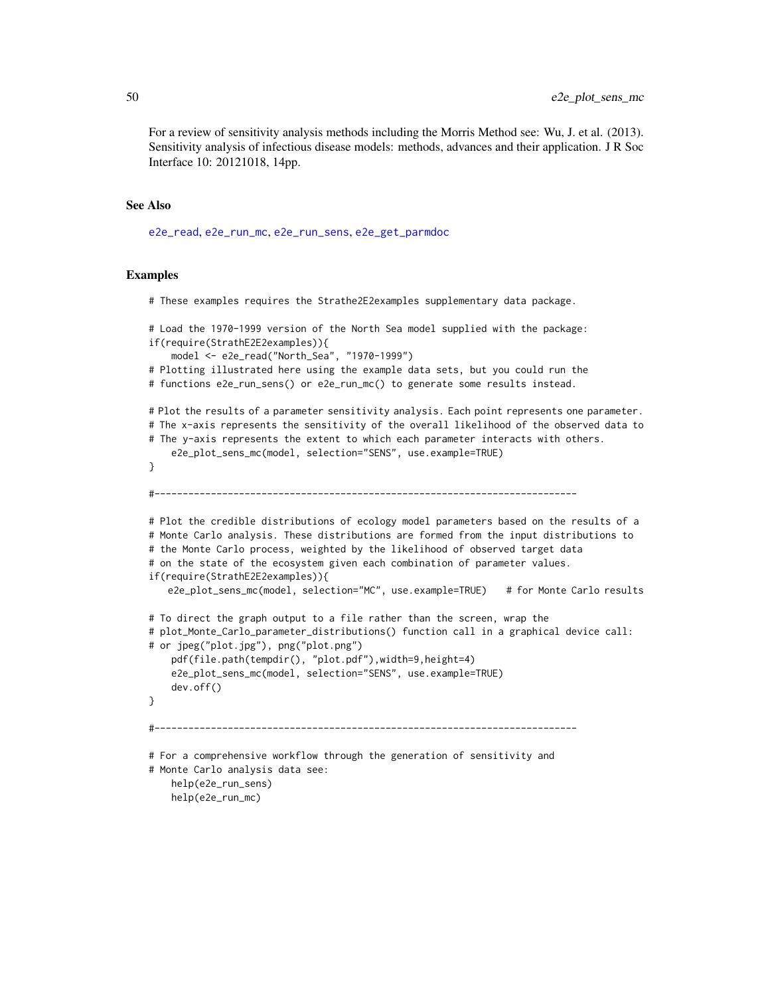For a review of sensitivity analysis methods including the Morris Method see: Wu, J. et al. (2013). Sensitivity analysis of infectious disease models: methods, advances and their application. J R Soc Interface 10: 20121018, 14pp.

#### See Also

[e2e\\_read](#page-57-0), [e2e\\_run\\_mc](#page-61-0), [e2e\\_run\\_sens](#page-67-0), [e2e\\_get\\_parmdoc](#page-13-0)

## Examples

# These examples requires the Strathe2E2examples supplementary data package.

```
# Load the 1970-1999 version of the North Sea model supplied with the package:
if(require(StrathE2E2examples)){
    model <- e2e_read("North_Sea", "1970-1999")
# Plotting illustrated here using the example data sets, but you could run the
# functions e2e_run_sens() or e2e_run_mc() to generate some results instead.
# Plot the results of a parameter sensitivity analysis. Each point represents one parameter.
# The x-axis represents the sensitivity of the overall likelihood of the observed data to
# The y-axis represents the extent to which each parameter interacts with others.
    e2e_plot_sens_mc(model, selection="SENS", use.example=TRUE)
}
#---------------------------------------------------------------------------
# Plot the credible distributions of ecology model parameters based on the results of a
# Monte Carlo analysis. These distributions are formed from the input distributions to
# the Monte Carlo process, weighted by the likelihood of observed target data
# on the state of the ecosystem given each combination of parameter values.
if(require(StrathE2E2examples)){
   e2e_plot_sens_mc(model, selection="MC", use.example=TRUE) # for Monte Carlo results
# To direct the graph output to a file rather than the screen, wrap the
# plot_Monte_Carlo_parameter_distributions() function call in a graphical device call:
# or jpeg("plot.jpg"), png("plot.png")
    pdf(file.path(tempdir(), "plot.pdf"),width=9,height=4)
    e2e_plot_sens_mc(model, selection="SENS", use.example=TRUE)
    dev.off()
}
         #---------------------------------------------------------------------------
# For a comprehensive workflow through the generation of sensitivity and
# Monte Carlo analysis data see:
   help(e2e_run_sens)
   help(e2e_run_mc)
```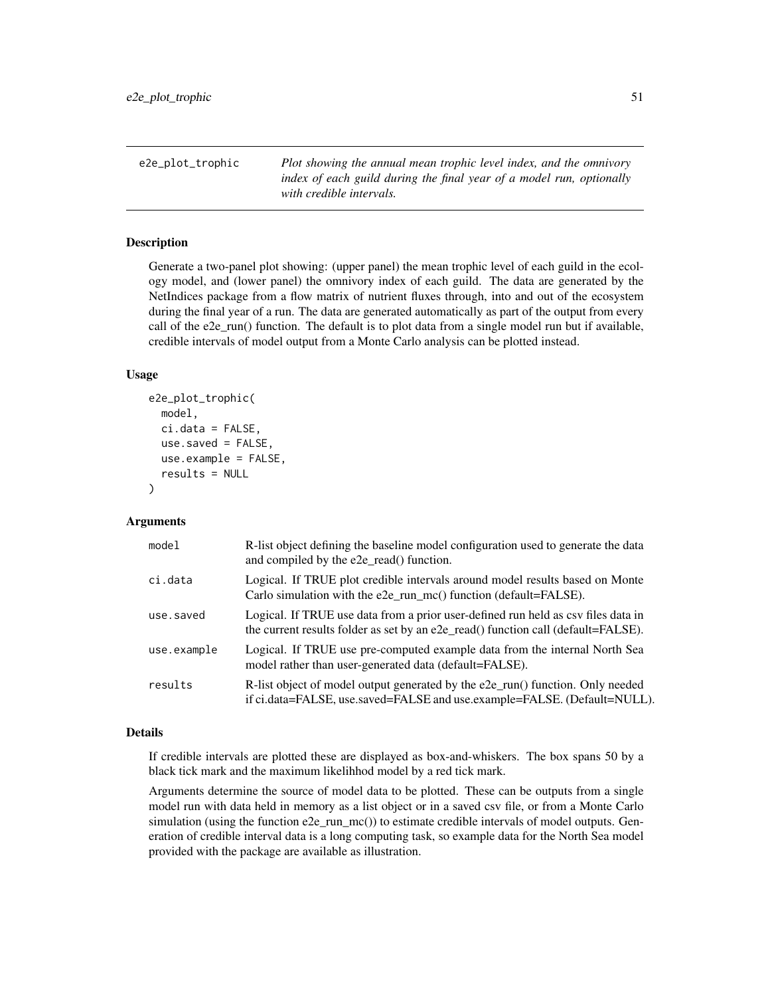<span id="page-50-0"></span>e2e\_plot\_trophic *Plot showing the annual mean trophic level index, and the omnivory index of each guild during the final year of a model run, optionally with credible intervals.*

# Description

Generate a two-panel plot showing: (upper panel) the mean trophic level of each guild in the ecology model, and (lower panel) the omnivory index of each guild. The data are generated by the NetIndices package from a flow matrix of nutrient fluxes through, into and out of the ecosystem during the final year of a run. The data are generated automatically as part of the output from every call of the e2e\_run() function. The default is to plot data from a single model run but if available, credible intervals of model output from a Monte Carlo analysis can be plotted instead.

## Usage

```
e2e_plot_trophic(
  model,
  ci.data = FALSE,use.saved = FALSE,
  use.example = FALSE,
  results = NULL)
```
## Arguments

| model       | R-list object defining the baseline model configuration used to generate the data<br>and compiled by the e2e_read() function.                                          |
|-------------|------------------------------------------------------------------------------------------------------------------------------------------------------------------------|
| ci.data     | Logical. If TRUE plot credible intervals around model results based on Monte<br>Carlo simulation with the $e2e$ _run_mc() function (default=FALSE).                    |
| use.saved   | Logical. If TRUE use data from a prior user-defined run held as csy files data in<br>the current results folder as set by an e2e_read() function call (default=FALSE). |
| use.example | Logical. If TRUE use pre-computed example data from the internal North Sea<br>model rather than user-generated data (default=FALSE).                                   |
| results     | R-list object of model output generated by the e2e_run() function. Only needed<br>if ci.data=FALSE, use.saved=FALSE and use.example=FALSE. (Default=NULL).             |

### Details

If credible intervals are plotted these are displayed as box-and-whiskers. The box spans 50 by a black tick mark and the maximum likelihhod model by a red tick mark.

Arguments determine the source of model data to be plotted. These can be outputs from a single model run with data held in memory as a list object or in a saved csv file, or from a Monte Carlo simulation (using the function e2e\_run\_mc()) to estimate credible intervals of model outputs. Generation of credible interval data is a long computing task, so example data for the North Sea model provided with the package are available as illustration.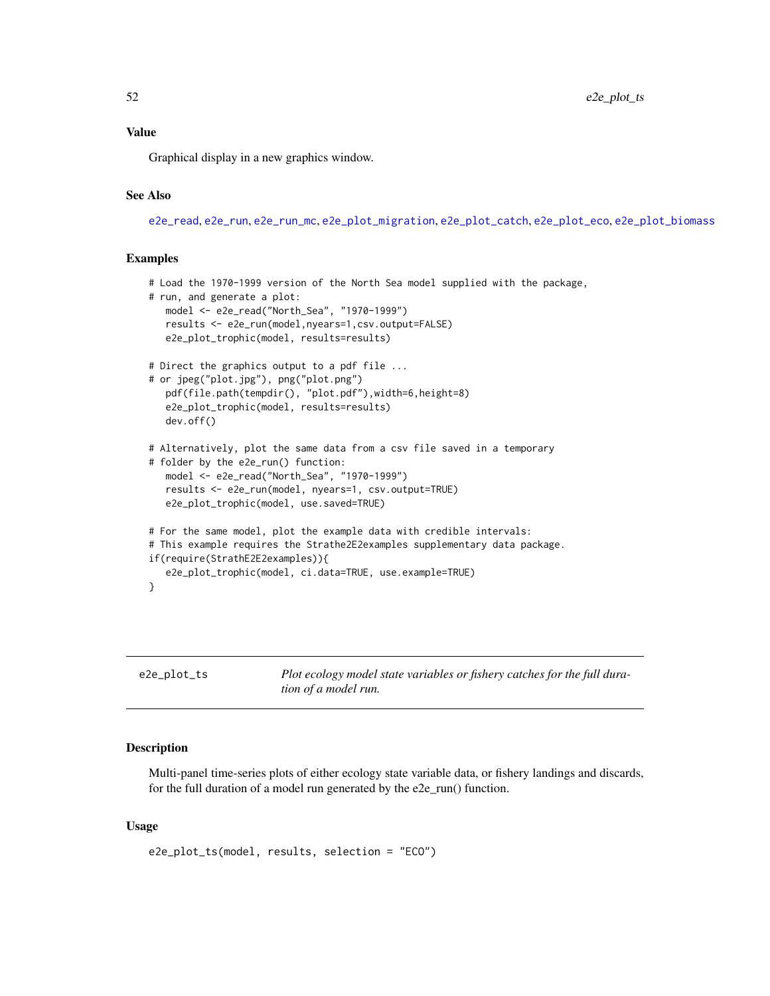52 e2e\_plot\_ts

# Value

Graphical display in a new graphics window.

# See Also

[e2e\\_read](#page-57-0), [e2e\\_run](#page-60-0), [e2e\\_run\\_mc](#page-61-0), [e2e\\_plot\\_migration](#page-40-0), [e2e\\_plot\\_catch](#page-32-0), [e2e\\_plot\\_eco](#page-34-0), [e2e\\_plot\\_biomass](#page-31-0)

## Examples

```
# Load the 1970-1999 version of the North Sea model supplied with the package,
# run, and generate a plot:
  model <- e2e_read("North_Sea", "1970-1999")
  results <- e2e_run(model,nyears=1,csv.output=FALSE)
  e2e_plot_trophic(model, results=results)
# Direct the graphics output to a pdf file ...
# or jpeg("plot.jpg"), png("plot.png")
  pdf(file.path(tempdir(), "plot.pdf"),width=6,height=8)
  e2e_plot_trophic(model, results=results)
  dev.off()
# Alternatively, plot the same data from a csv file saved in a temporary
# folder by the e2e_run() function:
  model <- e2e_read("North_Sea", "1970-1999")
  results <- e2e_run(model, nyears=1, csv.output=TRUE)
   e2e_plot_trophic(model, use.saved=TRUE)
# For the same model, plot the example data with credible intervals:
# This example requires the Strathe2E2examples supplementary data package.
if(require(StrathE2E2examples)){
  e2e_plot_trophic(model, ci.data=TRUE, use.example=TRUE)
}
```
<span id="page-51-0"></span>e2e\_plot\_ts *Plot ecology model state variables or fishery catches for the full duration of a model run.*

# Description

Multi-panel time-series plots of either ecology state variable data, or fishery landings and discards, for the full duration of a model run generated by the e2e\_run() function.

## Usage

```
e2e_plot_ts(model, results, selection = "ECO")
```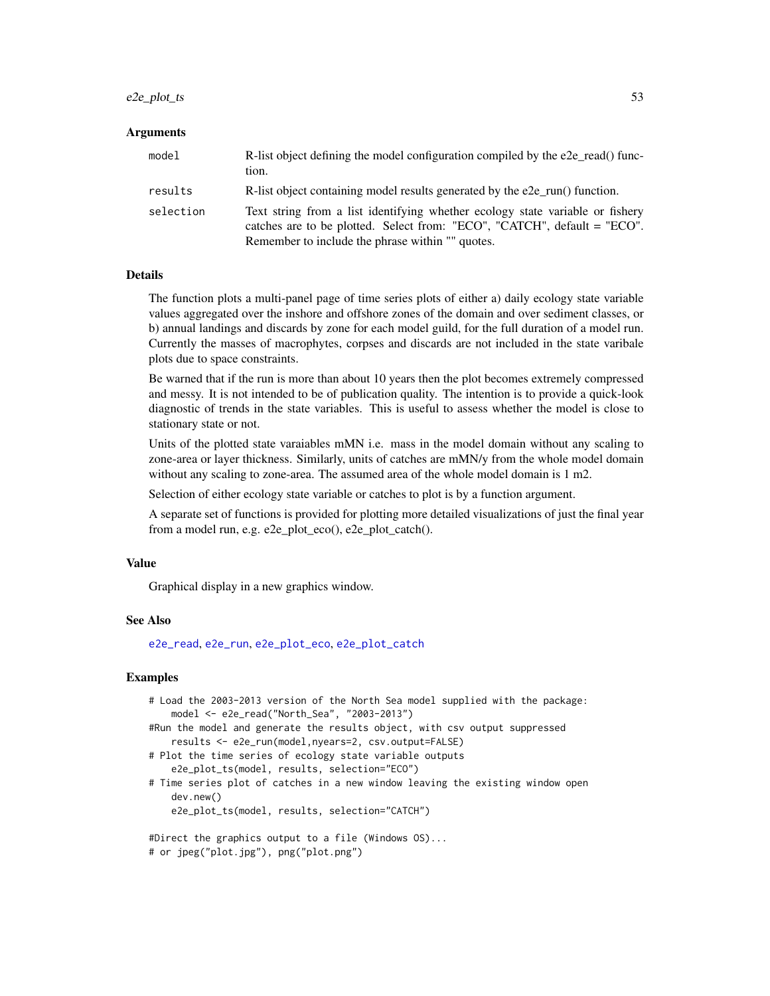# $e2e_{p}$  plot\_ts 53

#### Arguments

| model     | R-list object defining the model configuration compiled by the e2e read() func-<br>tion.                                                                                                                      |
|-----------|---------------------------------------------------------------------------------------------------------------------------------------------------------------------------------------------------------------|
| results   | R-list object containing model results generated by the e2e_run() function.                                                                                                                                   |
| selection | Text string from a list identifying whether ecology state variable or fishery<br>catches are to be plotted. Select from: "ECO", "CATCH", default = "ECO".<br>Remember to include the phrase within "" quotes. |

#### Details

The function plots a multi-panel page of time series plots of either a) daily ecology state variable values aggregated over the inshore and offshore zones of the domain and over sediment classes, or b) annual landings and discards by zone for each model guild, for the full duration of a model run. Currently the masses of macrophytes, corpses and discards are not included in the state varibale plots due to space constraints.

Be warned that if the run is more than about 10 years then the plot becomes extremely compressed and messy. It is not intended to be of publication quality. The intention is to provide a quick-look diagnostic of trends in the state variables. This is useful to assess whether the model is close to stationary state or not.

Units of the plotted state varaiables mMN i.e. mass in the model domain without any scaling to zone-area or layer thickness. Similarly, units of catches are mMN/y from the whole model domain without any scaling to zone-area. The assumed area of the whole model domain is 1 m2.

Selection of either ecology state variable or catches to plot is by a function argument.

A separate set of functions is provided for plotting more detailed visualizations of just the final year from a model run, e.g. e2e\_plot\_eco(), e2e\_plot\_catch().

#### Value

Graphical display in a new graphics window.

#### See Also

[e2e\\_read](#page-57-0), [e2e\\_run](#page-60-0), [e2e\\_plot\\_eco](#page-34-0), [e2e\\_plot\\_catch](#page-32-0)

## Examples

```
# Load the 2003-2013 version of the North Sea model supplied with the package:
   model <- e2e_read("North_Sea", "2003-2013")
#Run the model and generate the results object, with csv output suppressed
   results <- e2e_run(model,nyears=2, csv.output=FALSE)
# Plot the time series of ecology state variable outputs
   e2e_plot_ts(model, results, selection="ECO")
# Time series plot of catches in a new window leaving the existing window open
   dev.new()
   e2e_plot_ts(model, results, selection="CATCH")
#Direct the graphics output to a file (Windows OS)...
```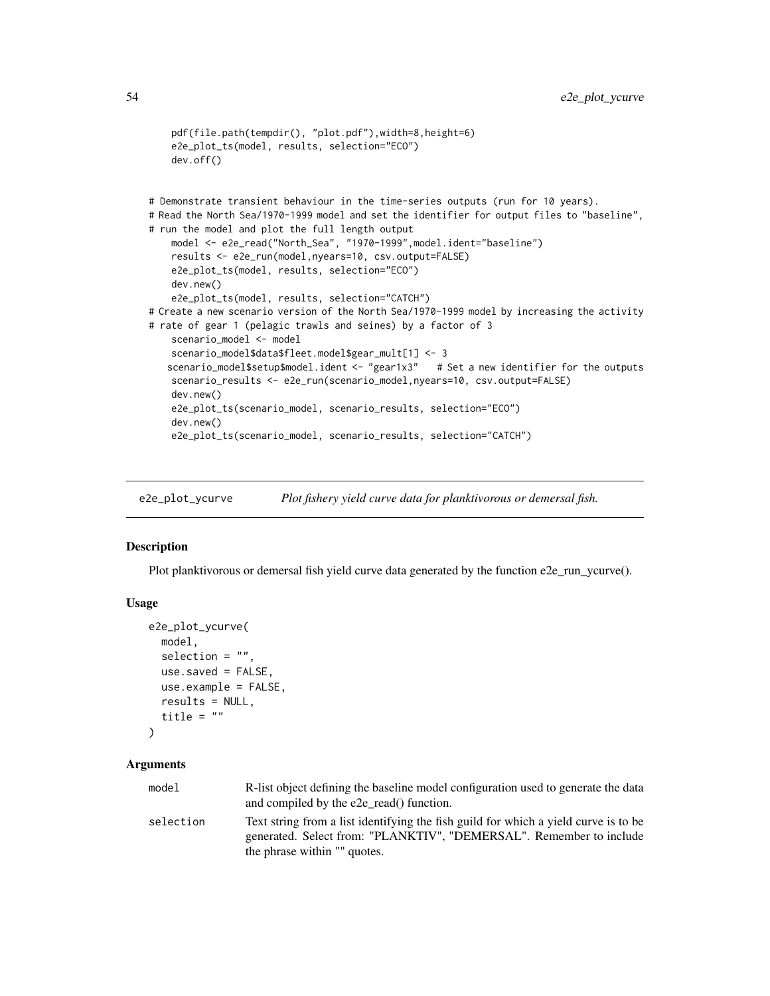```
pdf(file.path(tempdir(), "plot.pdf"),width=8,height=6)
   e2e_plot_ts(model, results, selection="ECO")
   dev.off()
# Demonstrate transient behaviour in the time-series outputs (run for 10 years).
# Read the North Sea/1970-1999 model and set the identifier for output files to "baseline",
# run the model and plot the full length output
   model <- e2e_read("North_Sea", "1970-1999",model.ident="baseline")
   results <- e2e_run(model,nyears=10, csv.output=FALSE)
   e2e_plot_ts(model, results, selection="ECO")
   dev.new()
   e2e_plot_ts(model, results, selection="CATCH")
# Create a new scenario version of the North Sea/1970-1999 model by increasing the activity
# rate of gear 1 (pelagic trawls and seines) by a factor of 3
   scenario_model <- model
   scenario_model$data$fleet.model$gear_mult[1] <- 3
   scenario_model$setup$model.ident <- "gear1x3" # Set a new identifier for the outputs
   scenario_results <- e2e_run(scenario_model,nyears=10, csv.output=FALSE)
   dev.new()
   e2e_plot_ts(scenario_model, scenario_results, selection="ECO")
   dev.new()
   e2e_plot_ts(scenario_model, scenario_results, selection="CATCH")
```
e2e\_plot\_ycurve *Plot fishery yield curve data for planktivorous or demersal fish.*

### Description

Plot planktivorous or demersal fish yield curve data generated by the function e2e\_run\_ycurve().

#### Usage

```
e2e_plot_ycurve(
  model,
  selection = ",
  use.saved = FALSE,
  use.example = FALSE,
  results = NULL,
  title = "\lambda
```
### Arguments

| model     | R-list object defining the baseline model configuration used to generate the data   |
|-----------|-------------------------------------------------------------------------------------|
|           | and compiled by the e2e_read() function.                                            |
| selection | Text string from a list identifying the fish guild for which a yield curve is to be |
|           | generated. Select from: "PLANKTIV", "DEMERSAL". Remember to include                 |
|           | the phrase within "" quotes.                                                        |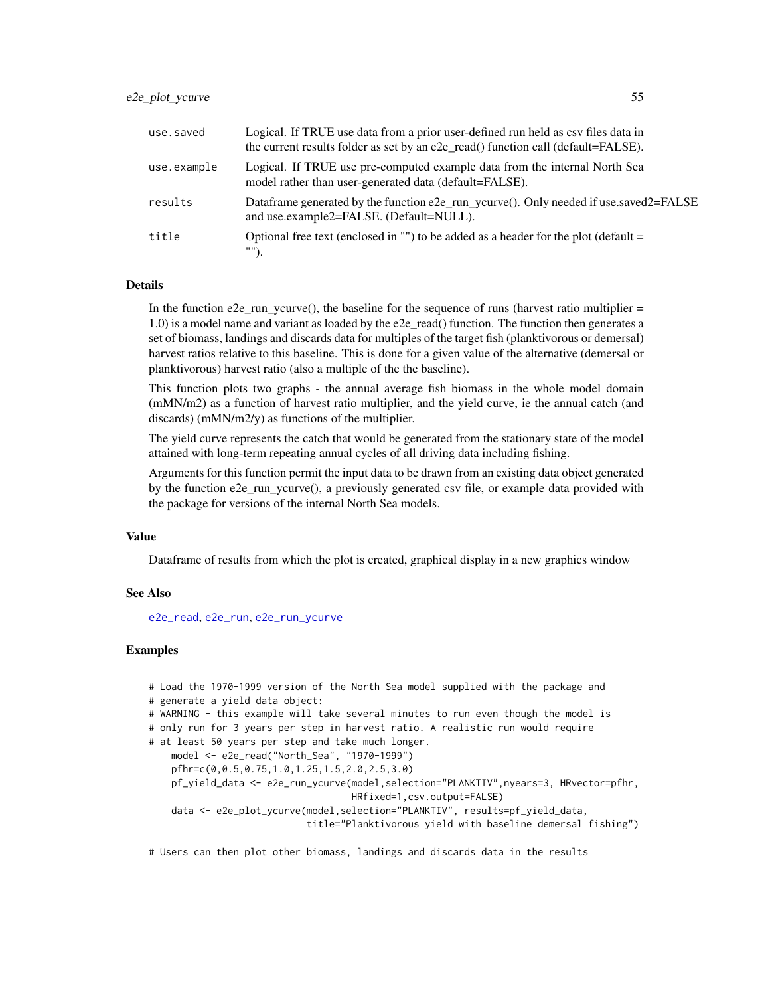## e2e\_plot\_ycurve 55

| use.saved   | Logical. If TRUE use data from a prior user-defined run held as csy files data in<br>the current results folder as set by an e2e_read() function call (default=FALSE). |
|-------------|------------------------------------------------------------------------------------------------------------------------------------------------------------------------|
| use.example | Logical. If TRUE use pre-computed example data from the internal North Sea<br>model rather than user-generated data (default=FALSE).                                   |
| results     | Dataframe generated by the function e2e_run_ycurve(). Only needed if use saved 2= FALSE<br>and use.example2=FALSE. (Default=NULL).                                     |
| title       | Optional free text (enclosed in "") to be added as a header for the plot (default $=$                                                                                  |

#### Details

In the function e2e run ycurve(), the baseline for the sequence of runs (harvest ratio multiplier  $=$ 1.0) is a model name and variant as loaded by the e2e\_read() function. The function then generates a set of biomass, landings and discards data for multiples of the target fish (planktivorous or demersal) harvest ratios relative to this baseline. This is done for a given value of the alternative (demersal or planktivorous) harvest ratio (also a multiple of the the baseline).

This function plots two graphs - the annual average fish biomass in the whole model domain (mMN/m2) as a function of harvest ratio multiplier, and the yield curve, ie the annual catch (and discards) (mMN/m2/y) as functions of the multiplier.

The yield curve represents the catch that would be generated from the stationary state of the model attained with long-term repeating annual cycles of all driving data including fishing.

Arguments for this function permit the input data to be drawn from an existing data object generated by the function e2e\_run\_ycurve(), a previously generated csv file, or example data provided with the package for versions of the internal North Sea models.

#### Value

Dataframe of results from which the plot is created, graphical display in a new graphics window

### See Also

[e2e\\_read](#page-57-0), [e2e\\_run](#page-60-0), [e2e\\_run\\_ycurve](#page-71-0)

# Examples

```
# Load the 1970-1999 version of the North Sea model supplied with the package and
# generate a yield data object:
# WARNING - this example will take several minutes to run even though the model is
# only run for 3 years per step in harvest ratio. A realistic run would require
# at least 50 years per step and take much longer.
   model <- e2e_read("North_Sea", "1970-1999")
   pfhr=c(0,0.5,0.75,1.0,1.25,1.5,2.0,2.5,3.0)
   pf_yield_data <- e2e_run_ycurve(model,selection="PLANKTIV",nyears=3, HRvector=pfhr,
                                    HRfixed=1,csv.output=FALSE)
    data <- e2e_plot_ycurve(model,selection="PLANKTIV", results=pf_yield_data,
                            title="Planktivorous yield with baseline demersal fishing")
```
# Users can then plot other biomass, landings and discards data in the results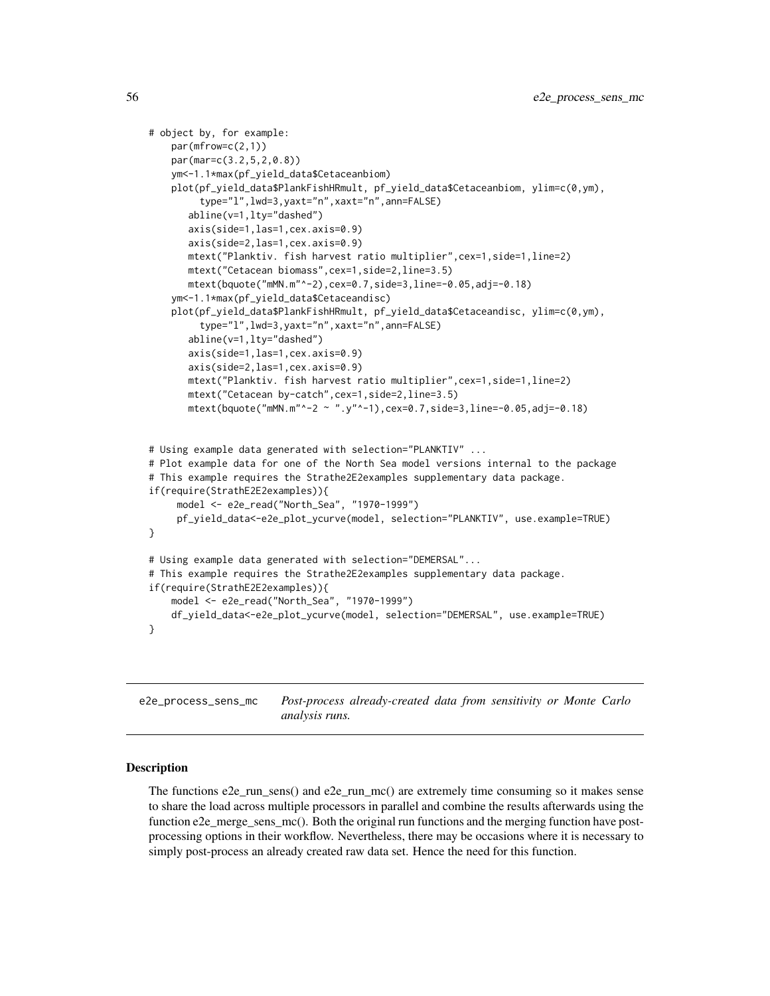```
# object by, for example:
    par(mfrow=c(2,1))
    par(mar=c(3.2,5,2,0.8))
   ym<-1.1*max(pf_yield_data$Cetaceanbiom)
    plot(pf_yield_data$PlankFishHRmult, pf_yield_data$Cetaceanbiom, ylim=c(0,ym),
         type="l",lwd=3,yaxt="n",xaxt="n",ann=FALSE)
      abline(v=1,lty="dashed")
      axis(side=1,las=1,cex.axis=0.9)
      axis(side=2,las=1,cex.axis=0.9)
      mtext("Planktiv. fish harvest ratio multiplier",cex=1,side=1,line=2)
      mtext("Cetacean biomass",cex=1,side=2,line=3.5)
      mtext(bquote("mMN.m"^-2),cex=0.7,side=3,line=-0.05,adj=-0.18)
    ym<-1.1*max(pf_yield_data$Cetaceandisc)
    plot(pf_yield_data$PlankFishHRmult, pf_yield_data$Cetaceandisc, ylim=c(0,ym),
         type="l",lwd=3,yaxt="n",xaxt="n",ann=FALSE)
      abline(v=1,lty="dashed")
      axis(side=1,las=1,cex.axis=0.9)
      axis(side=2,las=1,cex.axis=0.9)
      mtext("Planktiv. fish harvest ratio multiplier",cex=1,side=1,line=2)
      mtext("Cetacean by-catch",cex=1,side=2,line=3.5)
      mtext(bquote("mMN.m"^-2 ~ ".y"^-1),cex=0.7,side=3,line=-0.05,adj=-0.18)
# Using example data generated with selection="PLANKTIV" ...
# Plot example data for one of the North Sea model versions internal to the package
# This example requires the Strathe2E2examples supplementary data package.
if(require(StrathE2E2examples)){
     model <- e2e_read("North_Sea", "1970-1999")
     pf_yield_data<-e2e_plot_ycurve(model, selection="PLANKTIV", use.example=TRUE)
}
# Using example data generated with selection="DEMERSAL"...
# This example requires the Strathe2E2examples supplementary data package.
if(require(StrathE2E2examples)){
    model <- e2e_read("North_Sea", "1970-1999")
    df_yield_data<-e2e_plot_ycurve(model, selection="DEMERSAL", use.example=TRUE)
}
```
<span id="page-55-0"></span>e2e\_process\_sens\_mc *Post-process already-created data from sensitivity or Monte Carlo analysis runs.*

## **Description**

The functions e2e\_run\_sens() and e2e\_run\_mc() are extremely time consuming so it makes sense to share the load across multiple processors in parallel and combine the results afterwards using the function e2e\_merge\_sens\_mc(). Both the original run functions and the merging function have postprocessing options in their workflow. Nevertheless, there may be occasions where it is necessary to simply post-process an already created raw data set. Hence the need for this function.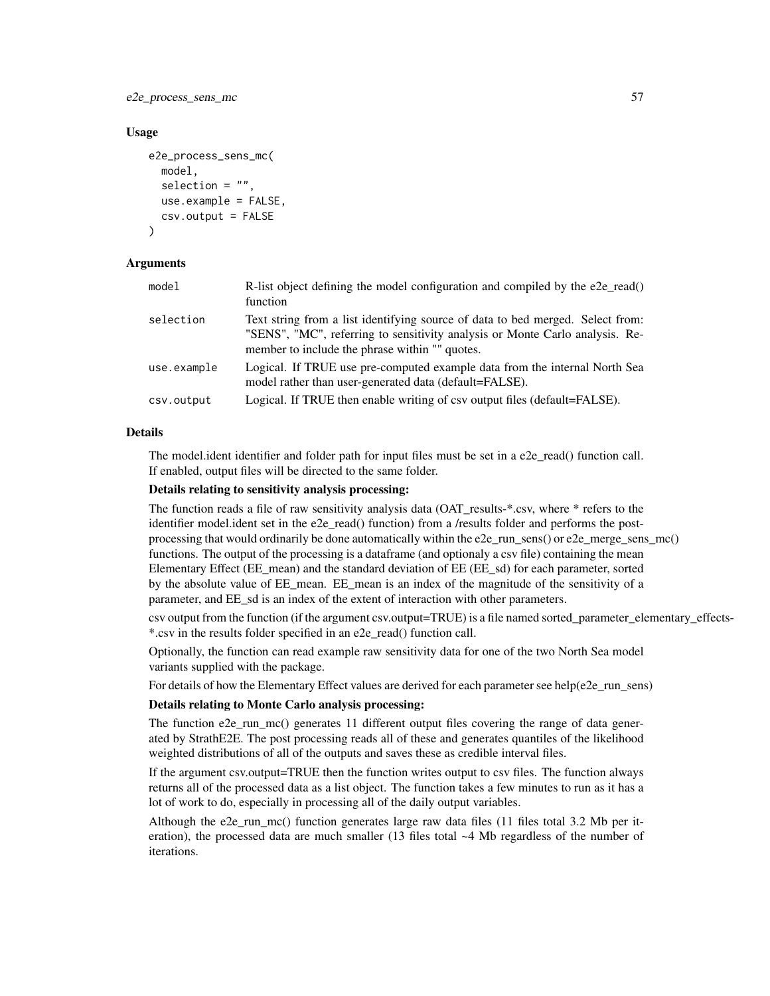e2e\_process\_sens\_mc 57

### Usage

```
e2e_process_sens_mc(
  model,
  selection = "",
  use.example = FALSE,
  csv.output = FALSE
)
```
## Arguments

| model       | R-list object defining the model configuration and compiled by the e2e_read()<br>function                                                                                                                        |
|-------------|------------------------------------------------------------------------------------------------------------------------------------------------------------------------------------------------------------------|
| selection   | Text string from a list identifying source of data to bed merged. Select from:<br>"SENS", "MC", referring to sensitivity analysis or Monte Carlo analysis. Re-<br>member to include the phrase within "" quotes. |
| use.example | Logical. If TRUE use pre-computed example data from the internal North Sea<br>model rather than user-generated data (default=FALSE).                                                                             |
| csv.output  | Logical. If TRUE then enable writing of csv output files (default=FALSE).                                                                                                                                        |

## Details

The model.ident identifier and folder path for input files must be set in a e2e\_read() function call. If enabled, output files will be directed to the same folder.

## Details relating to sensitivity analysis processing:

The function reads a file of raw sensitivity analysis data (OAT\_results-\*.csv, where \* refers to the identifier model.ident set in the e2e\_read() function) from a /results folder and performs the postprocessing that would ordinarily be done automatically within the e2e\_run\_sens() or e2e\_merge\_sens\_mc() functions. The output of the processing is a dataframe (and optionaly a csv file) containing the mean Elementary Effect (EE\_mean) and the standard deviation of EE (EE\_sd) for each parameter, sorted by the absolute value of EE\_mean. EE\_mean is an index of the magnitude of the sensitivity of a parameter, and EE\_sd is an index of the extent of interaction with other parameters.

csv output from the function (if the argument csv.output=TRUE) is a file named sorted\_parameter\_elementary\_effects- \*.csv in the results folder specified in an e2e\_read() function call.

Optionally, the function can read example raw sensitivity data for one of the two North Sea model variants supplied with the package.

For details of how the Elementary Effect values are derived for each parameter see help(e2e\_run\_sens)

# Details relating to Monte Carlo analysis processing:

The function e2e run mc() generates 11 different output files covering the range of data generated by StrathE2E. The post processing reads all of these and generates quantiles of the likelihood weighted distributions of all of the outputs and saves these as credible interval files.

If the argument csv.output=TRUE then the function writes output to csv files. The function always returns all of the processed data as a list object. The function takes a few minutes to run as it has a lot of work to do, especially in processing all of the daily output variables.

Although the e2e\_run\_mc() function generates large raw data files (11 files total 3.2 Mb per iteration), the processed data are much smaller (13 files total ~4 Mb regardless of the number of iterations.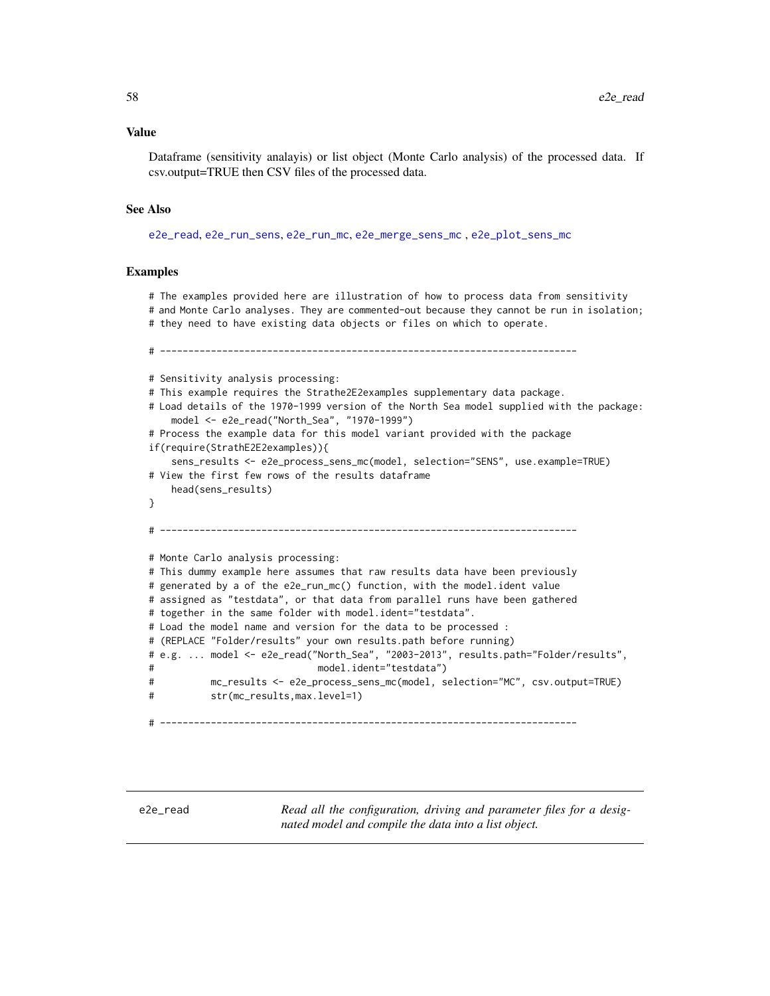#### Value

Dataframe (sensitivity analayis) or list object (Monte Carlo analysis) of the processed data. If csv.output=TRUE then CSV files of the processed data.

#### See Also

[e2e\\_read](#page-57-0), [e2e\\_run\\_sens](#page-67-0), [e2e\\_run\\_mc](#page-61-0), [e2e\\_merge\\_sens\\_mc](#page-15-0) , [e2e\\_plot\\_sens\\_mc](#page-46-0)

### Examples

# The examples provided here are illustration of how to process data from sensitivity

# and Monte Carlo analyses. They are commented-out because they cannot be run in isolation;

# they need to have existing data objects or files on which to operate.

# --------------------------------------------------------------------------

# Sensitivity analysis processing: # This example requires the Strathe2E2examples supplementary data package. # Load details of the 1970-1999 version of the North Sea model supplied with the package: model <- e2e\_read("North\_Sea", "1970-1999") # Process the example data for this model variant provided with the package if(require(StrathE2E2examples)){ sens\_results <- e2e\_process\_sens\_mc(model, selection="SENS", use.example=TRUE) # View the first few rows of the results dataframe head(sens\_results) } # -------------------------------------------------------------------------- # Monte Carlo analysis processing: # This dummy example here assumes that raw results data have been previously # generated by a of the e2e\_run\_mc() function, with the model.ident value # assigned as "testdata", or that data from parallel runs have been gathered # together in the same folder with model.ident="testdata". # Load the model name and version for the data to be processed : # (REPLACE "Folder/results" your own results.path before running) # e.g. ... model <- e2e\_read("North\_Sea", "2003-2013", results.path="Folder/results",  $model.ident="testdata")$ # mc\_results <- e2e\_process\_sens\_mc(model, selection="MC", csv.output=TRUE) # str(mc\_results,max.level=1) # --------------------------------------------------------------------------

<span id="page-57-0"></span>e2e\_read *Read all the configuration, driving and parameter files for a designated model and compile the data into a list object.*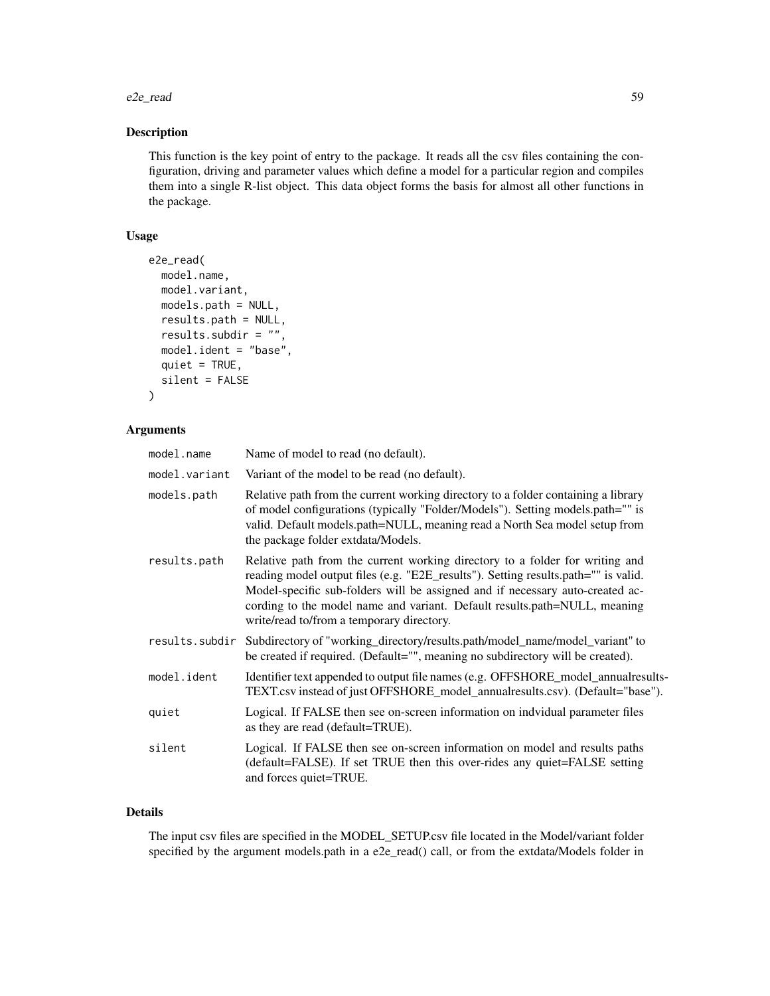#### e2e\_read 59

# Description

This function is the key point of entry to the package. It reads all the csv files containing the configuration, driving and parameter values which define a model for a particular region and compiles them into a single R-list object. This data object forms the basis for almost all other functions in the package.

# Usage

```
e2e_read(
 model.name,
 model.variant,
 models.path = NULL,
  results.path = NULL,
  results.subdir = "",
  model.ident = "base",
  quiet = TRUE,
  silent = FALSE
)
```
# Arguments

| model.name     | Name of model to read (no default).                                                                                                                                                                                                                                                                                                                                           |
|----------------|-------------------------------------------------------------------------------------------------------------------------------------------------------------------------------------------------------------------------------------------------------------------------------------------------------------------------------------------------------------------------------|
| model.variant  | Variant of the model to be read (no default).                                                                                                                                                                                                                                                                                                                                 |
| models.path    | Relative path from the current working directory to a folder containing a library<br>of model configurations (typically "Folder/Models"). Setting models.path="" is<br>valid. Default models.path=NULL, meaning read a North Sea model setup from<br>the package folder extdata/Models.                                                                                       |
| results.path   | Relative path from the current working directory to a folder for writing and<br>reading model output files (e.g. "E2E_results"). Setting results.path="" is valid.<br>Model-specific sub-folders will be assigned and if necessary auto-created ac-<br>cording to the model name and variant. Default results.path=NULL, meaning<br>write/read to/from a temporary directory. |
| results.subdir | Subdirectory of "working_directory/results.path/model_name/model_variant" to<br>be created if required. (Default="", meaning no subdirectory will be created).                                                                                                                                                                                                                |
| model.ident    | Identifier text appended to output file names (e.g. OFFSHORE_model_annualresults-<br>TEXT.csv instead of just OFFSHORE_model_annualresults.csv). (Default="base").                                                                                                                                                                                                            |
| quiet          | Logical. If FALSE then see on-screen information on indvidual parameter files<br>as they are read (default=TRUE).                                                                                                                                                                                                                                                             |
| silent         | Logical. If FALSE then see on-screen information on model and results paths<br>(default=FALSE). If set TRUE then this over-rides any quiet=FALSE setting<br>and forces quiet=TRUE.                                                                                                                                                                                            |

## Details

The input csv files are specified in the MODEL\_SETUP.csv file located in the Model/variant folder specified by the argument models.path in a e2e\_read() call, or from the extdata/Models folder in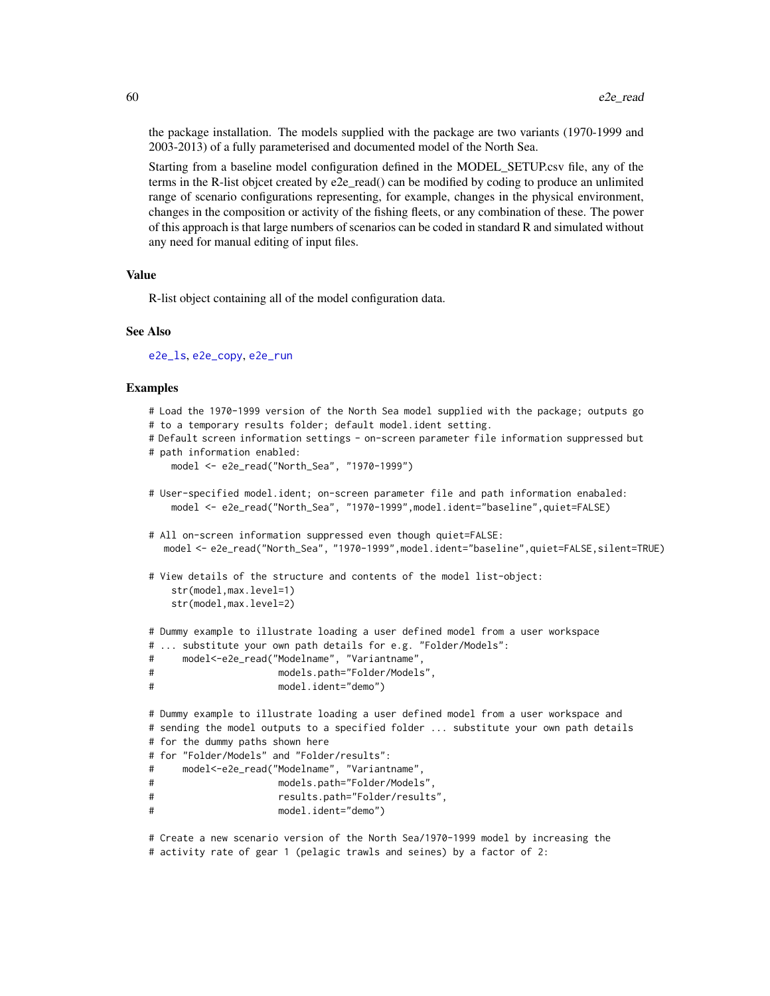the package installation. The models supplied with the package are two variants (1970-1999 and 2003-2013) of a fully parameterised and documented model of the North Sea.

Starting from a baseline model configuration defined in the MODEL\_SETUP.csv file, any of the terms in the R-list objcet created by e2e\_read() can be modified by coding to produce an unlimited range of scenario configurations representing, for example, changes in the physical environment, changes in the composition or activity of the fishing fleets, or any combination of these. The power of this approach is that large numbers of scenarios can be coded in standard R and simulated without any need for manual editing of input files.

#### Value

R-list object containing all of the model configuration data.

#### See Also

[e2e\\_ls](#page-14-0), [e2e\\_copy](#page-10-0), [e2e\\_run](#page-60-0)

### Examples

```
# Load the 1970-1999 version of the North Sea model supplied with the package; outputs go
# to a temporary results folder; default model.ident setting.
# Default screen information settings - on-screen parameter file information suppressed but
# path information enabled:
   model <- e2e_read("North_Sea", "1970-1999")
# User-specified model.ident; on-screen parameter file and path information enabaled:
   model <- e2e_read("North_Sea", "1970-1999",model.ident="baseline",quiet=FALSE)
# All on-screen information suppressed even though quiet=FALSE:
  model <- e2e_read("North_Sea", "1970-1999",model.ident="baseline",quiet=FALSE,silent=TRUE)
# View details of the structure and contents of the model list-object:
   str(model,max.level=1)
   str(model,max.level=2)
# Dummy example to illustrate loading a user defined model from a user workspace
# ... substitute your own path details for e.g. "Folder/Models":
# model<-e2e_read("Modelname", "Variantname",
# models.path="Folder/Models",
# model.ident="demo")
# Dummy example to illustrate loading a user defined model from a user workspace and
# sending the model outputs to a specified folder ... substitute your own path details
# for the dummy paths shown here
# for "Folder/Models" and "Folder/results":
# model<-e2e_read("Modelname", "Variantname",
# models.path="Folder/Models",
# results.path="Folder/results",
# model.ident="demo")
# Create a new scenario version of the North Sea/1970-1999 model by increasing the
# activity rate of gear 1 (pelagic trawls and seines) by a factor of 2:
```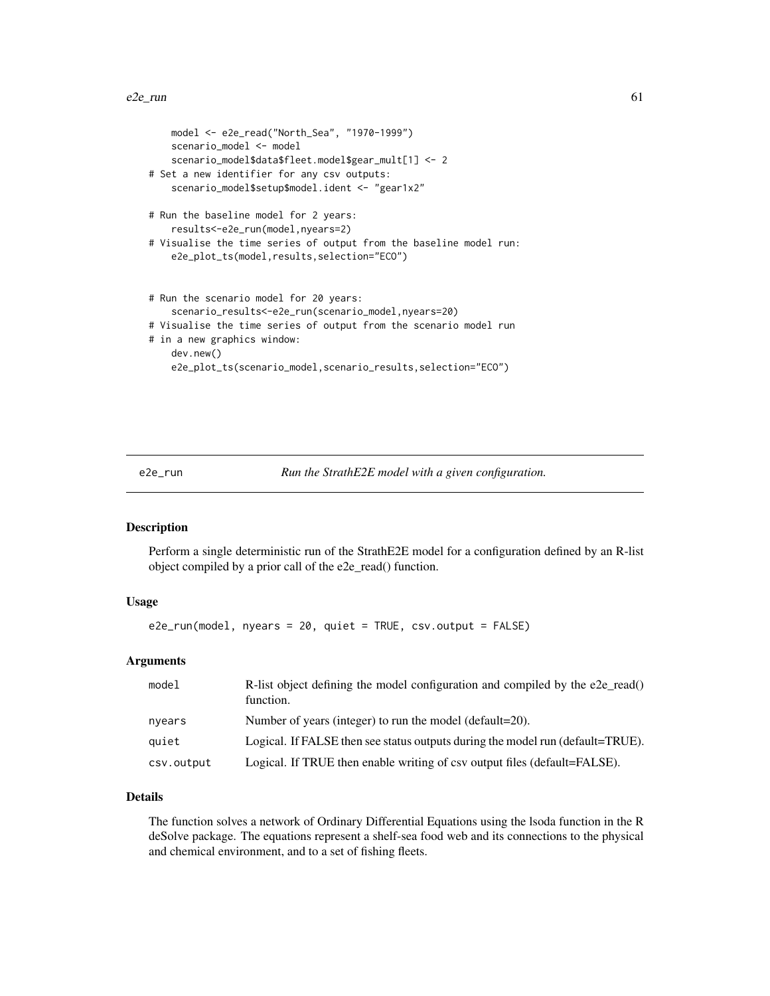```
model <- e2e_read("North_Sea", "1970-1999")
    scenario_model <- model
    scenario_model$data$fleet.model$gear_mult[1] <- 2
# Set a new identifier for any csv outputs:
   scenario_model$setup$model.ident <- "gear1x2"
# Run the baseline model for 2 years:
    results<-e2e_run(model,nyears=2)
# Visualise the time series of output from the baseline model run:
    e2e_plot_ts(model,results,selection="ECO")
# Run the scenario model for 20 years:
    scenario_results<-e2e_run(scenario_model,nyears=20)
# Visualise the time series of output from the scenario model run
# in a new graphics window:
   dev.new()
   e2e_plot_ts(scenario_model,scenario_results,selection="ECO")
```
<span id="page-60-0"></span>e2e\_run *Run the StrathE2E model with a given configuration.*

## Description

Perform a single deterministic run of the StrathE2E model for a configuration defined by an R-list object compiled by a prior call of the e2e\_read() function.

## Usage

e2e\_run(model, nyears = 20, quiet = TRUE, csv.output = FALSE)

## Arguments

| model      | R-list object defining the model configuration and compiled by the e2e read()<br>function. |
|------------|--------------------------------------------------------------------------------------------|
| nyears     | Number of years (integer) to run the model (default=20).                                   |
| quiet      | Logical. If FALSE then see status outputs during the model run (default=TRUE).             |
| csv.output | Logical. If TRUE then enable writing of csy output files (default=FALSE).                  |

### Details

The function solves a network of Ordinary Differential Equations using the lsoda function in the R deSolve package. The equations represent a shelf-sea food web and its connections to the physical and chemical environment, and to a set of fishing fleets.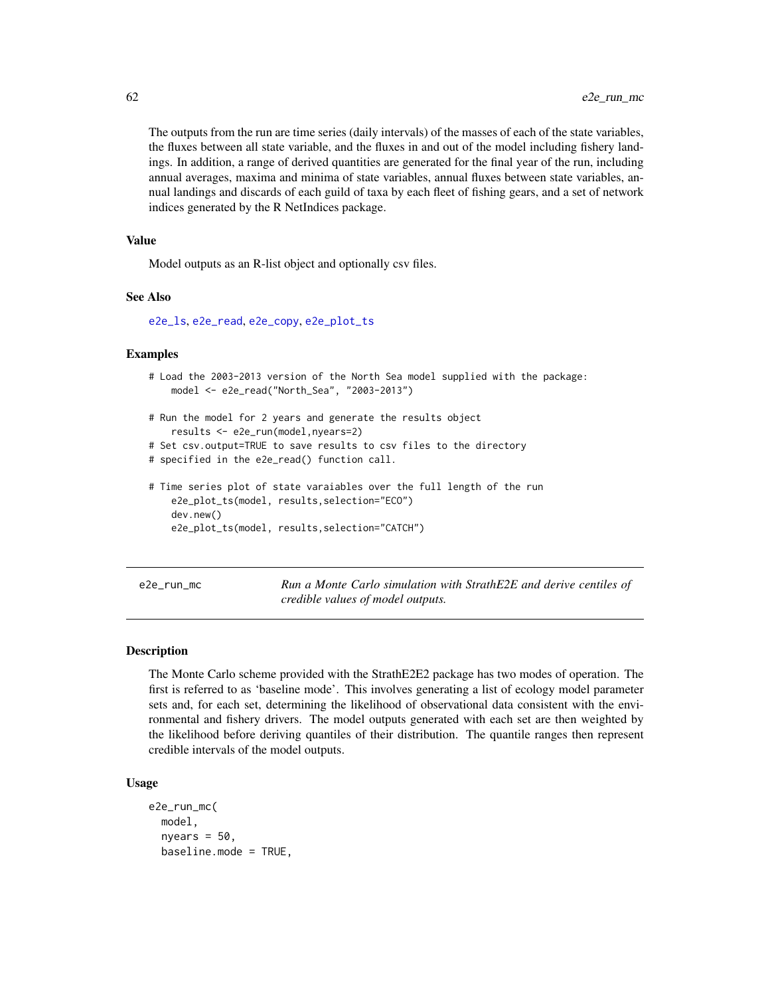The outputs from the run are time series (daily intervals) of the masses of each of the state variables, the fluxes between all state variable, and the fluxes in and out of the model including fishery landings. In addition, a range of derived quantities are generated for the final year of the run, including annual averages, maxima and minima of state variables, annual fluxes between state variables, annual landings and discards of each guild of taxa by each fleet of fishing gears, and a set of network indices generated by the R NetIndices package.

#### Value

Model outputs as an R-list object and optionally csv files.

# See Also

[e2e\\_ls](#page-14-0), [e2e\\_read](#page-57-0), [e2e\\_copy](#page-10-0), [e2e\\_plot\\_ts](#page-51-0)

#### Examples

```
# Load the 2003-2013 version of the North Sea model supplied with the package:
    model <- e2e_read("North_Sea", "2003-2013")
# Run the model for 2 years and generate the results object
    results <- e2e_run(model,nyears=2)
# Set csv.output=TRUE to save results to csv files to the directory
# specified in the e2e_read() function call.
# Time series plot of state varaiables over the full length of the run
    e2e_plot_ts(model, results,selection="ECO")
    dev.new()
    e2e_plot_ts(model, results,selection="CATCH")
```
<span id="page-61-0"></span>e2e\_run\_mc *Run a Monte Carlo simulation with StrathE2E and derive centiles of credible values of model outputs.*

# Description

The Monte Carlo scheme provided with the StrathE2E2 package has two modes of operation. The first is referred to as 'baseline mode'. This involves generating a list of ecology model parameter sets and, for each set, determining the likelihood of observational data consistent with the environmental and fishery drivers. The model outputs generated with each set are then weighted by the likelihood before deriving quantiles of their distribution. The quantile ranges then represent credible intervals of the model outputs.

### Usage

```
e2e_run_mc(
  model,
  nyears = 50,
  baseline.mode = TRUE,
```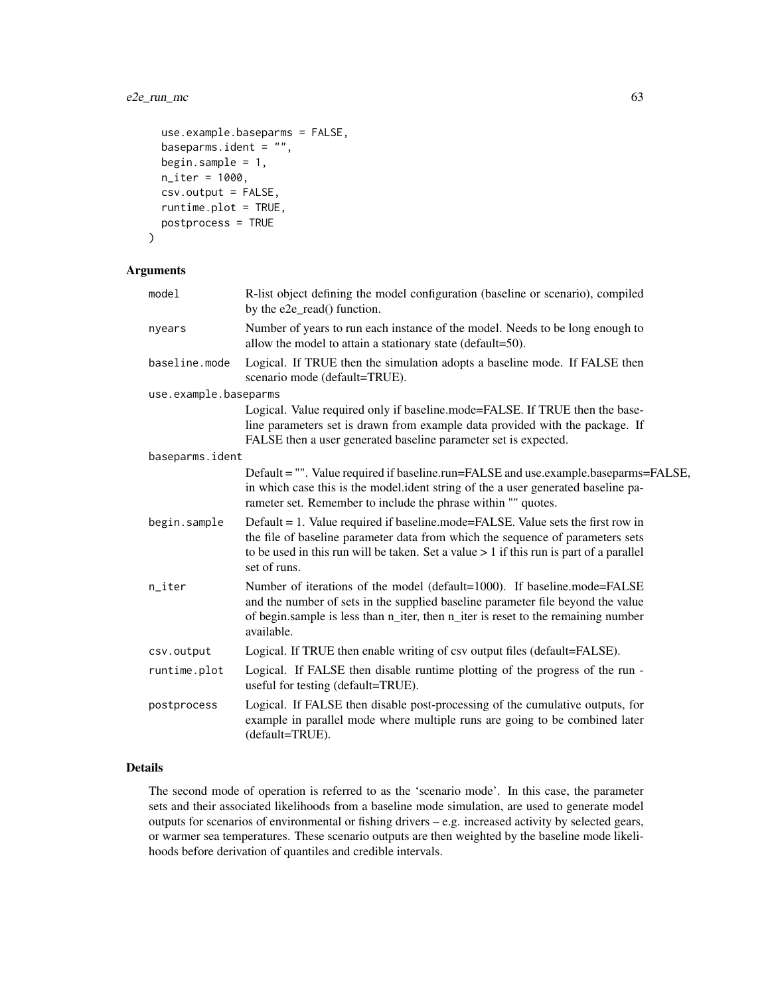# e2e\_run\_mc 63

```
use.example.baseparms = FALSE,
baseparms.ident = ",
begin.sample = 1,
n_iter = 1000,
csv.output = FALSE,
runtime.plot = TRUE,
postprocess = TRUE
```

```
\mathcal{L}
```
# Arguments

| model                 | R-list object defining the model configuration (baseline or scenario), compiled<br>by the e2e_read() function.                                                                                                                                                                 |
|-----------------------|--------------------------------------------------------------------------------------------------------------------------------------------------------------------------------------------------------------------------------------------------------------------------------|
| nyears                | Number of years to run each instance of the model. Needs to be long enough to<br>allow the model to attain a stationary state (default=50).                                                                                                                                    |
| baseline.mode         | Logical. If TRUE then the simulation adopts a baseline mode. If FALSE then<br>scenario mode (default=TRUE).                                                                                                                                                                    |
| use.example.baseparms |                                                                                                                                                                                                                                                                                |
|                       | Logical. Value required only if baseline.mode=FALSE. If TRUE then the base-<br>line parameters set is drawn from example data provided with the package. If<br>FALSE then a user generated baseline parameter set is expected.                                                 |
| baseparms.ident       |                                                                                                                                                                                                                                                                                |
|                       | Default = "". Value required if baseline.run=FALSE and use.example.baseparms=FALSE,<br>in which case this is the model.ident string of the a user generated baseline pa-<br>rameter set. Remember to include the phrase within "" quotes.                                      |
| begin.sample          | Default = 1. Value required if baseline.mode=FALSE. Value sets the first row in<br>the file of baseline parameter data from which the sequence of parameters sets<br>to be used in this run will be taken. Set a value $> 1$ if this run is part of a parallel<br>set of runs. |
| n_iter                | Number of iterations of the model (default=1000). If baseline.mode=FALSE<br>and the number of sets in the supplied baseline parameter file beyond the value<br>of begin.sample is less than n_iter, then n_iter is reset to the remaining number<br>available.                 |
| csv.output            | Logical. If TRUE then enable writing of csv output files (default=FALSE).                                                                                                                                                                                                      |
| runtime.plot          | Logical. If FALSE then disable runtime plotting of the progress of the run -<br>useful for testing (default=TRUE).                                                                                                                                                             |
| postprocess           | Logical. If FALSE then disable post-processing of the cumulative outputs, for<br>example in parallel mode where multiple runs are going to be combined later<br>(default=TRUE).                                                                                                |

# Details

The second mode of operation is referred to as the 'scenario mode'. In this case, the parameter sets and their associated likelihoods from a baseline mode simulation, are used to generate model outputs for scenarios of environmental or fishing drivers – e.g. increased activity by selected gears, or warmer sea temperatures. These scenario outputs are then weighted by the baseline mode likelihoods before derivation of quantiles and credible intervals.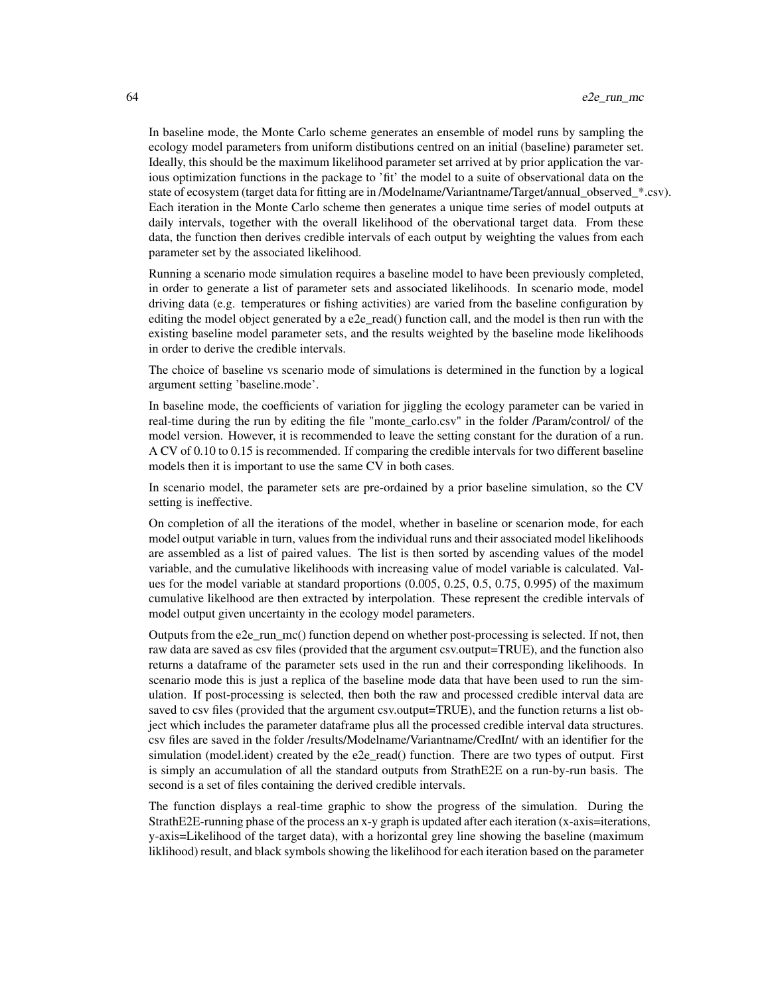In baseline mode, the Monte Carlo scheme generates an ensemble of model runs by sampling the ecology model parameters from uniform distibutions centred on an initial (baseline) parameter set. Ideally, this should be the maximum likelihood parameter set arrived at by prior application the various optimization functions in the package to 'fit' the model to a suite of observational data on the state of ecosystem (target data for fitting are in /Modelname/Variantname/Target/annual\_observed\_\*.csv). Each iteration in the Monte Carlo scheme then generates a unique time series of model outputs at daily intervals, together with the overall likelihood of the obervational target data. From these data, the function then derives credible intervals of each output by weighting the values from each parameter set by the associated likelihood.

Running a scenario mode simulation requires a baseline model to have been previously completed, in order to generate a list of parameter sets and associated likelihoods. In scenario mode, model driving data (e.g. temperatures or fishing activities) are varied from the baseline configuration by editing the model object generated by a e2e\_read() function call, and the model is then run with the existing baseline model parameter sets, and the results weighted by the baseline mode likelihoods in order to derive the credible intervals.

The choice of baseline vs scenario mode of simulations is determined in the function by a logical argument setting 'baseline.mode'.

In baseline mode, the coefficients of variation for jiggling the ecology parameter can be varied in real-time during the run by editing the file "monte\_carlo.csv" in the folder /Param/control/ of the model version. However, it is recommended to leave the setting constant for the duration of a run. A CV of 0.10 to 0.15 is recommended. If comparing the credible intervals for two different baseline models then it is important to use the same CV in both cases.

In scenario model, the parameter sets are pre-ordained by a prior baseline simulation, so the CV setting is ineffective.

On completion of all the iterations of the model, whether in baseline or scenarion mode, for each model output variable in turn, values from the individual runs and their associated model likelihoods are assembled as a list of paired values. The list is then sorted by ascending values of the model variable, and the cumulative likelihoods with increasing value of model variable is calculated. Values for the model variable at standard proportions (0.005, 0.25, 0.5, 0.75, 0.995) of the maximum cumulative likelhood are then extracted by interpolation. These represent the credible intervals of model output given uncertainty in the ecology model parameters.

Outputs from the e2e\_run\_mc() function depend on whether post-processing is selected. If not, then raw data are saved as csv files (provided that the argument csv.output=TRUE), and the function also returns a dataframe of the parameter sets used in the run and their corresponding likelihoods. In scenario mode this is just a replica of the baseline mode data that have been used to run the simulation. If post-processing is selected, then both the raw and processed credible interval data are saved to csv files (provided that the argument csv.output=TRUE), and the function returns a list object which includes the parameter dataframe plus all the processed credible interval data structures. csv files are saved in the folder /results/Modelname/Variantname/CredInt/ with an identifier for the simulation (model.ident) created by the e2e read() function. There are two types of output. First is simply an accumulation of all the standard outputs from StrathE2E on a run-by-run basis. The second is a set of files containing the derived credible intervals.

The function displays a real-time graphic to show the progress of the simulation. During the StrathE2E-running phase of the process an x-y graph is updated after each iteration (x-axis=iterations, y-axis=Likelihood of the target data), with a horizontal grey line showing the baseline (maximum liklihood) result, and black symbols showing the likelihood for each iteration based on the parameter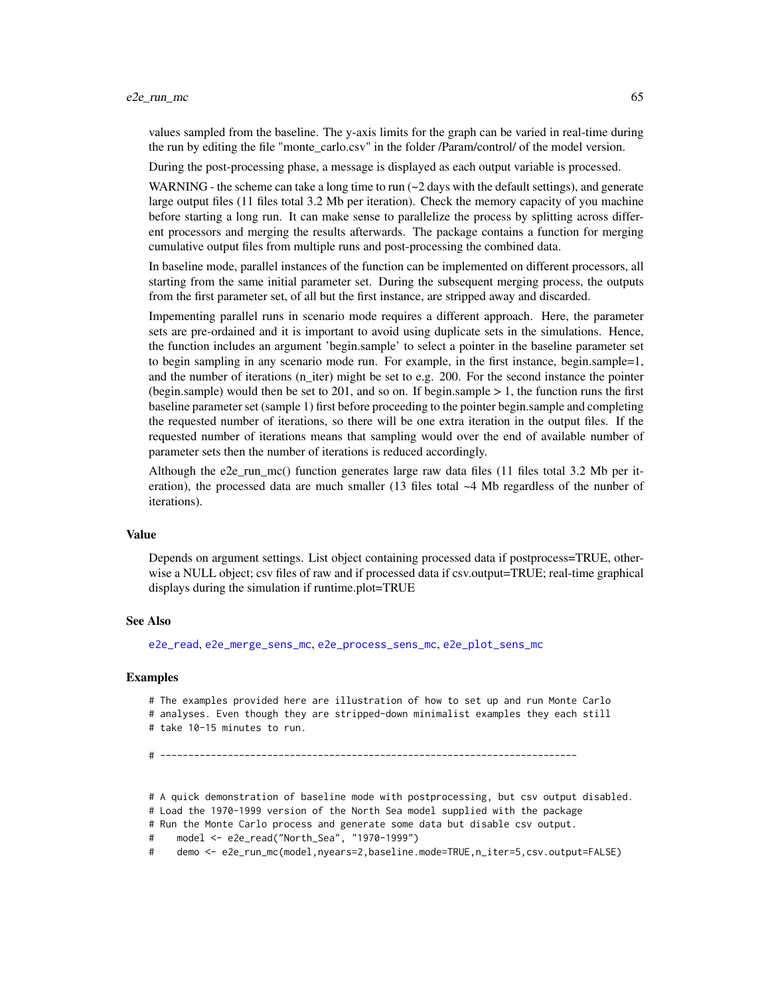values sampled from the baseline. The y-axis limits for the graph can be varied in real-time during the run by editing the file "monte\_carlo.csv" in the folder /Param/control/ of the model version.

During the post-processing phase, a message is displayed as each output variable is processed.

WARNING - the scheme can take a long time to run  $\left(\sim 2 \text{ days with the default settings}\right)$ , and generate large output files (11 files total 3.2 Mb per iteration). Check the memory capacity of you machine before starting a long run. It can make sense to parallelize the process by splitting across different processors and merging the results afterwards. The package contains a function for merging cumulative output files from multiple runs and post-processing the combined data.

In baseline mode, parallel instances of the function can be implemented on different processors, all starting from the same initial parameter set. During the subsequent merging process, the outputs from the first parameter set, of all but the first instance, are stripped away and discarded.

Impementing parallel runs in scenario mode requires a different approach. Here, the parameter sets are pre-ordained and it is important to avoid using duplicate sets in the simulations. Hence, the function includes an argument 'begin.sample' to select a pointer in the baseline parameter set to begin sampling in any scenario mode run. For example, in the first instance, begin.sample=1, and the number of iterations  $(n_$ iter) might be set to e.g. 200. For the second instance the pointer (begin.sample) would then be set to 201, and so on. If begin.sample  $> 1$ , the function runs the first baseline parameter set (sample 1) first before proceeding to the pointer begin.sample and completing the requested number of iterations, so there will be one extra iteration in the output files. If the requested number of iterations means that sampling would over the end of available number of parameter sets then the number of iterations is reduced accordingly.

Although the e2e\_run\_mc() function generates large raw data files (11 files total 3.2 Mb per iteration), the processed data are much smaller (13 files total ~4 Mb regardless of the nunber of iterations).

#### Value

Depends on argument settings. List object containing processed data if postprocess=TRUE, otherwise a NULL object; csv files of raw and if processed data if csv.output=TRUE; real-time graphical displays during the simulation if runtime.plot=TRUE

# See Also

[e2e\\_read](#page-57-0), [e2e\\_merge\\_sens\\_mc](#page-15-0), [e2e\\_process\\_sens\\_mc](#page-55-0), [e2e\\_plot\\_sens\\_mc](#page-46-0)

#### Examples

# The examples provided here are illustration of how to set up and run Monte Carlo # analyses. Even though they are stripped-down minimalist examples they each still # take 10-15 minutes to run.

# --------------------------------------------------------------------------

# A quick demonstration of baseline mode with postprocessing, but csv output disabled.

# Load the 1970-1999 version of the North Sea model supplied with the package

# Run the Monte Carlo process and generate some data but disable csv output.

```
# model <- e2e_read("North_Sea", "1970-1999")
```
# demo <- e2e\_run\_mc(model,nyears=2,baseline.mode=TRUE,n\_iter=5,csv.output=FALSE)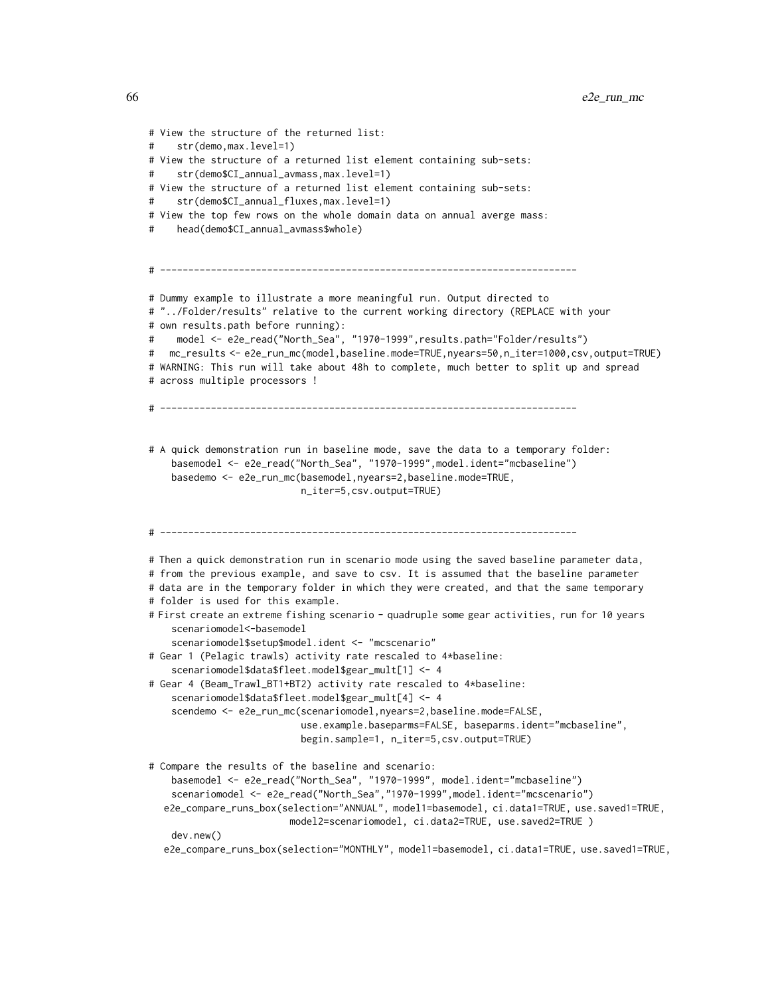```
# View the structure of the returned list:
     str(demo, max.level=1)
# View the structure of a returned list element containing sub-sets:
# str(demo$CI_annual_avmass,max.level=1)
# View the structure of a returned list element containing sub-sets:
# str(demo$CI_annual_fluxes,max.level=1)
# View the top few rows on the whole domain data on annual averge mass:
     head(demo$CI_annual_avmass$whole)
# --------------------------------------------------------------------------
# Dummy example to illustrate a more meaningful run. Output directed to
# "../Folder/results" relative to the current working directory (REPLACE with your
# own results.path before running):
# model <- e2e_read("North_Sea", "1970-1999",results.path="Folder/results")
# mc_results <- e2e_run_mc(model,baseline.mode=TRUE,nyears=50,n_iter=1000,csv,output=TRUE)
# WARNING: This run will take about 48h to complete, much better to split up and spread
# across multiple processors !
# --------------------------------------------------------------------------
# A quick demonstration run in baseline mode, save the data to a temporary folder:
    basemodel <- e2e_read("North_Sea", "1970-1999",model.ident="mcbaseline")
    basedemo <- e2e_run_mc(basemodel,nyears=2,baseline.mode=TRUE,
                           n_iter=5,csv.output=TRUE)
# --------------------------------------------------------------------------
# Then a quick demonstration run in scenario mode using the saved baseline parameter data,
# from the previous example, and save to csv. It is assumed that the baseline parameter
# data are in the temporary folder in which they were created, and that the same temporary
# folder is used for this example.
# First create an extreme fishing scenario - quadruple some gear activities, run for 10 years
    scenariomodel<-basemodel
    scenariomodel$setup$model.ident <- "mcscenario"
# Gear 1 (Pelagic trawls) activity rate rescaled to 4*baseline:
    scenariomodel$data$fleet.model$gear_mult[1] <- 4
# Gear 4 (Beam_Trawl_BT1+BT2) activity rate rescaled to 4*baseline:
    scenariomodel$data$fleet.model$gear_mult[4] <- 4
    scendemo <- e2e_run_mc(scenariomodel,nyears=2,baseline.mode=FALSE,
                           use.example.baseparms=FALSE, baseparms.ident="mcbaseline",
                           begin.sample=1, n_iter=5,csv.output=TRUE)
# Compare the results of the baseline and scenario:
    basemodel <- e2e_read("North_Sea", "1970-1999", model.ident="mcbaseline")
    scenariomodel <- e2e_read("North_Sea","1970-1999",model.ident="mcscenario")
  e2e_compare_runs_box(selection="ANNUAL", model1=basemodel, ci.data1=TRUE, use.saved1=TRUE,
                         model2=scenariomodel, ci.data2=TRUE, use.saved2=TRUE )
    dev.new()
  e2e_compare_runs_box(selection="MONTHLY", model1=basemodel, ci.data1=TRUE, use.saved1=TRUE,
```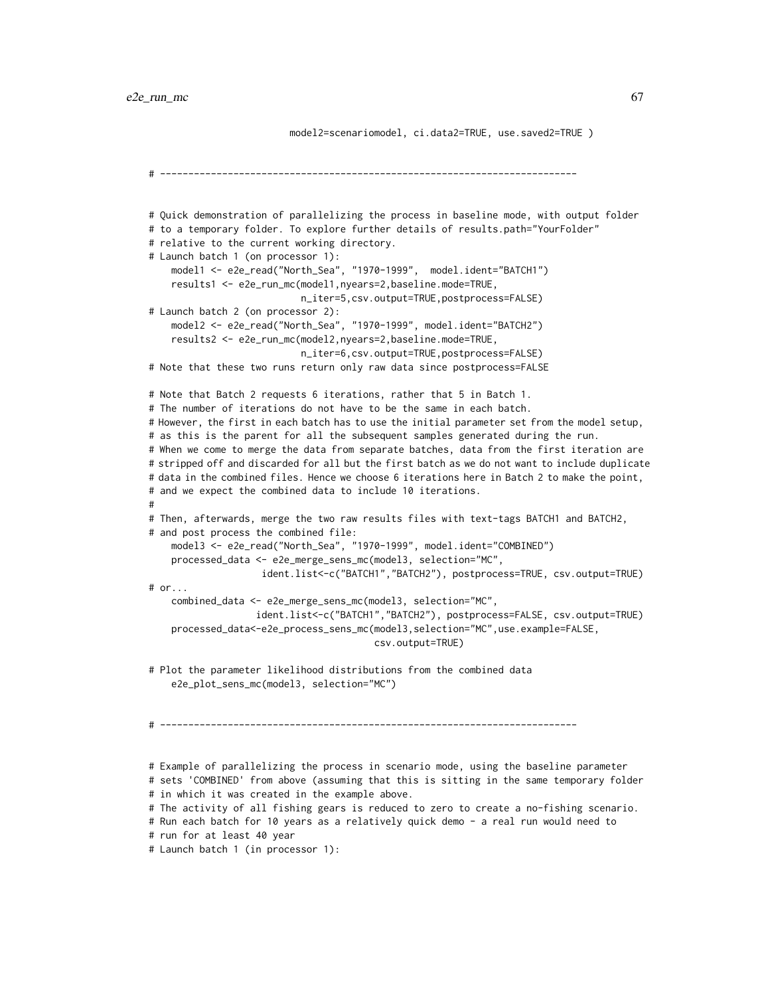model2=scenariomodel, ci.data2=TRUE, use.saved2=TRUE )

```
# --------------------------------------------------------------------------
# Quick demonstration of parallelizing the process in baseline mode, with output folder
# to a temporary folder. To explore further details of results.path="YourFolder"
# relative to the current working directory.
# Launch batch 1 (on processor 1):
    model1 <- e2e_read("North_Sea", "1970-1999", model.ident="BATCH1")
    results1 <- e2e_run_mc(model1,nyears=2,baseline.mode=TRUE,
                           n_iter=5,csv.output=TRUE,postprocess=FALSE)
# Launch batch 2 (on processor 2):
    model2 <- e2e_read("North_Sea", "1970-1999", model.ident="BATCH2")
    results2 <- e2e_run_mc(model2,nyears=2,baseline.mode=TRUE,
                           n_iter=6,csv.output=TRUE,postprocess=FALSE)
# Note that these two runs return only raw data since postprocess=FALSE
# Note that Batch 2 requests 6 iterations, rather that 5 in Batch 1.
# The number of iterations do not have to be the same in each batch.
# However, the first in each batch has to use the initial parameter set from the model setup,
# as this is the parent for all the subsequent samples generated during the run.
# When we come to merge the data from separate batches, data from the first iteration are
# stripped off and discarded for all but the first batch as we do not want to include duplicate
# data in the combined files. Hence we choose 6 iterations here in Batch 2 to make the point,
# and we expect the combined data to include 10 iterations.
#
# Then, afterwards, merge the two raw results files with text-tags BATCH1 and BATCH2,
# and post process the combined file:
    model3 <- e2e_read("North_Sea", "1970-1999", model.ident="COMBINED")
   processed_data <- e2e_merge_sens_mc(model3, selection="MC",
                    ident.list<-c("BATCH1","BATCH2"), postprocess=TRUE, csv.output=TRUE)
# or...
    combined_data <- e2e_merge_sens_mc(model3, selection="MC",
                   ident.list<-c("BATCH1","BATCH2"), postprocess=FALSE, csv.output=TRUE)
    processed_data<-e2e_process_sens_mc(model3,selection="MC",use.example=FALSE,
                                        csv.output=TRUE)
# Plot the parameter likelihood distributions from the combined data
    e2e_plot_sens_mc(model3, selection="MC")
# --------------------------------------------------------------------------
# Example of parallelizing the process in scenario mode, using the baseline parameter
# sets 'COMBINED' from above (assuming that this is sitting in the same temporary folder
# in which it was created in the example above.
# The activity of all fishing gears is reduced to zero to create a no-fishing scenario.
# Run each batch for 10 years as a relatively quick demo - a real run would need to
# run for at least 40 year
```
# Launch batch 1 (in processor 1):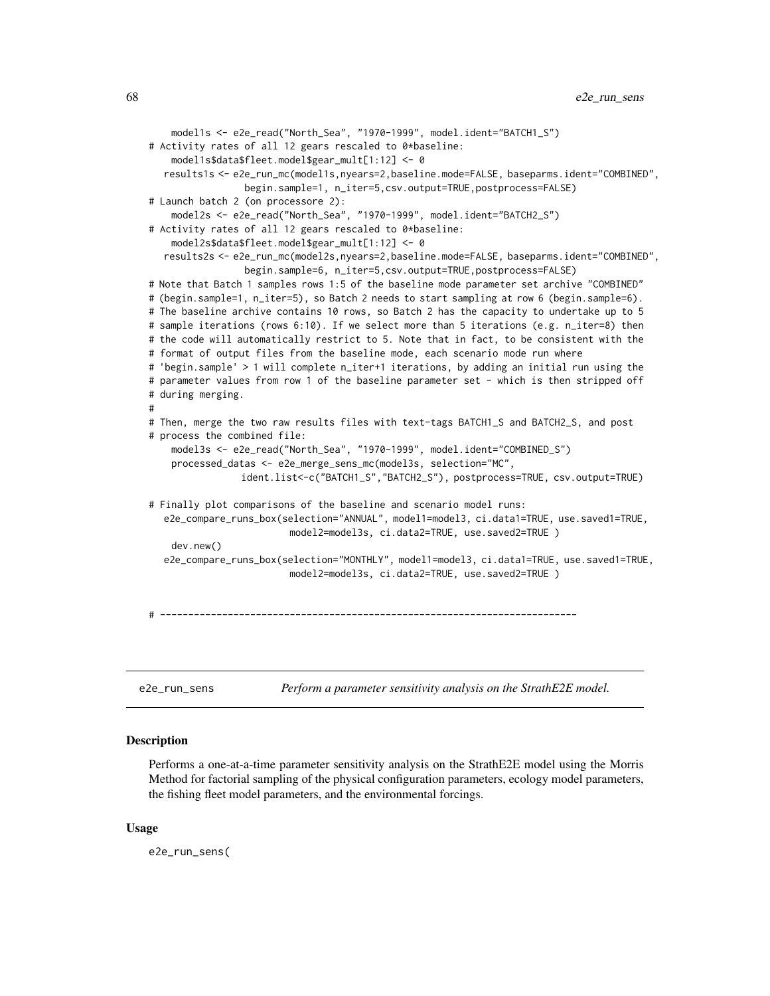```
model1s <- e2e_read("North_Sea", "1970-1999", model.ident="BATCH1_S")
# Activity rates of all 12 gears rescaled to 0*baseline:
    model1s$data$fleet.model$gear_mult[1:12] <- 0
  results1s <- e2e_run_mc(model1s,nyears=2,baseline.mode=FALSE, baseparms.ident="COMBINED",
                 begin.sample=1, n_iter=5,csv.output=TRUE,postprocess=FALSE)
# Launch batch 2 (on processore 2):
    model2s <- e2e_read("North_Sea", "1970-1999", model.ident="BATCH2_S")
# Activity rates of all 12 gears rescaled to 0*baseline:
    model2s$data$fleet.model$gear_mult[1:12] <- 0
  results2s <- e2e_run_mc(model2s,nyears=2,baseline.mode=FALSE, baseparms.ident="COMBINED",
                 begin.sample=6, n_iter=5,csv.output=TRUE,postprocess=FALSE)
# Note that Batch 1 samples rows 1:5 of the baseline mode parameter set archive "COMBINED"
# (begin.sample=1, n_iter=5), so Batch 2 needs to start sampling at row 6 (begin.sample=6).
# The baseline archive contains 10 rows, so Batch 2 has the capacity to undertake up to 5
# sample iterations (rows 6:10). If we select more than 5 iterations (e.g. n_iter=8) then
# the code will automatically restrict to 5. Note that in fact, to be consistent with the
# format of output files from the baseline mode, each scenario mode run where
# 'begin.sample' > 1 will complete n_iter+1 iterations, by adding an initial run using the
# parameter values from row 1 of the baseline parameter set - which is then stripped off
# during merging.
#
# Then, merge the two raw results files with text-tags BATCH1_S and BATCH2_S, and post
# process the combined file:
    model3s <- e2e_read("North_Sea", "1970-1999", model.ident="COMBINED_S")
   processed_datas <- e2e_merge_sens_mc(model3s, selection="MC",
                ident.list<-c("BATCH1_S","BATCH2_S"), postprocess=TRUE, csv.output=TRUE)
# Finally plot comparisons of the baseline and scenario model runs:
  e2e_compare_runs_box(selection="ANNUAL", model1=model3, ci.data1=TRUE, use.saved1=TRUE,
                         model2=model3s, ci.data2=TRUE, use.saved2=TRUE )
    dev.new()
  e2e_compare_runs_box(selection="MONTHLY", model1=model3, ci.data1=TRUE, use.saved1=TRUE,
                         model2=model3s, ci.data2=TRUE, use.saved2=TRUE )
# --------------------------------------------------------------------------
```
<span id="page-67-0"></span>e2e\_run\_sens *Perform a parameter sensitivity analysis on the StrathE2E model.*

# Description

Performs a one-at-a-time parameter sensitivity analysis on the StrathE2E model using the Morris Method for factorial sampling of the physical configuration parameters, ecology model parameters, the fishing fleet model parameters, and the environmental forcings.

#### Usage

e2e\_run\_sens(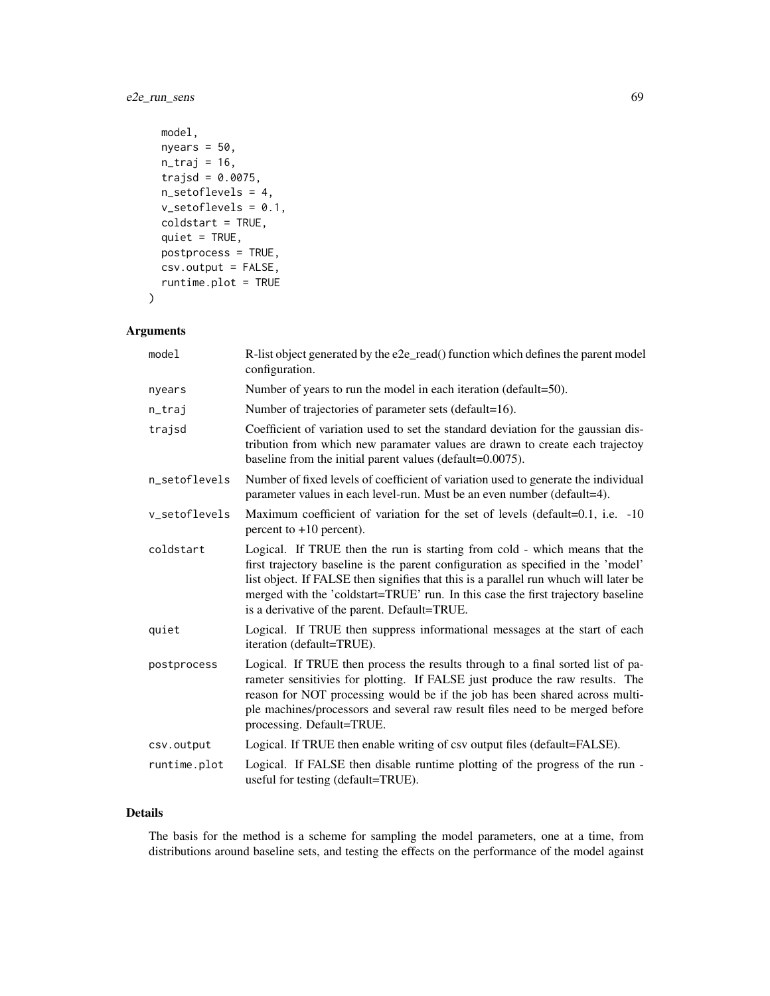# e2e\_run\_sens 69

```
model,
nyears = 50,
n_{\text{traj}} = 16,
trajsd = 0.0075,
n_setoflevels = 4,
v_setoflevels = 0.1,
coldstart = TRUE,
quiet = TRUE,
postprocess = TRUE,
csv.output = FALSE,
runtime.plot = TRUE
```
# Arguments

 $\mathcal{L}$ 

| model         | R-list object generated by the e2e_read() function which defines the parent model<br>configuration.                                                                                                                                                                                                                                                                                         |
|---------------|---------------------------------------------------------------------------------------------------------------------------------------------------------------------------------------------------------------------------------------------------------------------------------------------------------------------------------------------------------------------------------------------|
| nyears        | Number of years to run the model in each iteration (default=50).                                                                                                                                                                                                                                                                                                                            |
| n_traj        | Number of trajectories of parameter sets (default=16).                                                                                                                                                                                                                                                                                                                                      |
| trajsd        | Coefficient of variation used to set the standard deviation for the gaussian dis-<br>tribution from which new paramater values are drawn to create each trajectoy<br>baseline from the initial parent values (default=0.0075).                                                                                                                                                              |
| n_setoflevels | Number of fixed levels of coefficient of variation used to generate the individual<br>parameter values in each level-run. Must be an even number (default=4).                                                                                                                                                                                                                               |
| v_setoflevels | Maximum coefficient of variation for the set of levels (default=0.1, i.e. -10)<br>percent to $+10$ percent).                                                                                                                                                                                                                                                                                |
| coldstart     | Logical. If TRUE then the run is starting from cold - which means that the<br>first trajectory baseline is the parent configuration as specified in the 'model'<br>list object. If FALSE then signifies that this is a parallel run whuch will later be<br>merged with the 'coldstart=TRUE' run. In this case the first trajectory baseline<br>is a derivative of the parent. Default=TRUE. |
| quiet         | Logical. If TRUE then suppress informational messages at the start of each<br>iteration (default=TRUE).                                                                                                                                                                                                                                                                                     |
| postprocess   | Logical. If TRUE then process the results through to a final sorted list of pa-<br>rameter sensitivies for plotting. If FALSE just produce the raw results. The<br>reason for NOT processing would be if the job has been shared across multi-<br>ple machines/processors and several raw result files need to be merged before<br>processing. Default=TRUE.                                |
| csv.output    | Logical. If TRUE then enable writing of csv output files (default=FALSE).                                                                                                                                                                                                                                                                                                                   |
| runtime.plot  | Logical. If FALSE then disable runtime plotting of the progress of the run -<br>useful for testing (default=TRUE).                                                                                                                                                                                                                                                                          |

# Details

The basis for the method is a scheme for sampling the model parameters, one at a time, from distributions around baseline sets, and testing the effects on the performance of the model against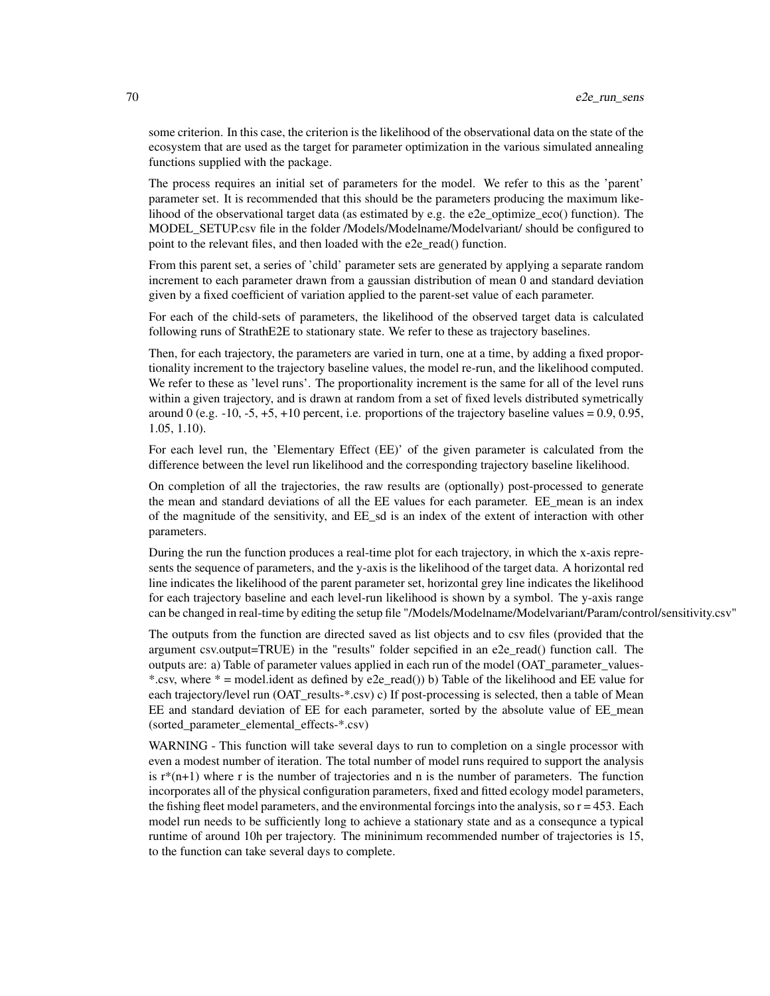some criterion. In this case, the criterion is the likelihood of the observational data on the state of the ecosystem that are used as the target for parameter optimization in the various simulated annealing functions supplied with the package.

The process requires an initial set of parameters for the model. We refer to this as the 'parent' parameter set. It is recommended that this should be the parameters producing the maximum likelihood of the observational target data (as estimated by e.g. the e2e\_optimize\_eco() function). The MODEL\_SETUP.csv file in the folder /Models/Modelname/Modelvariant/ should be configured to point to the relevant files, and then loaded with the e2e\_read() function.

From this parent set, a series of 'child' parameter sets are generated by applying a separate random increment to each parameter drawn from a gaussian distribution of mean 0 and standard deviation given by a fixed coefficient of variation applied to the parent-set value of each parameter.

For each of the child-sets of parameters, the likelihood of the observed target data is calculated following runs of StrathE2E to stationary state. We refer to these as trajectory baselines.

Then, for each trajectory, the parameters are varied in turn, one at a time, by adding a fixed proportionality increment to the trajectory baseline values, the model re-run, and the likelihood computed. We refer to these as 'level runs'. The proportionality increment is the same for all of the level runs within a given trajectory, and is drawn at random from a set of fixed levels distributed symetrically around 0 (e.g.  $-10$ ,  $-5$ ,  $+5$ ,  $+10$  percent, i.e. proportions of the trajectory baseline values = 0.9, 0.95, 1.05, 1.10).

For each level run, the 'Elementary Effect (EE)' of the given parameter is calculated from the difference between the level run likelihood and the corresponding trajectory baseline likelihood.

On completion of all the trajectories, the raw results are (optionally) post-processed to generate the mean and standard deviations of all the EE values for each parameter. EE mean is an index of the magnitude of the sensitivity, and EE\_sd is an index of the extent of interaction with other parameters.

During the run the function produces a real-time plot for each trajectory, in which the x-axis represents the sequence of parameters, and the y-axis is the likelihood of the target data. A horizontal red line indicates the likelihood of the parent parameter set, horizontal grey line indicates the likelihood for each trajectory baseline and each level-run likelihood is shown by a symbol. The y-axis range can be changed in real-time by editing the setup file "/Models/Modelname/Modelvariant/Param/control/sensitivity.csv"

The outputs from the function are directed saved as list objects and to csv files (provided that the argument csv.output=TRUE) in the "results" folder sepcified in an e2e\_read() function call. The outputs are: a) Table of parameter values applied in each run of the model (OAT\_parameter\_values- \*.csv, where  $* =$  model.ident as defined by e2e\_read()) b) Table of the likelihood and EE value for each trajectory/level run (OAT\_results- $*$ .csv) c) If post-processing is selected, then a table of Mean EE and standard deviation of EE for each parameter, sorted by the absolute value of EE\_mean (sorted\_parameter\_elemental\_effects-\*.csv)

WARNING - This function will take several days to run to completion on a single processor with even a modest number of iteration. The total number of model runs required to support the analysis is  $r^{*}(n+1)$  where r is the number of trajectories and n is the number of parameters. The function incorporates all of the physical configuration parameters, fixed and fitted ecology model parameters, the fishing fleet model parameters, and the environmental forcings into the analysis, so  $r = 453$ . Each model run needs to be sufficiently long to achieve a stationary state and as a consequnce a typical runtime of around 10h per trajectory. The mininimum recommended number of trajectories is 15, to the function can take several days to complete.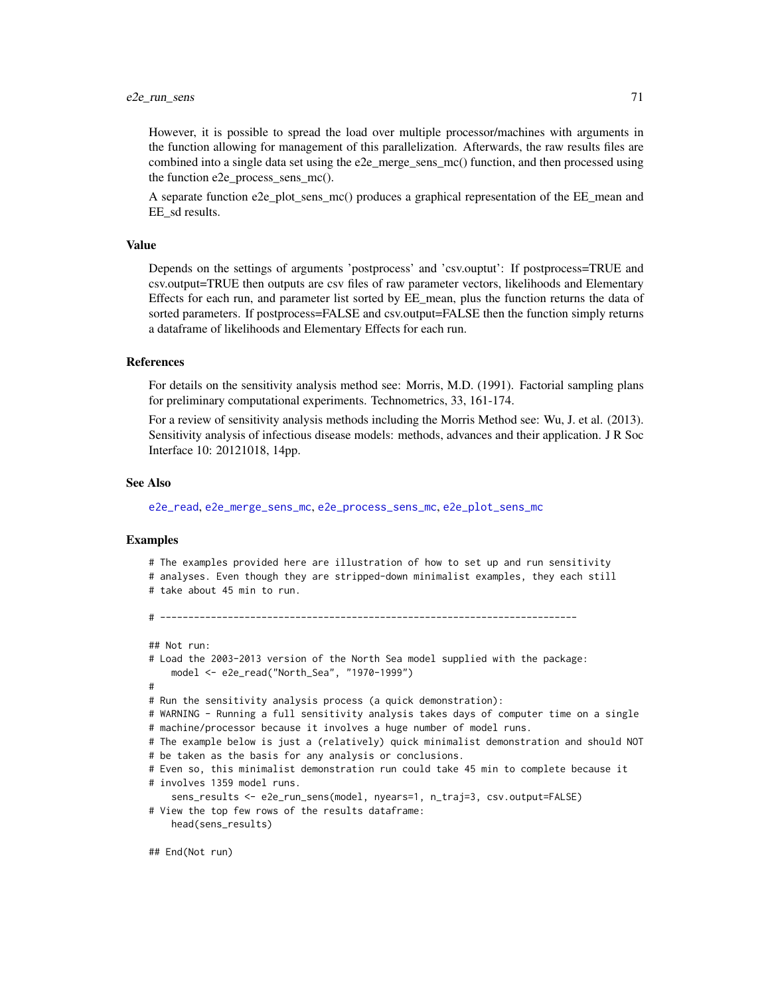However, it is possible to spread the load over multiple processor/machines with arguments in the function allowing for management of this parallelization. Afterwards, the raw results files are combined into a single data set using the e2e\_merge\_sens\_mc() function, and then processed using the function e2e\_process\_sens\_mc().

A separate function e2e\_plot\_sens\_mc() produces a graphical representation of the EE\_mean and EE\_sd results.

#### Value

Depends on the settings of arguments 'postprocess' and 'csv.ouptut': If postprocess=TRUE and csv.output=TRUE then outputs are csv files of raw parameter vectors, likelihoods and Elementary Effects for each run, and parameter list sorted by EE\_mean, plus the function returns the data of sorted parameters. If postprocess=FALSE and csv.output=FALSE then the function simply returns a dataframe of likelihoods and Elementary Effects for each run.

### References

For details on the sensitivity analysis method see: Morris, M.D. (1991). Factorial sampling plans for preliminary computational experiments. Technometrics, 33, 161-174.

For a review of sensitivity analysis methods including the Morris Method see: Wu, J. et al. (2013). Sensitivity analysis of infectious disease models: methods, advances and their application. J R Soc Interface 10: 20121018, 14pp.

#### See Also

[e2e\\_read](#page-57-0), [e2e\\_merge\\_sens\\_mc](#page-15-0), [e2e\\_process\\_sens\\_mc](#page-55-0), [e2e\\_plot\\_sens\\_mc](#page-46-0)

# --------------------------------------------------------------------------

## Examples

# The examples provided here are illustration of how to set up and run sensitivity # analyses. Even though they are stripped-down minimalist examples, they each still # take about 45 min to run.

```
## Not run:
# Load the 2003-2013 version of the North Sea model supplied with the package:
   model <- e2e_read("North_Sea", "1970-1999")
#
# Run the sensitivity analysis process (a quick demonstration):
# WARNING - Running a full sensitivity analysis takes days of computer time on a single
# machine/processor because it involves a huge number of model runs.
# The example below is just a (relatively) quick minimalist demonstration and should NOT
# be taken as the basis for any analysis or conclusions.
# Even so, this minimalist demonstration run could take 45 min to complete because it
# involves 1359 model runs.
    sens_results <- e2e_run_sens(model, nyears=1, n_traj=3, csv.output=FALSE)
# View the top few rows of the results dataframe:
   head(sens_results)
```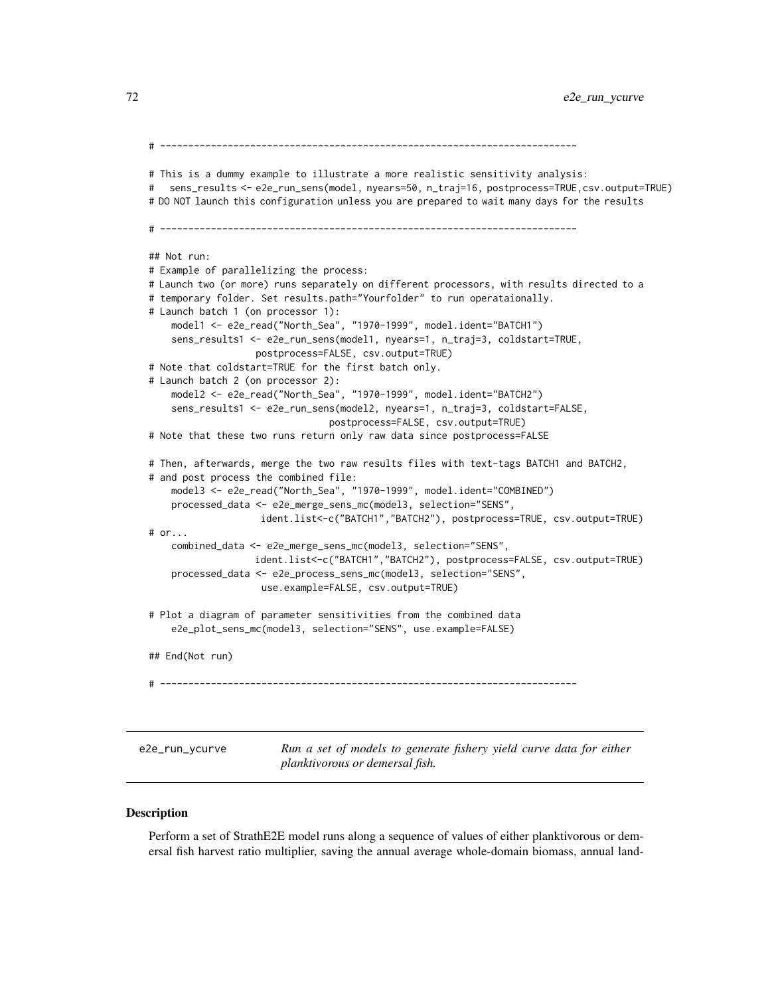72 e2e\_run\_ycurve

# -------------------------------------------------------------------------- # This is a dummy example to illustrate a more realistic sensitivity analysis: # sens\_results <- e2e\_run\_sens(model, nyears=50, n\_traj=16, postprocess=TRUE,csv.output=TRUE) # DO NOT launch this configuration unless you are prepared to wait many days for the results # -------------------------------------------------------------------------- ## Not run: # Example of parallelizing the process: # Launch two (or more) runs separately on different processors, with results directed to a # temporary folder. Set results.path="Yourfolder" to run operataionally. # Launch batch 1 (on processor 1): model1 <- e2e\_read("North\_Sea", "1970-1999", model.ident="BATCH1") sens\_results1 <- e2e\_run\_sens(model1, nyears=1, n\_traj=3, coldstart=TRUE, postprocess=FALSE, csv.output=TRUE) # Note that coldstart=TRUE for the first batch only. # Launch batch 2 (on processor 2): model2 <- e2e\_read("North\_Sea", "1970-1999", model.ident="BATCH2") sens\_results1 <- e2e\_run\_sens(model2, nyears=1, n\_traj=3, coldstart=FALSE, postprocess=FALSE, csv.output=TRUE) # Note that these two runs return only raw data since postprocess=FALSE # Then, afterwards, merge the two raw results files with text-tags BATCH1 and BATCH2, # and post process the combined file: model3 <- e2e\_read("North\_Sea", "1970-1999", model.ident="COMBINED") processed\_data <- e2e\_merge\_sens\_mc(model3, selection="SENS", ident.list<-c("BATCH1","BATCH2"), postprocess=TRUE, csv.output=TRUE) # or... combined\_data <- e2e\_merge\_sens\_mc(model3, selection="SENS", ident.list<-c("BATCH1","BATCH2"), postprocess=FALSE, csv.output=TRUE) processed\_data <- e2e\_process\_sens\_mc(model3, selection="SENS", use.example=FALSE, csv.output=TRUE) # Plot a diagram of parameter sensitivities from the combined data e2e\_plot\_sens\_mc(model3, selection="SENS", use.example=FALSE) ## End(Not run) # ------------------------------------------------------------------------- e2e\_run\_ycurve *Run a set of models to generate fishery yield curve data for either planktivorous or demersal fish.*

#### <span id="page-71-0"></span>**Description**

Perform a set of StrathE2E model runs along a sequence of values of either planktivorous or demersal fish harvest ratio multiplier, saving the annual average whole-domain biomass, annual land-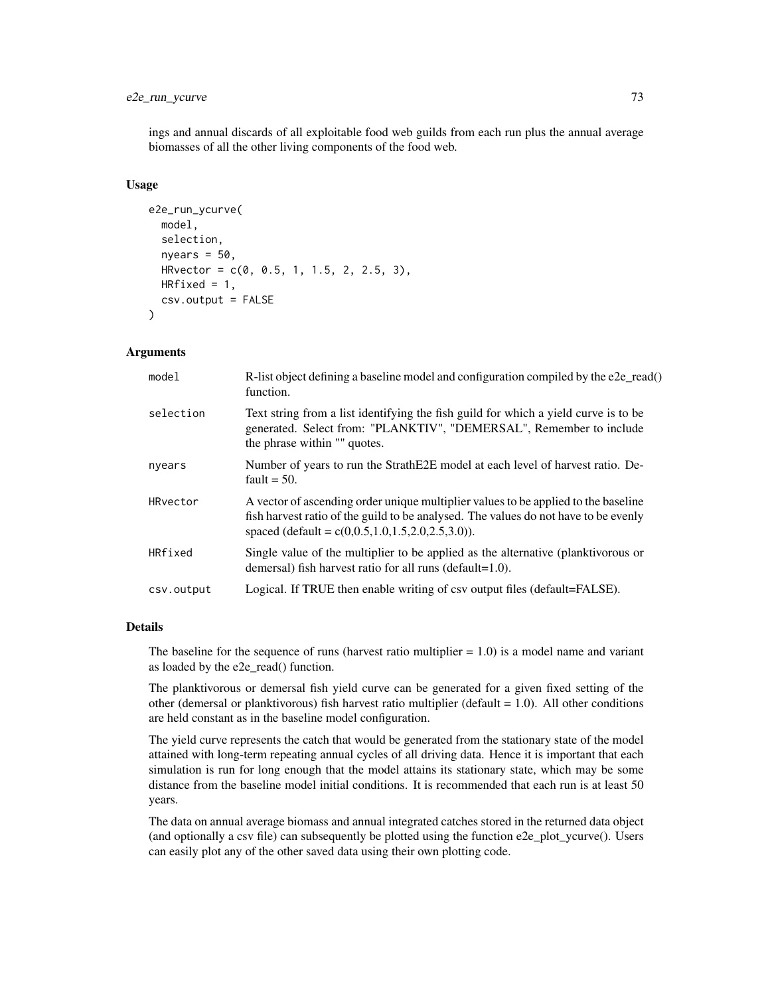# e2e\_run\_ycurve 73

ings and annual discards of all exploitable food web guilds from each run plus the annual average biomasses of all the other living components of the food web.

#### Usage

```
e2e_run_ycurve(
  model,
  selection,
  nyears = 50,
  HRvector = c(0, 0.5, 1, 1.5, 2, 2.5, 3),
  HRfixed = 1,
  csv.output = FALSE)
```
## Arguments

| model      | R-list object defining a baseline model and configuration compiled by the e2e_read()<br>function.                                                                                                                                |
|------------|----------------------------------------------------------------------------------------------------------------------------------------------------------------------------------------------------------------------------------|
| selection  | Text string from a list identifying the fish guild for which a yield curve is to be<br>generated. Select from: "PLANKTIV", "DEMERSAL", Remember to include<br>the phrase within "" quotes.                                       |
| nyears     | Number of years to run the StrathE2E model at each level of harvest ratio. De-<br>fault $= 50$ .                                                                                                                                 |
| HRvector   | A vector of ascending order unique multiplier values to be applied to the baseline<br>fish harvest ratio of the guild to be analysed. The values do not have to be evenly<br>spaced (default = $c(0,0.5,1.0,1.5,2.0,2.5,3.0)$ ). |
| HRfixed    | Single value of the multiplier to be applied as the alternative (planktivorous or<br>demersal) fish harvest ratio for all runs (default= $1.0$ ).                                                                                |
| csv.output | Logical. If TRUE then enable writing of csv output files (default=FALSE).                                                                                                                                                        |

#### Details

The baseline for the sequence of runs (harvest ratio multiplier  $= 1.0$ ) is a model name and variant as loaded by the e2e\_read() function.

The planktivorous or demersal fish yield curve can be generated for a given fixed setting of the other (demersal or planktivorous) fish harvest ratio multiplier (default  $= 1.0$ ). All other conditions are held constant as in the baseline model configuration.

The yield curve represents the catch that would be generated from the stationary state of the model attained with long-term repeating annual cycles of all driving data. Hence it is important that each simulation is run for long enough that the model attains its stationary state, which may be some distance from the baseline model initial conditions. It is recommended that each run is at least 50 years.

The data on annual average biomass and annual integrated catches stored in the returned data object (and optionally a csv file) can subsequently be plotted using the function e2e\_plot\_ycurve(). Users can easily plot any of the other saved data using their own plotting code.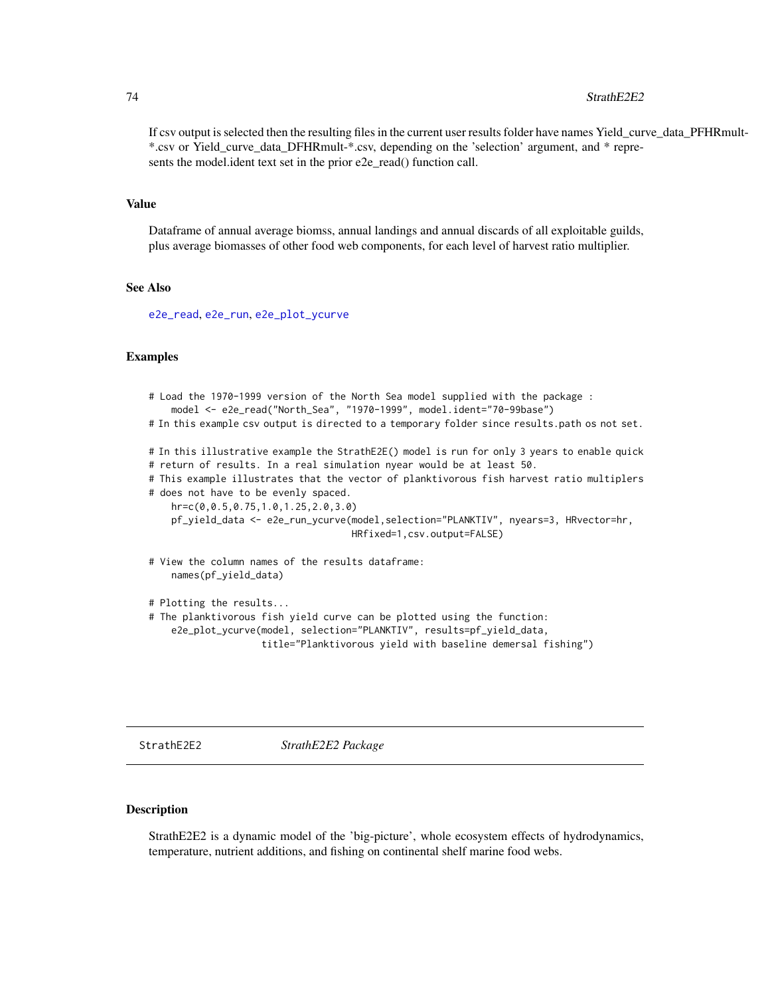#### <span id="page-73-0"></span>74 StrathE2E2

If csv output is selected then the resulting files in the current user results folder have names Yield\_curve\_data\_PFHRmult- \*.csv or Yield\_curve\_data\_DFHRmult-\*.csv, depending on the 'selection' argument, and \* represents the model.ident text set in the prior e2e\_read() function call.

#### Value

Dataframe of annual average biomss, annual landings and annual discards of all exploitable guilds, plus average biomasses of other food web components, for each level of harvest ratio multiplier.

## See Also

[e2e\\_read](#page-57-0), [e2e\\_run](#page-60-0), [e2e\\_plot\\_ycurve](#page-53-0)

## Examples

```
# Load the 1970-1999 version of the North Sea model supplied with the package :
   model <- e2e_read("North_Sea", "1970-1999", model.ident="70-99base")
# In this example csv output is directed to a temporary folder since results.path os not set.
# In this illustrative example the StrathE2E() model is run for only 3 years to enable quick
# return of results. In a real simulation nyear would be at least 50.
# This example illustrates that the vector of planktivorous fish harvest ratio multiplers
# does not have to be evenly spaced.
   hr=c(0,0.5,0.75,1.0,1.25,2.0,3.0)
   pf_yield_data <- e2e_run_ycurve(model,selection="PLANKTIV", nyears=3, HRvector=hr,
                                    HRfixed=1,csv.output=FALSE)
# View the column names of the results dataframe:
   names(pf_yield_data)
# Plotting the results...
# The planktivorous fish yield curve can be plotted using the function:
   e2e_plot_ycurve(model, selection="PLANKTIV", results=pf_yield_data,
                    title="Planktivorous yield with baseline demersal fishing")
```
StrathE2E2 *StrathE2E2 Package*

### Description

StrathE2E2 is a dynamic model of the 'big-picture', whole ecosystem effects of hydrodynamics, temperature, nutrient additions, and fishing on continental shelf marine food webs.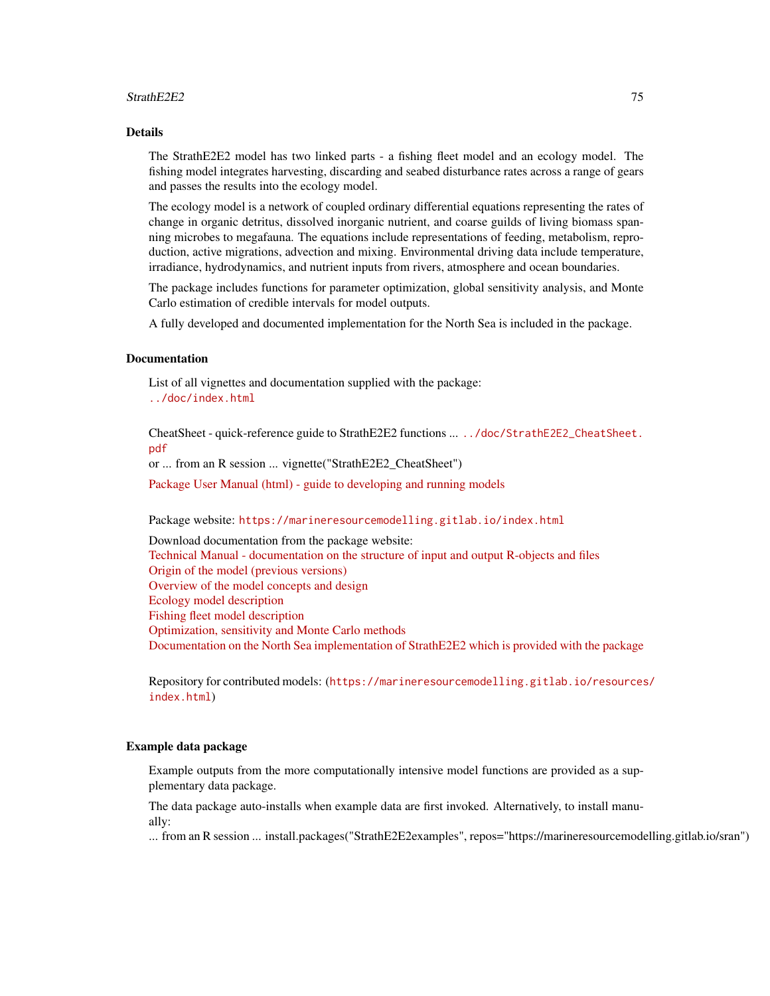### StrathE2E2 75

#### Details

The StrathE2E2 model has two linked parts - a fishing fleet model and an ecology model. The fishing model integrates harvesting, discarding and seabed disturbance rates across a range of gears and passes the results into the ecology model.

The ecology model is a network of coupled ordinary differential equations representing the rates of change in organic detritus, dissolved inorganic nutrient, and coarse guilds of living biomass spanning microbes to megafauna. The equations include representations of feeding, metabolism, reproduction, active migrations, advection and mixing. Environmental driving data include temperature, irradiance, hydrodynamics, and nutrient inputs from rivers, atmosphere and ocean boundaries.

The package includes functions for parameter optimization, global sensitivity analysis, and Monte Carlo estimation of credible intervals for model outputs.

A fully developed and documented implementation for the North Sea is included in the package.

#### **Documentation**

List of all vignettes and documentation supplied with the package: <../doc/index.html>

CheatSheet - quick-reference guide to StrathE2E2 functions ... [../doc/StrathE2E2\\_CheatSheet.](../doc/StrathE2E2_CheatSheet.pdf) [pdf](../doc/StrathE2E2_CheatSheet.pdf)

or ... from an R session ... vignette("StrathE2E2\_CheatSheet")

[Package User Manual \(html\) - guide to developing and running models](https://marineresourcemodelling.gitlab.io/resources/StrathE2E2/documents/3.2.0/StrathE2E2_User_Manual_3.2.0.html)

## Package website: <https://marineresourcemodelling.gitlab.io/index.html>

Download documentation from the package website: [Technical Manual - documentation on the structure of input and output R-objects and files](https://marineresourcemodelling.gitlab.io/resources/StrathE2E2/documents/3.2.0/StrathE2E2_Technical_Manual_3.2.0.pdf) [Origin of the model \(previous versions\)](https://marineresourcemodelling.gitlab.io/resources/StrathE2E2/documents/3.2.0/StrathE2E2_Model_origin.pdf) [Overview of the model concepts and design](https://marineresourcemodelling.gitlab.io/resources/StrathE2E2/documents/3.2.0/StrathE2E2_Model_overview.pdf) [Ecology model description](https://marineresourcemodelling.gitlab.io/resources/StrathE2E2/documents/3.2.0/StrathE2E2_Ecology_model.pdf) [Fishing fleet model description](https://marineresourcemodelling.gitlab.io/resources/StrathE2E2/documents/3.2.0/StrathE2E2_Fishing_fleet_model.pdf) [Optimization, sensitivity and Monte Carlo methods](https://marineresourcemodelling.gitlab.io/resources/StrathE2E2/documents/3.2.0/StrathE2E2_Optimization_sensitivity_Monte_Carlo_methodology.pdf) [Documentation on the North Sea implementation of StrathE2E2 which is provided with the package](https://marineresourcemodelling.gitlab.io/resources/StrathE2E2/documents/3.2.0/StrathE2E2_North_Sea_model.pdf)

Repository for contributed models: ([https://marineresourcemodelling.gitlab.io/resources](https://marineresourcemodelling.gitlab.io/resources/index.html)/ [index.html](https://marineresourcemodelling.gitlab.io/resources/index.html))

## Example data package

Example outputs from the more computationally intensive model functions are provided as a supplementary data package.

The data package auto-installs when example data are first invoked. Alternatively, to install manually:

... from an R session ... install.packages("StrathE2E2examples", repos="https://marineresourcemodelling.gitlab.io/sran")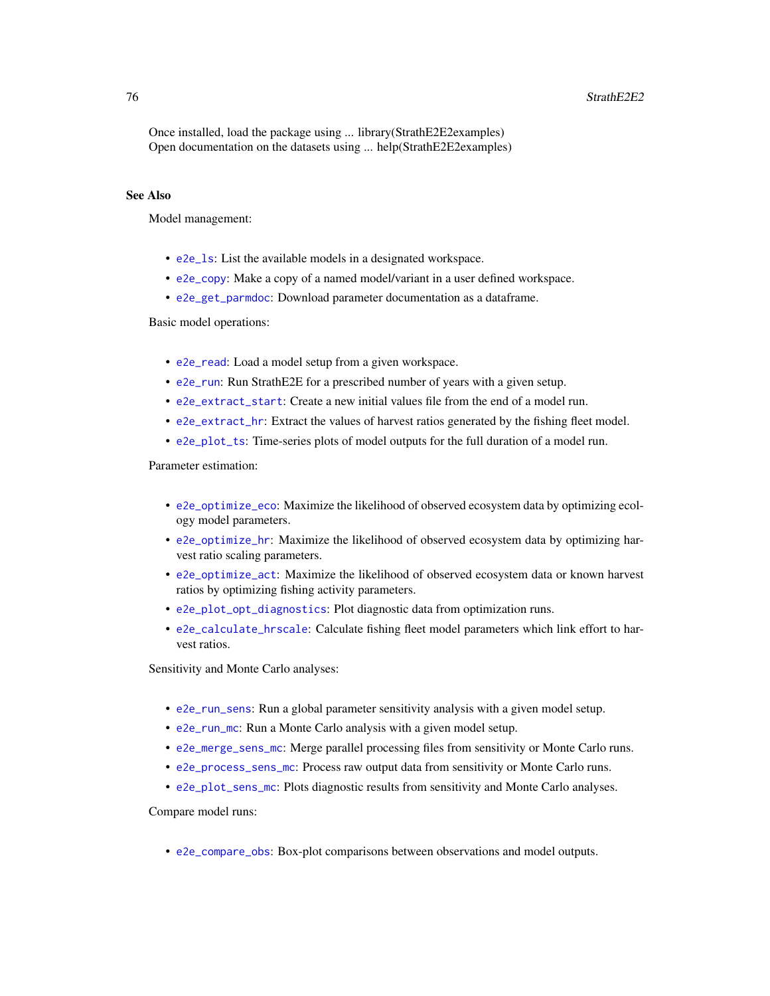## <span id="page-75-0"></span>76 StrathE2E2

Once installed, load the package using ... library(StrathE2E2examples) Open documentation on the datasets using ... help(StrathE2E2examples)

# See Also

Model management:

- [e2e\\_ls](#page-14-0): List the available models in a designated workspace.
- [e2e\\_copy](#page-10-0): Make a copy of a named model/variant in a user defined workspace.
- [e2e\\_get\\_parmdoc](#page-13-0): Download parameter documentation as a dataframe.

Basic model operations:

- [e2e\\_read](#page-57-0): Load a model setup from a given workspace.
- [e2e\\_run](#page-60-0): Run StrathE2E for a prescribed number of years with a given setup.
- [e2e\\_extract\\_start](#page-12-0): Create a new initial values file from the end of a model run.
- [e2e\\_extract\\_hr](#page-11-0): Extract the values of harvest ratios generated by the fishing fleet model.
- [e2e\\_plot\\_ts](#page-51-0): Time-series plots of model outputs for the full duration of a model run.

Parameter estimation:

- [e2e\\_optimize\\_eco](#page-24-0): Maximize the likelihood of observed ecosystem data by optimizing ecology model parameters.
- [e2e\\_optimize\\_hr](#page-27-0): Maximize the likelihood of observed ecosystem data by optimizing harvest ratio scaling parameters.
- [e2e\\_optimize\\_act](#page-18-0): Maximize the likelihood of observed ecosystem data or known harvest ratios by optimizing fishing activity parameters.
- [e2e\\_plot\\_opt\\_diagnostics](#page-42-0): Plot diagnostic data from optimization runs.
- [e2e\\_calculate\\_hrscale](#page-1-0): Calculate fishing fleet model parameters which link effort to harvest ratios.

Sensitivity and Monte Carlo analyses:

- [e2e\\_run\\_sens](#page-67-0): Run a global parameter sensitivity analysis with a given model setup.
- [e2e\\_run\\_mc](#page-61-0): Run a Monte Carlo analysis with a given model setup.
- [e2e\\_merge\\_sens\\_mc](#page-15-0): Merge parallel processing files from sensitivity or Monte Carlo runs.
- [e2e\\_process\\_sens\\_mc](#page-55-0): Process raw output data from sensitivity or Monte Carlo runs.
- [e2e\\_plot\\_sens\\_mc](#page-46-0): Plots diagnostic results from sensitivity and Monte Carlo analyses.

Compare model runs:

• [e2e\\_compare\\_obs](#page-2-0): Box-plot comparisons between observations and model outputs.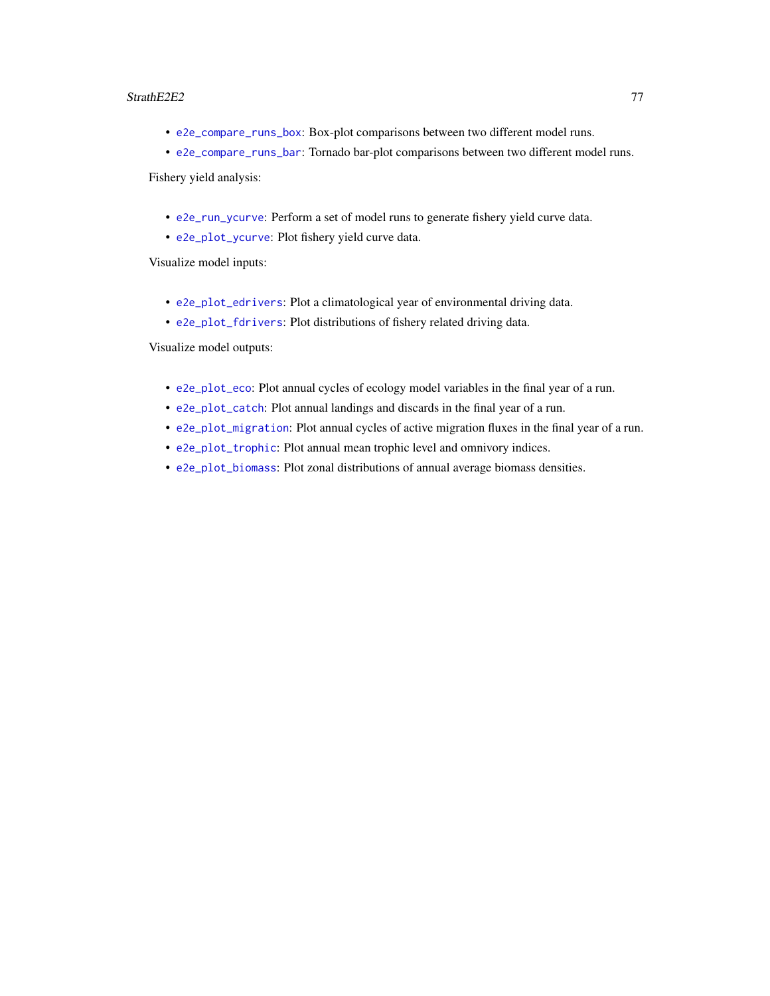## <span id="page-76-0"></span>StrathE2E2 77

- [e2e\\_compare\\_runs\\_box](#page-8-0): Box-plot comparisons between two different model runs.
- [e2e\\_compare\\_runs\\_bar](#page-5-0): Tornado bar-plot comparisons between two different model runs. Fishery yield analysis:
	- [e2e\\_run\\_ycurve](#page-71-0): Perform a set of model runs to generate fishery yield curve data.
	- [e2e\\_plot\\_ycurve](#page-53-0): Plot fishery yield curve data.

Visualize model inputs:

- [e2e\\_plot\\_edrivers](#page-36-0): Plot a climatological year of environmental driving data.
- [e2e\\_plot\\_fdrivers](#page-37-0): Plot distributions of fishery related driving data.

Visualize model outputs:

- [e2e\\_plot\\_eco](#page-34-0): Plot annual cycles of ecology model variables in the final year of a run.
- [e2e\\_plot\\_catch](#page-32-0): Plot annual landings and discards in the final year of a run.
- [e2e\\_plot\\_migration](#page-40-0): Plot annual cycles of active migration fluxes in the final year of a run.
- [e2e\\_plot\\_trophic](#page-50-0): Plot annual mean trophic level and omnivory indices.
- [e2e\\_plot\\_biomass](#page-31-0): Plot zonal distributions of annual average biomass densities.